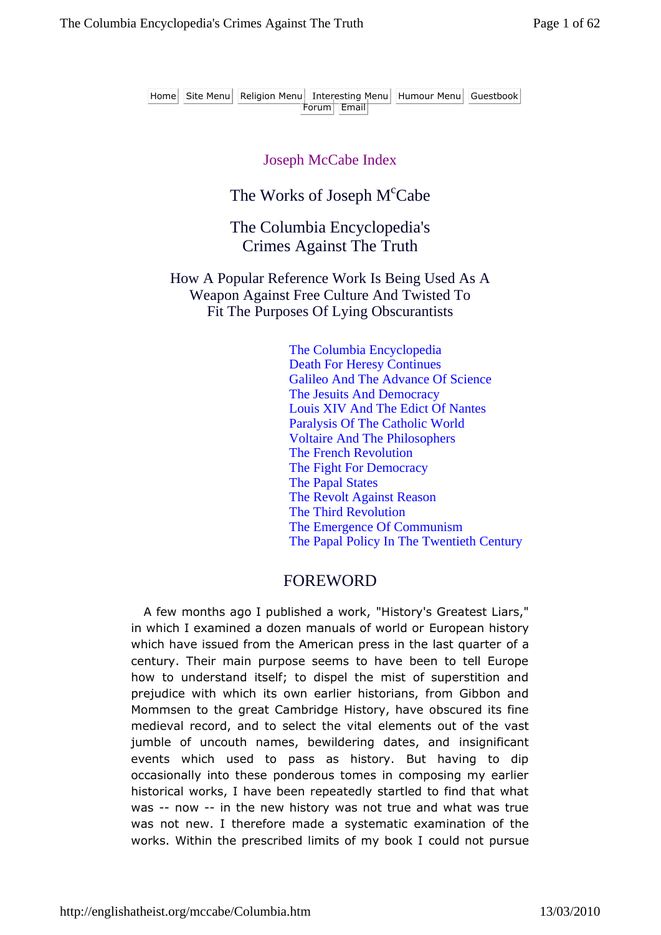Home Site Menu Religion Menu Interesting Menu Humour Menu Guestbook Forum Email

#### Joseph McCabe Index

# The Works of Joseph M<sup>c</sup>Cabe

The Columbia Encyclopedia's Crimes Against The Truth

How A Popular Reference Work Is Being Used As A Weapon Against Free Culture And Twisted To Fit The Purposes Of Lying Obscurantists

> The Columbia Encyclopedia Death For Heresy Continues Galileo And The Advance Of Science The Jesuits And Democracy Louis XIV And The Edict Of Nantes Paralysis Of The Catholic World Voltaire And The Philosophers The French Revolution The Fight For Democracy The Papal States The Revolt Against Reason The Third Revolution The Emergence Of Communism The Papal Policy In The Twentieth Century

#### FOREWORD

A few months ago I published a work, "History's Greatest Liars," in which I examined a dozen manuals of world or European history which have issued from the American press in the last quarter of a century. Their main purpose seems to have been to tell Europe how to understand itself; to dispel the mist of superstition and prejudice with which its own earlier historians, from Gibbon and Mommsen to the great Cambridge History, have obscured its fine medieval record, and to select the vital elements out of the vast jumble of uncouth names, bewildering dates, and insignificant events which used to pass as history. But having to dip occasionally into these ponderous tomes in composing my earlier historical works, I have been repeatedly startled to find that what was -- now -- in the new history was not true and what was true was not new. I therefore made a systematic examination of the works. Within the prescribed limits of my book I could not pursue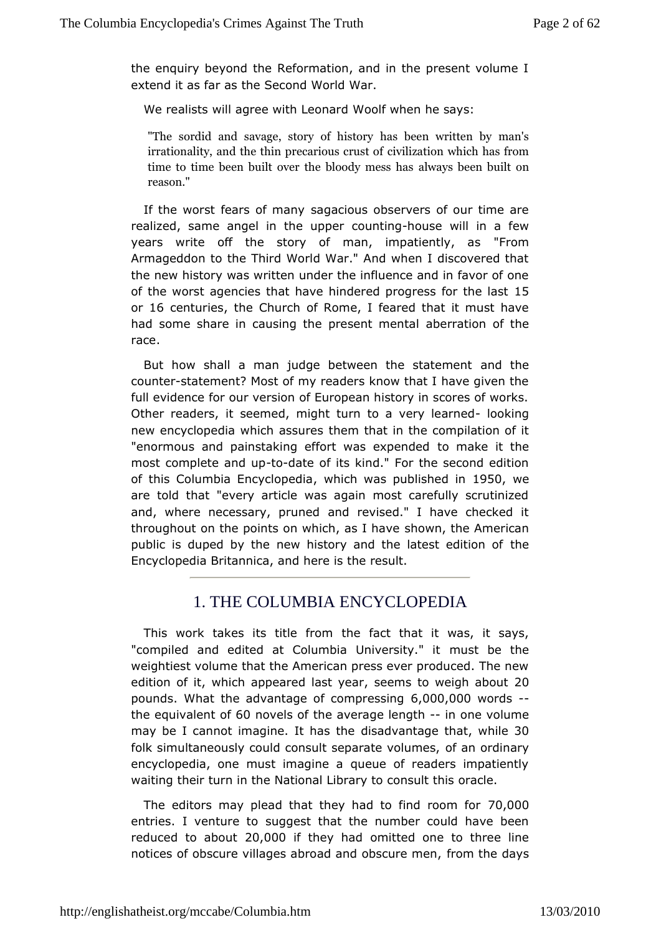[the enquiry beyond the](http://englishatheist.org/mccabe/Columbia.htmthe) Reformation, and in the present volu extend it as far as the Second World War.

We realists will agree wit W doel of nwahred he says:

"The sordid and savage, stoery botehiswtoirtyten by man's irrationality, and the thin precuilian asion workioth has from time to time been built over the albologisty beneems sbuhid is on reason."

If the worst fears of anguacyous observers of our time are realized, same angel in the unpipheporuse will in a few years write off the story of man, imp<sup>'</sup>affiremetly, as Armageddon to the Third World War." And when I discovered the newistory was written under the influence and in favor of of the woastencies that have hindered progrests for the last or 16 centuries be Churoh Rome, I feared that it must have had some share in causing the preasteentrantieonntaolf the race.

But how shall a man judge between the mostahlement countestatement? Most of my readers know that I have given t fulbvidence for our version of European history in scores of w Other readertsseemed, might turn to a very od tearned new encyclopedia which thes muthat in the compilation of it "enormous and painstaking effort was enxapkeendied the most complete and duante of its kind." For the second edition of this Columbia Encycow on policy as publisheed 50 nowe are told that ery article was again most carefully scrutinize and, where necessary, approdinneed ised." I have checked it throughout on the points on whichhoawsn! hhae eAmerican public is duped by the new history and the lateest edition o Encyclopedia Britannica, and here is the result.

# 1. THE COLUMBIA ENCYCLOPEDIA

This work takes its title efframent that it was, it says, "compiled and edited at Columbia Umiwstrsbtey. "thet weightiest volume that the American press ever produced. The edition of wiltich appeared last eyeemas to weigh  $a$  to out pounds. What advantage of compoe @s on gowordsthe equivalen6t0 on fovels toh fe average le-n-ginth one volume may be I cannot imagine. It is as vitch retage, while it  $\theta$  0 folk simultaneously could consult sepafaae vodumery, encyclopedia, one must imagine a queue of readers impatie waiting their turn in the National Library to consult this oracl

Theeditors may plead that they had to  $f\overline{r}$ 0 $d$ 000m for entries. I ventuse gtopest that the number could have been  $r$ educed to ab $20\nu 100$  if they hand itted one to three line notices of obscure villages abroad and robos thus ed anyesn,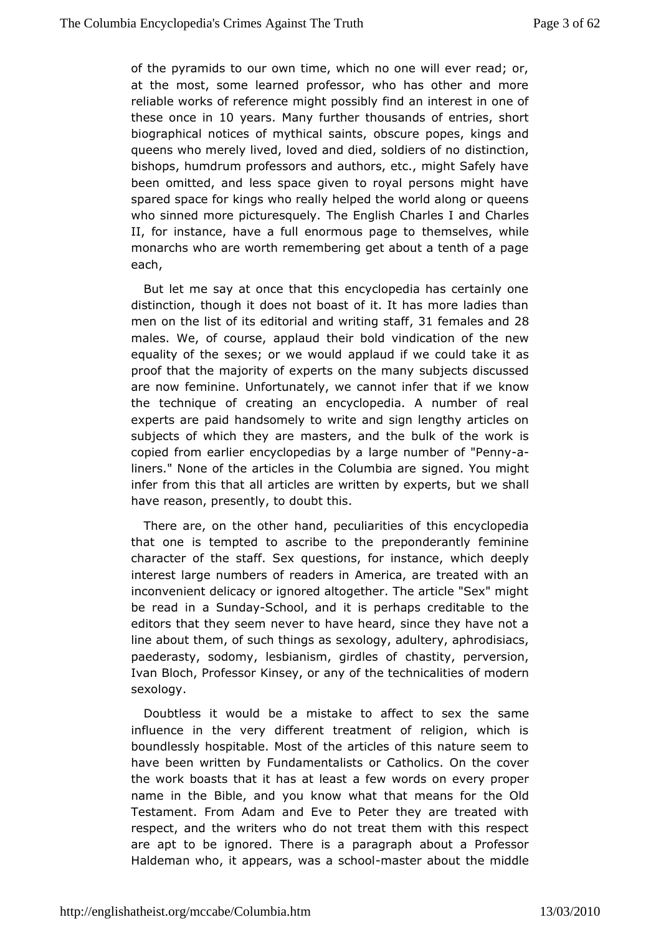[of the pyramids to our](http://englishatheist.org/mccabe/Columbia.htmof) own time, which no one will ever read at the most, some learned professor, who has other and m reliable works for fence might possibly find an interest in one of these once 10 Onvears Manyfurther thousands of entries, short biographical notices of mythiccbasic saints, popes, kings and queens who merely lived, loved and dieddisstdinctiteins of no bishops, humdrum professors and authors, etc., might Safely been omitted, and less space given to royal persons might spared space incors who really helped the world along or queens who sinned more pictures we English Charles I and Charles II, for instance, have a full enormtology and  $\mathbf{g}$  and  $\mathbf{g}$  and  $\mathbf{g}$ monarchs who are worth remembering get about a tenth of a  $p$ each,

But let me say at once that this encyclopedia has certainly distinction, though it does not boast of it. It has more ladies men on thinst of its editorial and w,r3t ting meatlæft a2n8d males. We, of coauppleaud their bold vindication of the new equality of the sexes; or  $w$  pep waqual dif we could take it as proof that the majority of experts subjbets and insycussed are now feminine. Unfortunately, we cannotkimdwr that if we the technique of creating an encyclopedia. A number of experts apræid handsomely to write and sign lengthy articles o subjects of which the pasaces, and the bulk of the work is copied from earlier encyclopleadiges roumber of "Penny liners." None of the articles in the sCopple on b Mao warme ight infer from this that all articles are writtenweby shead perts, but have reason, presently, to doubt this.

There are, on the hat the peculiarities of this encyclopedia that one is tempted to ascripeeponderantly feminine character of the staff. Sex questions, which indset applye, interest large numbers of readers in America, are treated wi inconvenient delicacy or ignored altogether. The article "Sex" be read an SundaSychool, and it is perhaps creditable to the editors that they neeveem to have heard, since they have not a line about them, of such staknog agys adultery, aphrodisiacs, paederasty, sodomy, lesbianism, chais dileys, opferversion, Ivan Bloch, Professor Kinsey, or any of tohemedbamicalities sexology.

Doubtless it would be a mistake to affestamte sex the influence in the very different treatment of religion, whic boundles hoys pitable. Most of the articles of this nature seem have been writte Fnumboy amentalists or Catholics. On the cover the work boasts that it has a a we words on every proper name in the Bible, and you know what that modedns for Testament. From Adam and Eve to Peter they are treated \ respect, at the writers who do not treat them with this respec are apt to be ignoredis The pearagraph about a Professor Haldeman who, it appears, was a astsehool the middle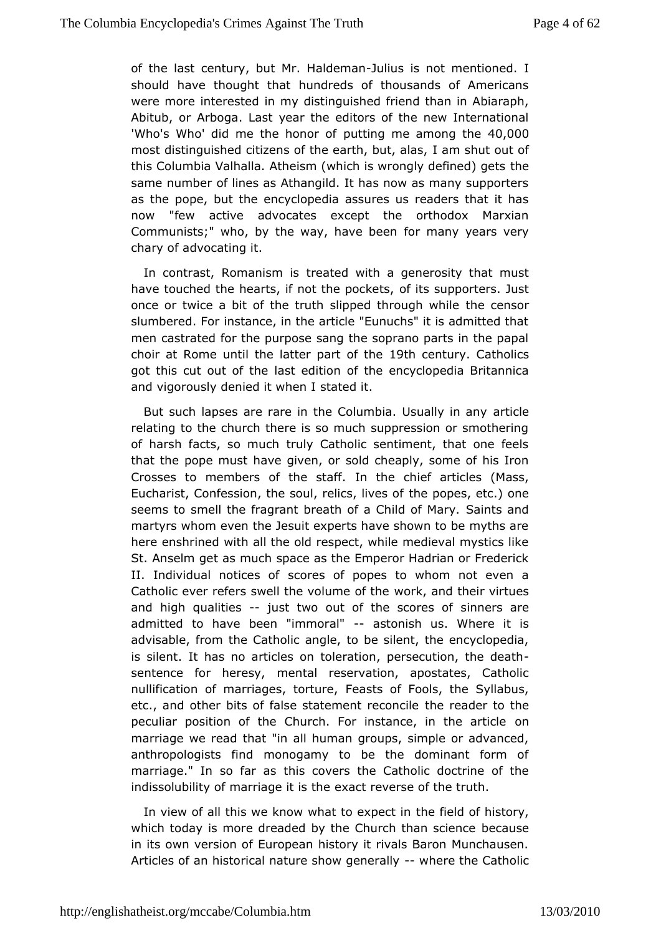[of the last century, bu](http://englishatheist.org/mccabe/Columbia.htmof)t Mr.-JHuailus mannot mentlioned. should have thought that hundreds of thousands of Americ were mointerested in my distinguished friend than in Abiaraph Abitub, or Arbogavelasthe editors of the new International 'Who's Who' did me the homountoing of me among 40, hOe 00 most distinguished citizens of the earthm blut, aluats of this Columbia Valhalla. Atheism (which is wrongely defined) get same number of lines as Athangild. It has now as many suppo as theope, but the encyclopedia assures us readers that it now "few actiavoevocates except the orthodox Marxian Communists;" who, by the way, hoar  $\cos$  mange nyears very chary of advocating it.

In contrast, Romanismatisd with a generosity that must have touched the hearts, if not bifeits os he psorters. Just once or twice a bit of the truth slipped the rough sowhile slumbered. For instance, in the article "Eunuchs" it is admitted that men castrated for the purpose sang the soprano parts in the choir at Roummetil the latter part 1 $\Theta$ th the ntur $\Theta$  atholics got this cut out dasthedition of the encyclopedia Britannica and vigorously denied istawthen dif.

But such lapses are rare in the Columbiaartisulally in any relating to the church there is so much suppression or smoth of harsh facts, so much truly Catholic sentiment, that one f that the pope mase given, or sold cheaply, some of his Iron Crosses to members of the shæffchief articles (Mass, Eucharist, Confession, the soul, relations of the set of the poper of the poper set of the poper set of the po seems to smell the fragrant breath of a S a hinits and Mary. martyrs whom even the Jesuit experts have shown to be myths hereenshrined with all the old respect, while medieval mystics St. Anselm agsetmuch space as the Emperor Hadrian or Frederic II. Individual noticsecsores of popes to whom not even a Catholic ever refers swell the vorlour the and the beir virtues and high qualitieusst two out of the scoirense rosf are admitted to have been "im-macsrtaoln'ish us. Where it is advisable, from the Catholic angle, to be silent, the encyclo is silent. has no articles on toleration, persecution, the dea sentence for hemesutal reservation, apostates, Catholic nullification of marriages, Fetaosrtsuref Fools, the Syllabus, etc., and other bits of false statemthet receacologencitice the peculiar position of the Church. For instancem in the artic marriage we read that "in all human groups, simple or advan anthropologists find monogamy to be the dominant form marriage." In so ftahrisa sovers the Catholic doctrine of the indissolubility of marriage exatclist due rse of the truth.

In view of all this we know what tthe efx pect to findistory, which today is more dreaded by the Churd hed has asscience in its own version of European history it rivals Baron Muncha Articles of an historical nature show here a dhæll $\Omega$  atholic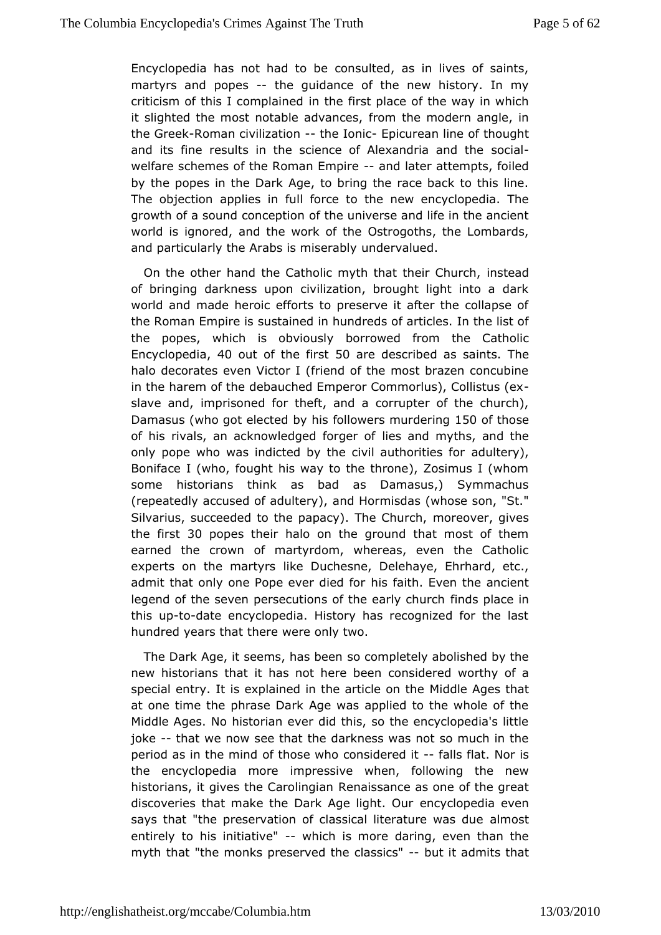[Encyclopedia has not had to](http://englishatheist.org/mccabe/Columbia.htmEncyclopedia) be consulted, as in lives of s martyrs apopes-the guidance of the new history. In my criticism of this I comimplatine efdrst place of the way in which it slighted the most notable fadd math the smodern angle, in the Gre-Roman civilizatibe loniEpicureame of thought and its fine results in the science of Alexanderlia and the welfare schemes of the Romana Edmpater attempts, foiled by theopes in the Dark Age, to bring the race back to this I The objectaopplies in full force to the new encyclopedia. The growth of a sound concephteouniverse and life in the ancient world is ignored, and the w@rsktroofgothhes, the Lombards, and particularly the Arabs is understanding od.

On the other hand the Catholic myth that net and Church, of bringing darkness upon civilization, brought light into a worldand made heroic efforts to preserve it after the collaps the Roman Empistes is ined in hundreds of articles. In the list of the popes, which is obbootus whed from the Catholic  $Encyclopedia$  out of the  $b0$  atter described a ansits. The halo decorates even Victor I (friend of the most brazen conc inthe harem of the debauched Emperor Commorlus), Collistus slave anidmprisoned for theft, and a corrupter of the church Damasus (who got eblecheed followers munid5eDming hose of his rivals, an acknowledge diefsoragned only ths, and the only pope who was indicted by the civilaad uthery ties for Boniface I (who, fought his way to the throne), Zosimus I (whom some historians think as bad as Damasus,) Symmachus (repeatedly accused of  $a$  and the pyimisdas (whose son, "St." Silvarius, succeeded to the papacy) moTheeovCehrurg hves the first popes their halo on the ground that most of them earned the crown of martyrdom, whereas, even the Catho experts on the markersDuchesne, Delehaye, Ehrhard, etc., admit that only one Pope even is died thor Even the ancient legend of the seven persecutions of the ender by a cheur on this utp-date encyclopedia. History has recognized for the  $\mathcal{L}$ hundred years that there were only two.

The Dark Age, it seems, shoas colmephetely abolished by the new historians that it has notchoenseid beeed worthy of a special entry. It is explained in the Maidtd cele A ognest htehat at one time the phrase Dark Age was applied to the whole o Middle Ages. No historian ever did this, so the encyclopedia' joke-that we now see that the darkness was not so much in t period as in the omit mobise who conside fall sitflat. Nor is the encyclopedia imporpessive when, following the new historians, it gives the CRaeonlainsgsiance as one of the great discoveries that make the Dark AgeendigchopeOdua even says that "the preservation of classical litedmaduste was due entirely to his initiawihvieth is more daring, even than the myththat "the monks preserved the **bu**asisticaso" mits that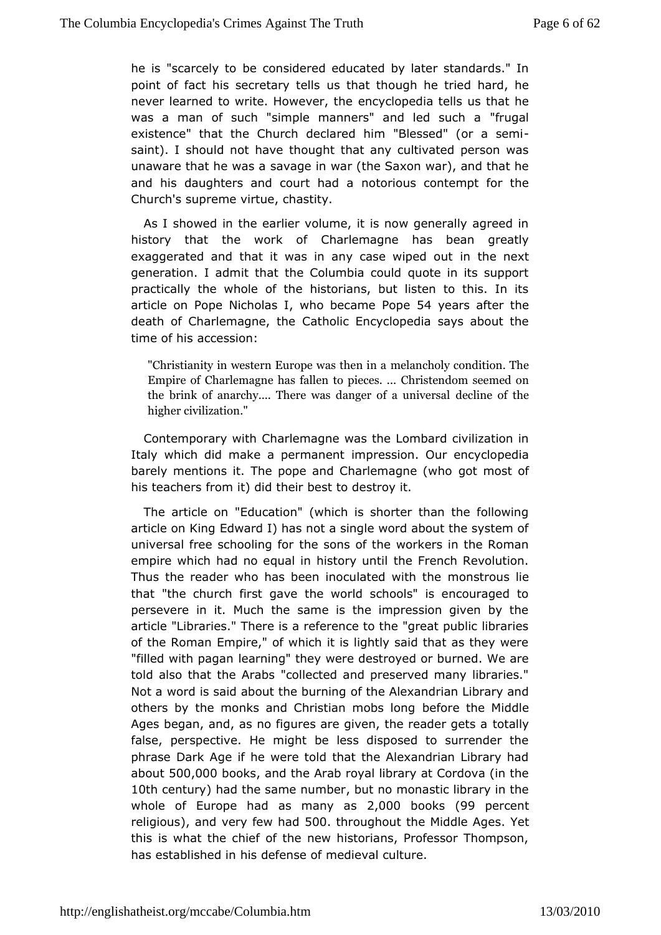he is "scarcebe to onsidered educated by later standards." In point of fact his secretus ytht allshough he tried hard, he never learned to write. Howen ceyrcloupedia tells us that he was a man of such "simple manners" and fried alsuch a existence" that the Church declared him "Blessed" (or a semisaint). should not have thought that any cultivated person  $w_i$ unaware that he wasage in war (the Saxon war), and that he and his daughters and coumbtbaid us contempt for the Church's supreme virtue, chastity.

As I showiend the earlier volume, it is now generally agreed in history that the wor@haorflemagne has bean greatly  $e$ xaggerated and that it was in any caisne the new solut generation. I admit that the Columbia could quote in its sup practically the whole of the historians, but listen to this. article  $\Theta$  mope Nicholawshot became P504 years after the death of Charlemagn@athoteic Encyclopedia says about the time of haicscession:

"Christianity in western Europmeelwa**ashtohleynciom daition. The** Empire of Charlemagne has fa**Clen** sto prodemeseemed on the brink of anarchy.... There was ddaencd erreoffathueniversal higher civilization."

Contemporary Whtchriemagne was the Lombard civilization in Italy which did make a peimmparession. Our encyclopedia barely mentions it. The pope and Chargeomagnoset (ow ho his teachers from it) did their best to destroy it.

Thearticle on "Education" (which is shorter than the follow article on KEidhugard I) has not a single word about the system of universal free schoothinegsfoons of the workers in the Roman empire which had no equal in htihs to Fyem thil Revolution. Thus the reader who has been inoculanteends two other the that "the church first gave the world schools" is encourage persevere in it. Much the same is the impression given by articl'dibraries." There is a reference to the "great public libra of the RomEampire," of which it is lightly said that as they we "filled with plage arming" they were destroyed or burned. We are told also that the "Aoalbescted and preserved many libraries." Not a word is said about tho bhuen Almen and rian Library and others by the monks and Christian beniobes the ag Middle Ages began, and, as no figures are given, those and by derigets a false, perspective. He might be less disposed to surrender phrasDark Age if he were told that the Alexandrian Library  $\boldsymbol{\mathsf{I}}$ abou 500,000 ooksand the Arab royal library at Cordova (in the 10th centum ad the same numblem omonastic library in the whole of Europe had as  $m2a000$  books(99 percent religio) usand very few 5h0a0dthroughout the Middle extges thisis what the chief of the new historians, Professor Thomp has establishbids idefense of medieval culture.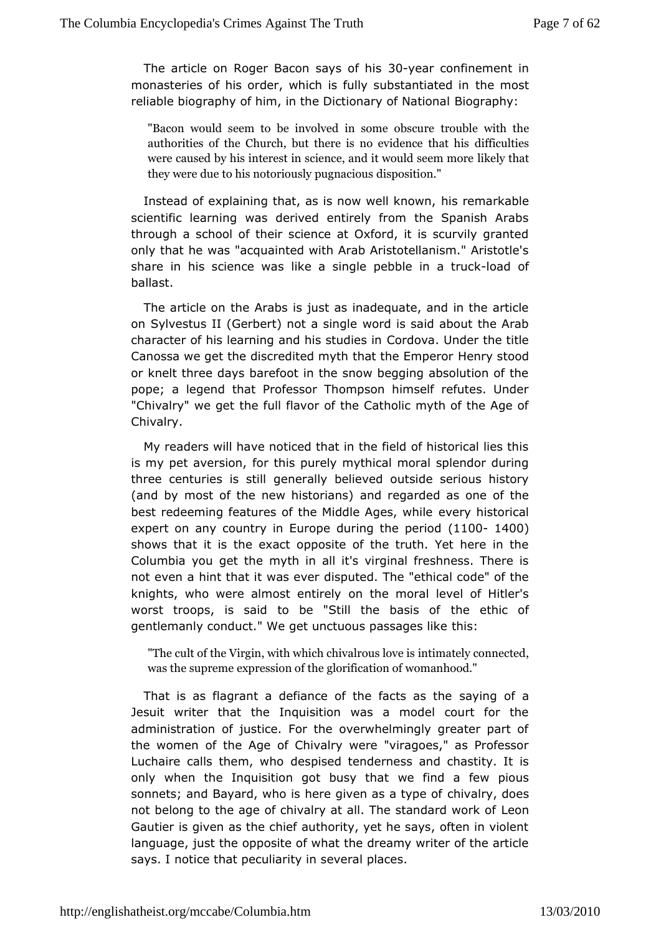[The article on Roger B](http://englishatheist.org/mccabe/Columbia.htmThe)acon \$30-wseaorf dointinement in monasteries of his order, which is fully shude smanstriated in reliable biography of him, in the DictioBaograph Myational

 $"Bar$ on would seem to be involved troubs  $em$  with  $bs$  being authorities of the Church, but there isdinfoiceuvideesnce that his were caused by his interest in science, lakhed witt hwaotuld seem i they were due to his notorioduis byo putgonna. Cious

Instead of explaining that, as is nowhis we elm karrok we ble scientific learning was derived entirely from the Spanish  $\lambda$ through a school of their science at Oxford, it is scurvily g only that whes "acquainted with Arab Aristotellanism." Aristotle share in his sciendek ewaas single pebble inloaadtr**ot**k ballast.

The article on theis  $A$  jabs as inadequate, and in the article on Sylvestus II (Gerbert) nowto adsingstaid about the Arab character of his learning and hCsorsotourdaes Under the title Canossa we get the discredited myth that the fine dror or knelt three days barefoot in the snow begging absolution  $\epsilon$ pope; a legend that Professor Thompson himself refutes. U "Chivalry" wethose tfull flavor of the Catholic myth of the Age of Chivalry.

My readewill have noticed that in the field of historical lies is my pet aversoonthis purely mythical moral splendor during three centuries is entimally believed outside serious history (and by most of the new hiasnidriraengea) rded as one of the best redeeming features of the Middleev Age sisw onileal expert on any country in Europe during 1000 400enriod shows that it is the exact opposite of the truth. Yet here in Columbia yopeut the myth in all it's virginal freshness. There not even a hint twhas etver disputed. The "ethical code" of the knights, who were almostoanthrely noral level of Hitler's worst troops, is said to be "Still tthe beasis gentlemanly conduct." We get unctuoust piassages like

"The cult of the Virgin, with whici intimatelly consider the  $\mathbf s$ was the supreme expression of who en anthonoidion cannot biotechion of

That is as flagrant a defiance of the safyaiontos oafs athe Jesuit writer that the Inquisition was a model court for administration of justice. For the overwhelmingly greater pa the women the Age of Chivalry were "viragoes," as Professo Luchaire calls themd, estay bed tenderness and chastity. It is only when the Inquisition got  $\texttt{We}$  as finithaa few pious sonnets; and Bayard, who is here give on law salary type  $\mathsf{e}\mathsf{c}\mathsf{c}\mathsf{s}\mathsf{f}$ not belong to the age of chivalry at all. The  $L$ stoam dard work of Gautier is given as the chief authority, yet he says, often in language, just the opposite of what the dreamy writer of the  $\varepsilon$ says.nlotice that peculiarity in several places.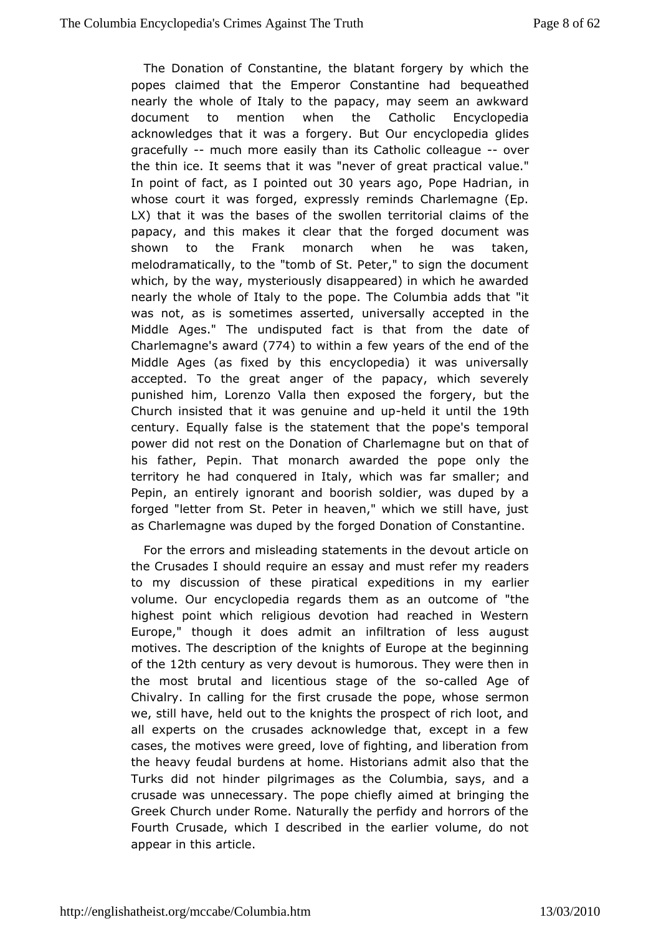[The Donation of Const](http://englishatheist.org/mccabe/Columbia.htmThe)hetible, tant forgery by which the popes claimed that the Emperor Consbtea quiereethedd nearly the whole of Italy to the papacy, may seem an awkw documentto mention when the Catholic Encyclopedia acknowledges that it was a Butor Out and personal glides gracefull-ymuch more easily than its cClate aguieover the thin ice. It seems that it was "never ovagueat practical In point of fact pointed 30 uvtears adPoope Hadriann whosecourt it was forged, expressly reminds Charlemagne (E LX) that it wasbabes of the swollen territorial claims of the papacy, and this makes that lehaer forged document was shown to the Frank monarch when he was taken, melodramatically, to the "tomb of St. Peter," to sign the document which, by the way, mysteriously disappeared) in which he awarded nearly the whole of the up to the Columbia adds that "it was not, as is sometimes asseerted, ly accepted in the Middle Ages." The undisputed fact is thate froofm the Charlemagneward  $\sigma$ 74 to within a few years of the end of the MiddleAges (as fixed by this encyclopedia) it was universal accepted. To the anget of the papacy, which severely punished him, Lorenzo Valla then boxpooesroyd blout the Church insisted that it was gen-uhienled ath dunutibl 19th he century. Equally false is the statement that the pope's tem power dmot rest on the Donation of Charlemagne but on that his father, Pepin.mohatch awarded the pope only the territory he had conquered in Italyfaw bsime all we as and Pepin, an entirely ignorant and boorish soldier, was duped forged "letter from St. Peter in heaven," which we still have asCharlemagne was duped by the forged Donation of Constant

For theerrors and misleading statements in the devout article the Crusades I smea ulid requisies and must refer my readers to my discussion of these epsipreadicizolns in my earlier volume. Our encyclopedia regards them as "aheoutcome of highest point which religious devotion had reached in West Europe, though it does admit an infiltration of less august motives. The descripthion rknow fights of Europe at the beginning of the 2th century as very dehwomundriosus. They were then in the most brutal and licentious stage eal beid the geof Chivalry. In calling for the first crusade the proport e, whose we, still have, held out to the knights the prospect of rich  $I\sigma$ all experts on the crusades acknowledge that, except in a cases, the motweres greed, love of fighting, and liberation from the heavy feudal burchemse at Historians admit also that the Turks did not hinder pilgrimagCeosluamsbitch,esays, and a crusade was unnecessary. The pope chbieifnging intendent Greek Church under Rome. Naturally the perfidy and horrors of Fourth Crusade, which I described in the earlier volume, do appear in tartiscle.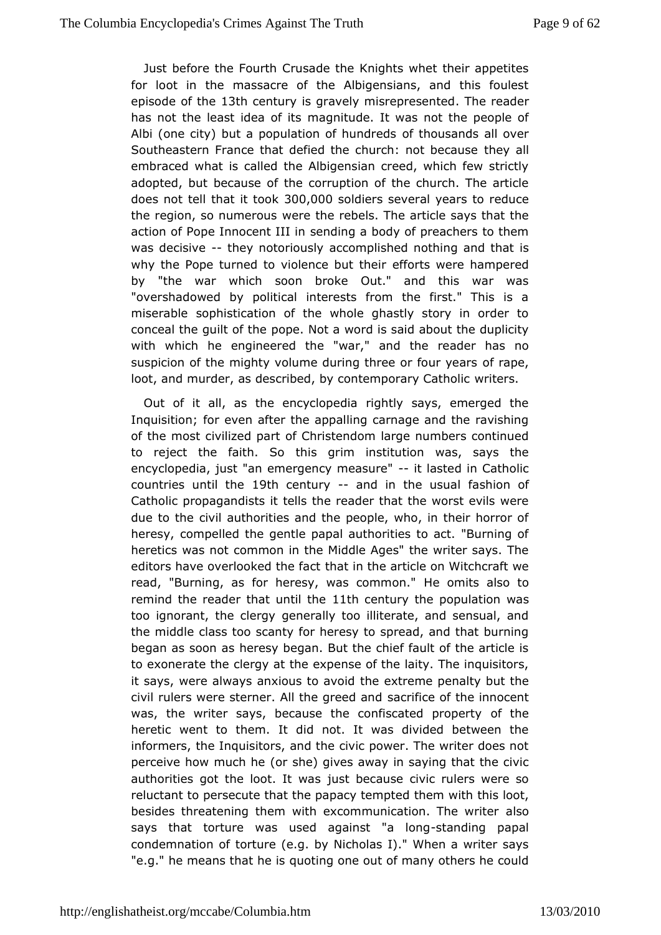[Just before the Fourth](http://englishatheist.org/mccabe/Columbia.htmJust) Crusade the Knights whet their appe for loot in the massacre of the Albigensians, and this fo episode of 1tStube century is gravely misrepTrheesente taedder has not the least idemaaomfiittus de. It was not the people of Albi (one city) but a population ooff thoununds reaenddes all over Southeastern France that defied the churd meyn catilbe cause embraced what is called the Albigensian creed, which few strain adopted, but because of the corruption of the church. The a does not tablt it to 30k0,000 soldiers several years to reduce the region, so numweer beasthe rebels. The article says that the action of Pope Innocesnet nid inign a body of preachers to them was decisive hey notoriously amplished nothing and that is why the Pope turned to violenceeffoouts the eire hampered by "the war which soon broke Out." and this war wa "overshadowed by political interests from the first." This miserable ophistication of the whole ghastly story in order conceal the quilt poof p the Not a word is said about the duplicity with which he engineered the end" with reader has no suspicion of the mighty volume during three or preo, ur years loot, and murder, as described, by contemword rears. Catholic

Out of it all, as the encyclopedia rightly says, emerged Inquisition; for even after the appalling carnage and the ravi of the mosivilized part of Christendom large numbers continue to reject the faiththissogrim institution was, says the encyclopedia, just "an emergency imeasuere "in Catholic countries until1 Sthe century and in the usuahion of Catholic propagandists it tells the reader that the worst evil due to the civil authorities and the people, who, in their hor heresyc, ompelled the gentle papal authorities to act. "Burning heretics was common in the Middle Ages" the writer says. The editors have overlooked that imache article on Witchcraft we read, "Burning, as for heresy, was eccommintos allso to remind the reader that ditthil denetury the popuwasion too ignorant, the clergy generally too illiterate, and sensua themiddle class too scanty for heresy to spread, and that bur began as soomeassy began. But the chief fault of the article is to exonerate the cleragy expense of the laity. The inquisitors, it says, were always anxioutsheloe at roeinche penalty but the civil rulers were sterner. All the earnieliecde and othe innocent was, the writer says, because the confiscatted property heretic went to them. It did not. It was divided between informenthe Inquisitors, and the civic power. The writer does perceive how mu $\ell$  arhee) gives away in saying that the civic authorities got the loot iust was ause civic rulers were so reluctant to persecute that the papherm two intendis loot, besides threatening them with excommunicatabsha The writer says that torture was used againssttan"dainglonggapal condemnation oof ure (e.g. by Nicholas I)." When a writer says "e.g." he means thactulosting one out of many others he could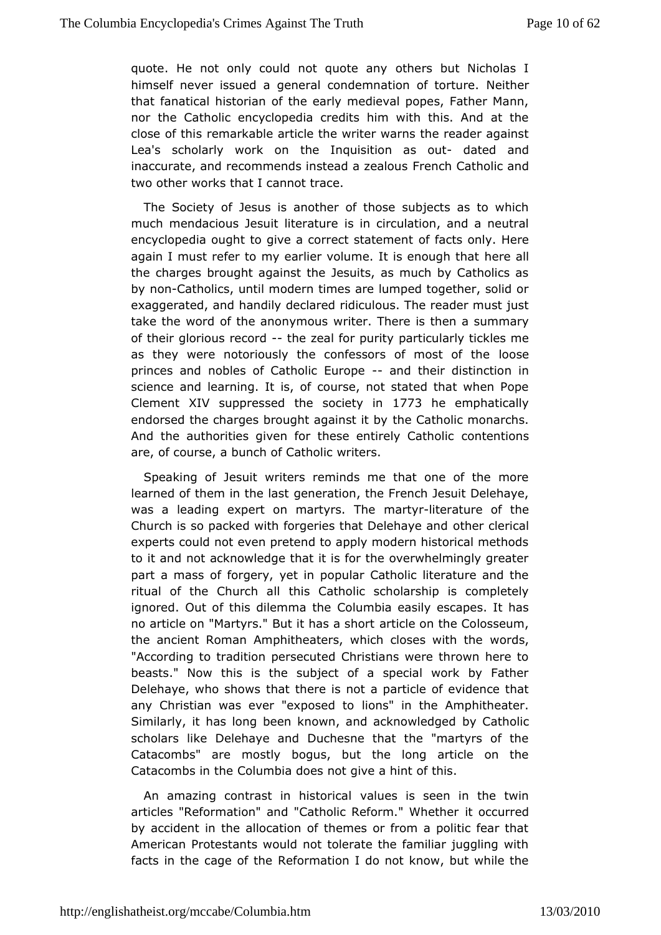[quote. He not only could](http://englishatheist.org/mccabe/Columbia.htmquote) not quhoetes abouyt Nicholas I himself never issued a general condemnaNehtheefr torture. that fanatical historian of the early medieval popes, Father northe Catholic encyclopedia credits him with this. And at close of theims arkable article the writer warns the reader again Lea's scholarly wortheoninquisition as dated and inaccurate, and recommends instelade a che a laotuh solic and two other works that I cannot trace.

The Society Jeosfus is another of those subjects as to which much mendacious Jesuit listeimatouirreculation, and a neutral encyclopedia ought to give a correct factuate mont. Here again I must refer to my earlier volume. Ithes ee ablugh that the charges brought against the Jesuits, as much by Catholi bynonCatholics, until modern times are lumped together, solid exaggerated, hannoldily declared ridiculous. The reader must just take the word of the anownryit meorus There is then a summary of their glorious retchoer cheal for pountive ularly tickles me as they were notoriously the confessors dbomsest of the princes and nobles of CatholicanEduntohpeer distinction in sciencænd learning. It is, of course, not stated that when Po Clement  $XIV$  suppresses dociety 1  $\overline{r}n\overline{r}$  3 he emphatically endorsed the charges brought atcheein Csathtobix monarchs. And the authorities given for these endormetleyn Cantsolic are, of course, a bunch of Catholic writers.

Speaking Joesuit writers reminds me that one of the more learned of them in to heen barattion, the French Jesuit Delehaye, was a leading expert on martnyarst.ytTthe eature of the Church is so packed with forgeries thaotheredalæy ecahd experts could not even pretend to apply modern historical me to it and not acknowledge that it is for the overwhelmingly gr part a macs forgery, yet in popular Catholic literature and the ritual of the ChurthisalCatholic scholarship is completely ignored. Out of this dile Condemthie easily escapes. It has no article on "Martyrs." But itahtaisclae somothe Colosseum, the ancient Roman Amphitheaters, which ownoses, with the "According to tradition persecuted Christians were thrown he beasts." Now this is the subject of a special work by Fa Delehaye, who sthoawt sthere is not a particle of evidence that any Christian was ever "exlposed ito the Amphitheater. Similarly, it has long been known, and bay clC next who be ideged scholars like Delehaye and Duchesne that the "martyrs of Catacombs" are mostly bogus, but the long article on t Catacombs in Ctohlembia does not give a hint of this.

An amazing contrast in hvissitume is cals seen in the twin articles "Reformation" and "Catholic Reforme.d'u Whether by accident in the allocation of themes or from a politic fea American Protestants would not tolerate the familiar juggling facts in tchage of the Reformation I do not know, but while th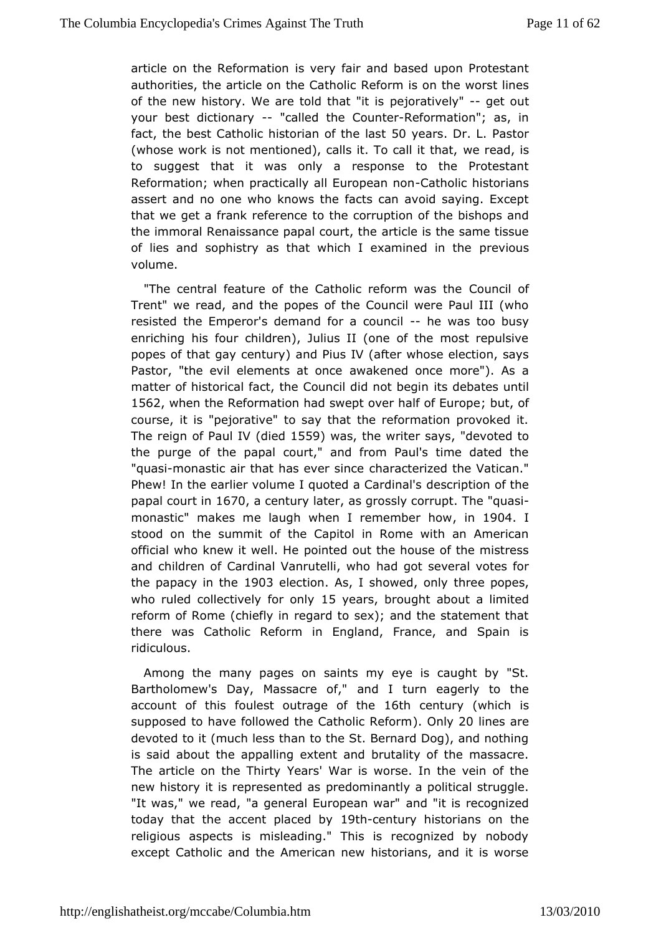article on the Reforins avtegna fair and based upon Protestant authorities, the article on tReformhosion the worst lines of the new history. We are tolopetjhoartat"iit el gojet out your best dictionary alled the untertainmation"; as, in fact the best Catholic historian 500 ytehaers lastr. L. Pastor (whose work is not mentioned), calls it.w Foreadl, itsthat, to suggest that it was only a response to the Protestant Reformation; when practically all Euartchroadian ministorians assert and ome who knows the facts can avoid saying. Excep that we get a frank retfoertehrec corruption of the bishops and the immoral Renaissance papaardooul et, is htehe same tissue of lies and sophistry as that which I expame wrieds in the volume.

"The central feature of the Catholic reform to was the Trent" we read, and the popes of the Council were Paul III resisted the Emperor's demand for hae owo ausnatido busy enriching frais children), Julius II (one of the most repulsive popes of that gay c**entural** Pius IV (after whose election, says Pastor, "the evil element savaakened once more"). As a matter of historical fact, the Councilitedid erboatt dose guimtil 1562when the Reformation had swept over; half odf Europe course, it is "pejorative" to say that the reformation provok The reigh Paul (IcM ed 559 was the writer sädy svoted to the purge of the pauplati," and from Paul's time dated the "quasmionastic air that has eventarissinate rized the Vatican." Phew! In the earlier volume I quoted eas  $\alpha$  ap diional of the papal court 670a century laatsrgrossly corTruptquasi monastionakes me laugh when I remembre t 9004w stood on the mit of the Capitol in Rome with an American official who knew it welhted be out the house of the mistress and children of Cardinal Vanrhuatdel biotwhooveral votes for the papacy in 1910 elections I showed nlythree popes, who ruled collectively 15 by coandsprought about a limited reform of Rome (chiefly in regard to sex); and the statement there waGatholic Reform in England, France, and Spain is ridiculous.

Among themany pages on saints my eye is caught by "St. Bartholomew's Day, Massaame bf,turn eagerly to the account of this foulest outragethot ethnew (which is supposed to have followed the Cath@hilo Refirmes are devoted to it (much less than to the St. Bernard Dog), and no is said abbhuet appalling extent and brutality of the massacre The article on the YTehains'y War is worse. In the vein of the new history it is represpenet ded man aantly a political struggle. "It was," we read, "a general Euraonpole änt wearr" ecognized today that the accent plaated eby ury historians eon religious aspects is misleading." This is recognized by no excepcatholic and the American new historians, and it is wo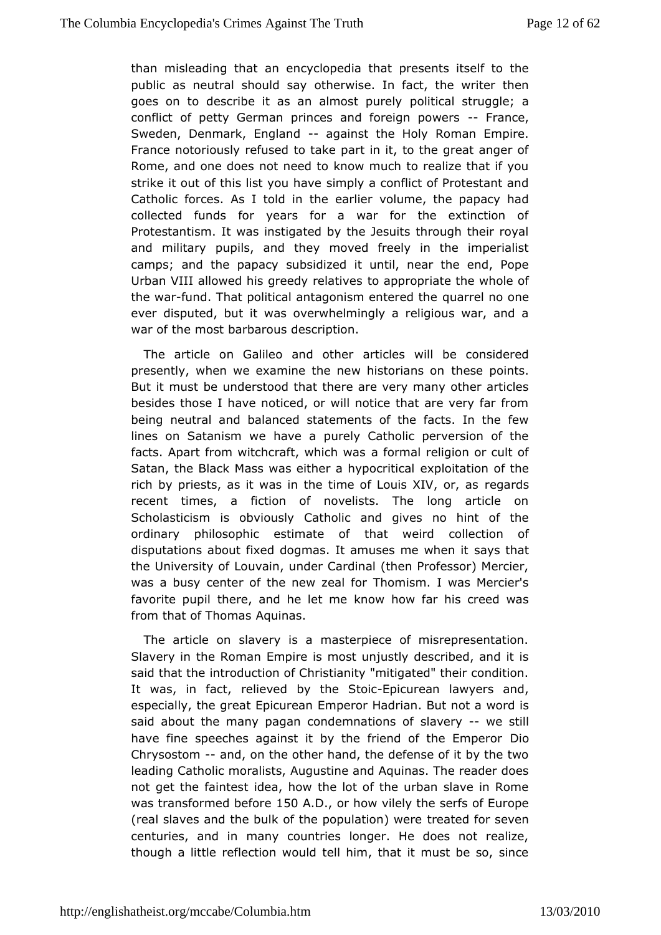than misleading ath a the cyclopedia that presents itself to the public as neutral shoutdeswise. In fact, the writer then goes on to describe it as an almomobitiopaulrestyruggle; a conflict of petty German princes and for Firam converse Sweden, Denmark, England nst the Holy Roman Empire. Francwotoriously refused to take part in it, to the great ange Rome, and one doote need to know much to realize that if you strike it out of this list symply a a econflict of Protestant and Catholic forces. As I told in vtohleu meea, rithe papacy had collected funds for years for a war for the extinction Protestantism. It was instigated by the Jesuits through their and militapupils, and they moved freely in the imperialist camps; and the paspuabosyidized it until, near the end, Pope Urban VIII allowed his greedty rappartic persiate the whole of the wafrund. That political antagonism qeunatrerreeldntohene ever disputed, but it was overwhelmingly a religious war, a war of the most barbarous description.

The article on Galileo amadtiother will be considered  $presently, when we examine the new **hike**  $to$  **is**$ But it must be understood that there are very many other art besides those I have noticed, or will notice that are very far being neutral and balanced statements of the facts. In the f lines on Satanism a wee a purely Catholic perversion of the facts. Apart from witchcraft, aw hoch aw arse ligion or cult of Satan, the Black Mass was either a xhoy pictratiin bad f the rich by priests, as it was in the time of Lroegias  $\alpha s$  V, or, as recent times, a fiction of novelists. The long article Scholasticiissm obviously Catholic and gives no hint of the ordinary philosophic estimthet wheird collection of disputations about fixed dogmas. It amusseesy smehathen it the University of Louvain, under Cardinal (then Professor) Me was a busy center of the new zeal for Thomism. I was Merc favorite pubelre, and he let me know how far his creed was from that of The mome isn as.

The article on slavery is a masterpiece of misrepresenta Slavery in the Roman Empire is most unjustly described, and said that ithe roduction of Christianity "mitigated" their condition It was, in fa**ct**, reved by the ESpticciocrean lawyers and, especially, the great Elpincouer necarn Hadrian. But not a word is said about the many pagan conders may to whave fstill have fine speeches against it by the friend Doot the Emperor Chrysostomand, on the other hand, the defense of it by the tw leadin Qatholic moralists, Augustine and Aquinas. The reader c not get the faindest how the lot of the urban slave in Rome was transformed beforthen, orhow vilely the serfs of Europe (real slaves and the bulk of the poptue attiend ) for exercicenturies, and in many countries longer. He does not real though a little reflection would tell him, that it must be so,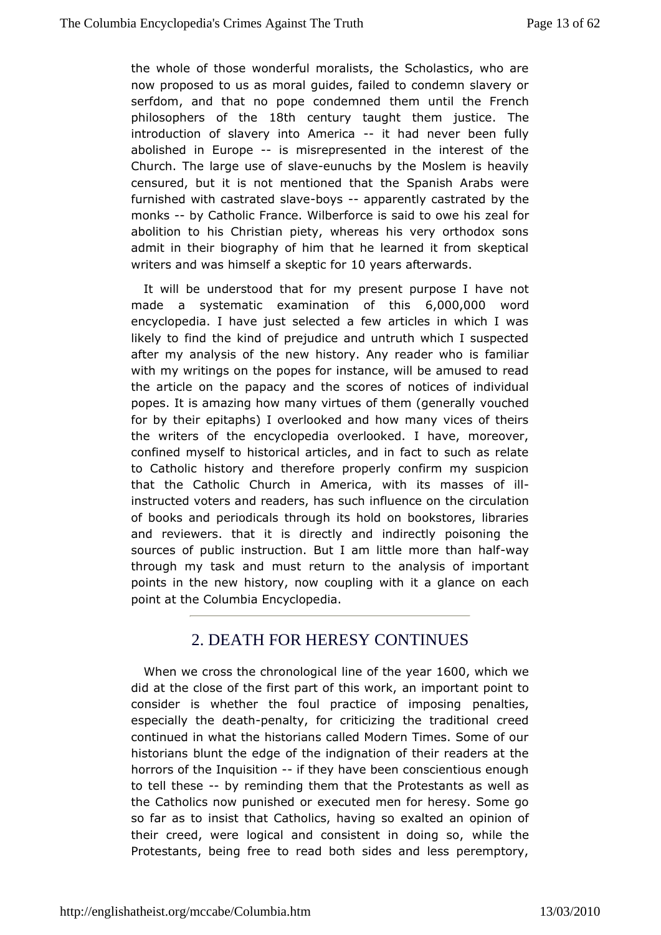the whole those wonderful moralists, the Scholastics, who a now proposed to msras guides, failed to condemn slavery or serfdom, and that no pope cothelemm nuendil the French philosophers of 18th century taught them. Tubsetice introduction of slavery into-Ameraidanever been fully abolished Eiunrope- is misrepresented in the interest of the Church. The large sulsae - end factor show the Moslem is heavily censured, but it is not mentitchneedSpthanaitsh Arabs were furnished with castrat-bodysslaapparent astrated by the monks-by Catholic France. Wilberforce is szeiadl tfoorowe his abolition to his Christian piety, whereas his very orthodox admith their biography of him that he learned it from skepti writers and hwiansself a skeptio yfears afterwards

It will be understood the purpose I have not made a systematic examination 6,0000th0i0s0word encyclopedia. I have just selected a few articles in which likely fond the kind of prejudice and untruth which I suspect after my analystis e of ew history. Any reader who is familiar with my writings on the pioptes an four, will be amused to read the article on the papacy and threo sice ses of of ndividual popes. It is amazing how many virtues of the uncheodenerally for by their epitaphs) I overlooked and how many vices of t the writers of the encyclopedia overlooked. I have, moreov confined mysehistorical articles, and in fact to such as relat to Catholic histortyhearredore properly confirm my suspicion that the Catholic Church in wAt the riitcsa, masses - of ill instructed voters and readers, has such  $\operatorname{\mathsf{crit}}$  fundation the of books and periodicals through its hold on bookstores, lib and reviewers. that it is directly and indirectly poisoning sources poutblic instruction. But I am little move a than half through my task and rentush to the analysis of important points in the new history, now collupaling by a my dehone ach point at the Columbia Encyclopedia.

#### 2. DEATH FOR HERESY CONTINUES

When we cross the chronological le  $\psi \circ \psi$  which we did at the close of the first part and ithipsometrant, point to consider is whether the foul practice pehalmesing especially the -peath ty, for criticizing the traditional creed continued in what the historians called Modern Times. Some  $\sqrt{ }$ historians blunt the edge of the indignation of their readers at  $t$ horrors of Itrhopuisition if they have been conscientious enough to tell thesbyreminding them that the Protestants as well as the Catholics now punies the exclusion of the resy. Some go so far as to insist that Catholics wahter and an sopinion of their creed, were logical and consistenwhiin ed thing so, Protestants, being free to read both sides and less peremp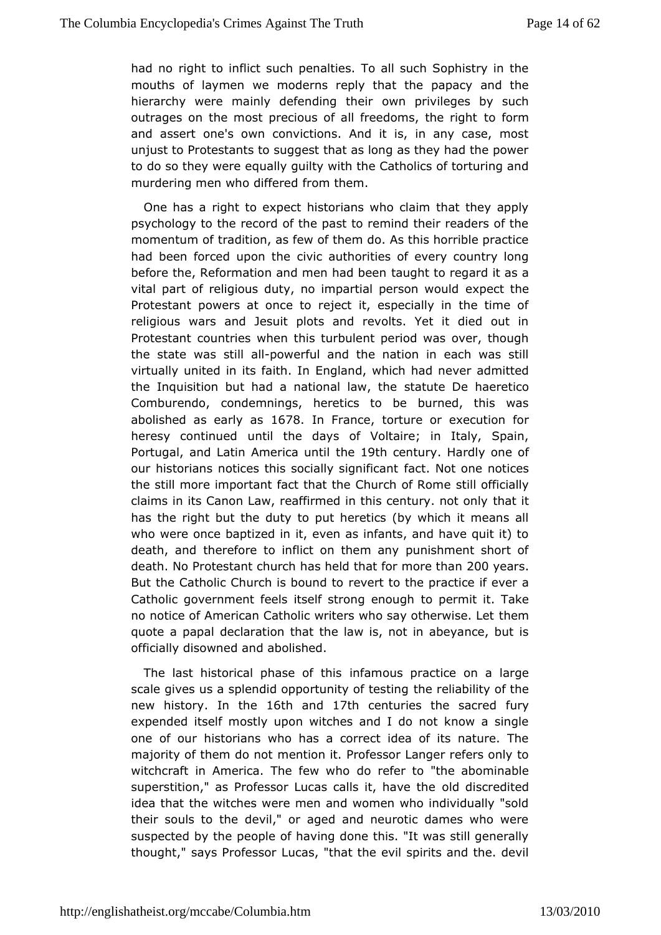had noight to inflict such penalties. To all such Sophistry in mouths of lay wen moderns reply that the papacy and the hierarchy were mainly defendowng phevileges by such outrages on the most precious of all freet om miss mather ight and assert one's own convictions. And it is, in any case, unjust Paotestants to suggest that as long as they had the pow to do so they evopually guilty with the Catholics of torturing and murdering men who dfirfolderret them.

One has a right to expect historians who claim that they a psychology to the record of the past to remind their readers momentum toradition, as few of them do. As this horrible practi had been forced up**o**n itcheauthorities of every country long before the, Reformation and metrathequalt beemegard it as a vital part of religious duty, no impartia expension hevould Protestant powers at once to reject it, especially in the time religious wars and Jesuit plots and revolts. Yet it died o Protestand untries when this turbulent period was over, though the state was asto blwerful and the nation in each was still virtually united in its **Haithand**, which had never admitted the Inquisition but had a nationsatlatlate, Dheehaeretico Comburendo, condemnings, heretics to be burned, this w abolished as ear1678stn Franctorture or execution for heresy continued il the days of Voltaire; in Italy, Spain, Portugal, and Latin Amethoeal Stuhn to lenturly ardly one of our historians notices this sociafbyctsigNmoificamethotices the still more important fact that the Cshtuirlch of bifc Rad hye claims in its Canon Law, reaffirmed in this the entitutry. not only has the right but the duty to put heretics (by which it mean whowere once baptized in it, even as infants, and have quit i death, and derefore to inflict on them any punishment short of death. No Protestanthals ulmehd that for mo200 the ants But the Catholic Church is doward dt dothe practice if ever a Catholic government feels itself stroomgeremiouigh Take no notice of American Catholic writers who stane motherwise. Let quote a papal declaration that the law is, not in abeyance, officially disowned and abolished.

The last historical phasenform bhuiss practice on a large scale gives us a splendid opportunihtey roeflitæbsitlining of the new historlyn the16th and17th centuries the sfauorryed expended itself mostly upon witches and I do not know a si one of obirstorians who has a correct idea of its nature. Th majority of them domento it. Professor Langer refers only to witchcraft in America. The dioe we fuel root of the abominable superstition," as Professor Lucas cald bid it, ishcare editated idea that the witches were men and women who individually ' their souls to the devil," or aged and neurotic dames who suspected by pthosple of having done this. "It was still generall thought," says Prolfesas; "that the evil spirits and the. devil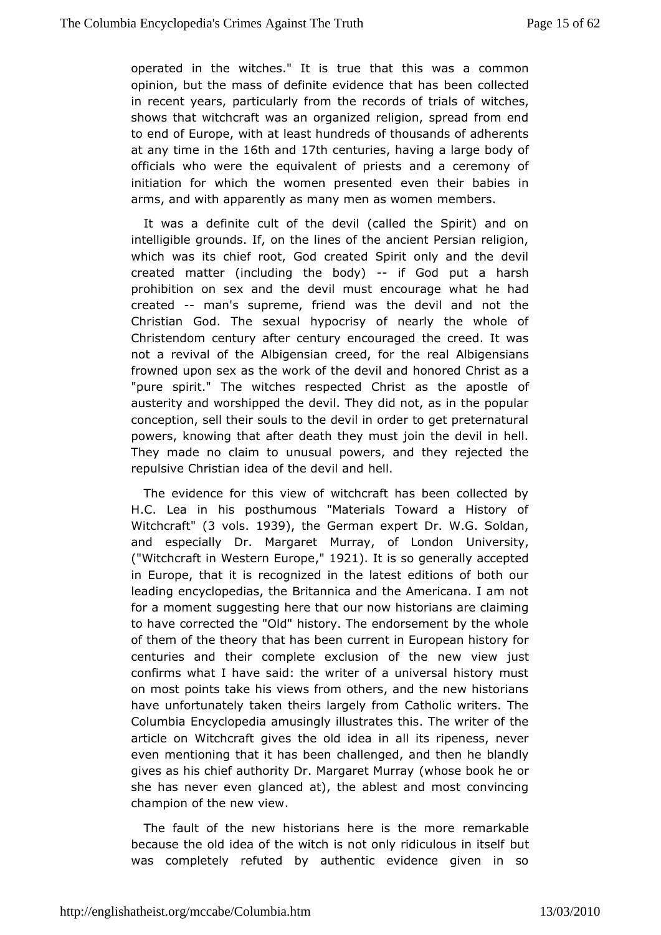operated in the witchestrudt theat this was a common opinion, but the mass of definite evidence and  $\theta$  dentared in recent years, particularly from the recwrideshees, trials of shows that witchcraft was an organized religion, spread from to endf Europe, with at least hundreds of thousands of adhere at any time in to the and 7th centuriles aving a large body of officials who werequhealent of priests and a ceremony of initiation for which the womenen weensethateeid babies in arms, and with apparently as many meme mabews men

It was a definite cult of the devil (called the Spirit) and intelligible grounds. If, on the lines of the ancient Persian r whichwas its chief root, God created Spirit only and the de created matter cluding the bodyf) God put a harsh prohibition on sex and the deenvoibumauste what he had created-- man's supreme, friend was the devil and not the Christian God. The sexual hypocrisy of nearly the whole Christendom cemafutey century encouraged the creed. It was not a revival of the Alboge endsiafor the real Albigensians frowned upon sex as the work of the monde will Calmidist as a "pure spirit." The witches respected Christ oas the apostl austerity and worshipped the devil. They did not, as in the  $p_1$ conception, sell their souls to the devil in order to get preter powersk, nowing that after death they must join the devil in he They made no claim utsoual powers, and they rejected the repulsive Christian idea of the Idevil and

The evidence for this view of witchcraft has been collecte H.C.Lea in his posthumous "Materials Toward a History Witchcraft vols1939 the German expert Dr. W.G. Soldan, and especially Dr. Margaret Murray, Univelreshtdyon ("Witchcraft in Western" Elald plet is so generally accepted in Europe, that it is recognized in the latest editions of bo leadingencyclopedias, the Britannica and the Americana. I am for a momenutggesting here that our now historians are claimin to have corrected the is "Colrdy". The endorsement by the whole of them of the theory that chuars ebnet eim European history for centuries and their complete exclussion vatewtheust confirms what I have said: the writer of a universal history must on most points take his views from others, and the new histo haveunfortunately taken theirs largely from Catholic writers. Columb Eancyclopedia amusingly illustrates this. The writer of article on Witchgoværtst the old idea in all its ripeness, never even mentioning that it hcahsalbeemegned, and then he blandly gives as his chief authority Dr. Margaboste Mbororkayhe or she has never even glanced at), the ablest and most convir champion of the new view.

The fault of the new historians herereisnathkeabnhoere because the old idea of the witch is not only bruidiculous in its was completely refuted by authentic evidence given in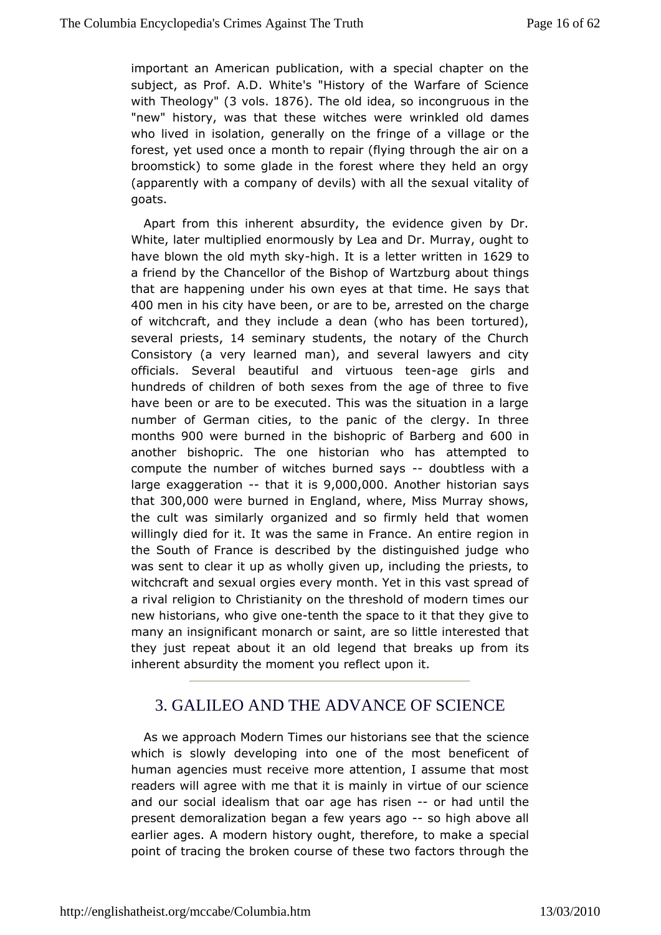important [American publicati](http://englishatheist.org/mccabe/Columbia.htmimportant)on, with a special chapter on th subject, as Prof. White's "History of the Warfare of Science with Theol'' o @gyvols187 \$. Theold idea, so incongruous in the "new" history, was that these wiwton hels ended dames who lived in isolation, generally on the fromgeheef a village forest, yet used once a month to repair (flying through the ai broomstick) to some glade in the forest where they held an (apparently with mpany of devils) with all the sexual vitality of goats.

Apart fromthis inherent absurdity, the evidence given by Dr. White, later multap birendously by Lea and Dr. Murray, ought to have blown the old m-whilighskiys a letter writtle6n29 to a friend by the Chancellor of the Brizsthuorg cafbout things that are happening under his own eyes as at that that he. He 400 men in his city have rbæreen to, be rested on the charge of witchcraft, and they include a dean (who has been torture several pries4sseminary students, the notary of the Church Consistory (a very learned msaene), radin dawyers and city officials. Several beautiful and  $v$  and  $q$  using tea emd hundreds of children of both sexes from the age of three to havebeen or are to be executed. This was the situation in a I number of Germatines, to the panic of the clergy. In three  $m$  on th $\mathcal{D}$  00 were burned inbitshoppric of Barbe 600 0 aimed another bishopric. The one historiaanttewn hote blasto compute the number of witches bu-rone odbislæys se with a largexaggeration hat it 9,000,000 nother historian says that300,000 wereburned in England, where, Miss Murray shows, the cult was similarly organized and irmly held that women willingly died for it. It was the same emtFreamegion in the South of France is described by the diswimguished judge was sent to clear it up as wholly given up, including the prie witchcraft and sexual orgies every month. Yet in this vast spr a rival ligion to Christianity on the threshold of modern times new historiawhso, give etmenth the space to it that they give to many an insignificamatch or saint, are so little interested that they just repeat about itegend dhat breaks up from its inherent absurdity the moment you iteflect upon

## 3. GALILEO AND THE ADVANCE OFSCIENCE

As we approach Modern Times our historiansenee that the which is slowly developing into one of the most beneficen humanagencies must receive more attention, I assume that mo readers will agreme with at it is mainly in virtue of our science and our social idealism atcheathearriseonr had until the present demoralization began a fewspehighambove all earlier ages. A modern history ought, theresfpoerei,ato make a point of tracing the broken course of these two factors through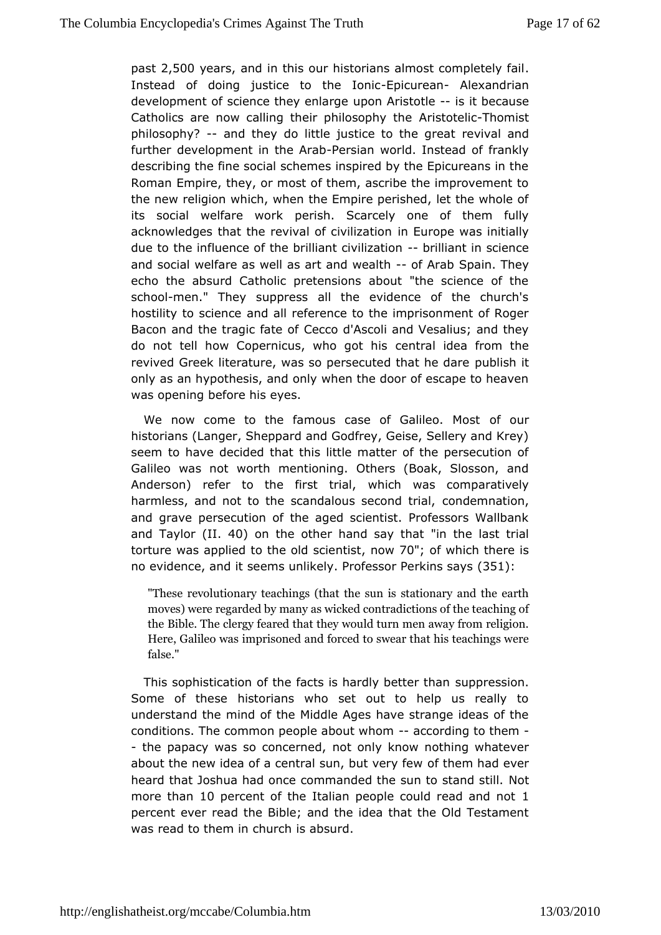past, 500 years and in this our historians almost completely fail Instead of dojiunsquice to the Elophic oure-an Alexandrian development of science theuy permilarige ette it because Catholics are now calling their pharostophy incomeist philosoph-y?and they do little justice torethey aghreaantd further development in the Arab world. Instead of frankly describing the fine social schemes inspired by the Epicureans Romaffimpire, they, or most of them, ascribe the improvement the new religinoinch, when the Empire perished, let the whole of its social welfare pwoirskh. Scarcely one of them fully acknowledges that the revival of ncEwird and in initially due to the influence of the brillia-nion cilvilating in science and social welfare as well as art-**and waspain.** They echo the absurd Catholic pretensions about "the science o schoom en." They suppress all the evidence of the church hostility to scaendcall reference to the imprisonment of Roger Bacon and the tragic Cfead eood Ascoli and Vesalius; and they do not tell how Copernicus, who entroath hidse a from the revived Greek literature, was so persecutpeudb tihs ant inte dare only as an hypothesis, and only when the door of escape to h wasopening before his eyes.

We now come to the famous case of Goalibeur. Most historians (Langer, Sheppard and Godfrey, Geise, Sellery and seemto have decided that this little matter of the persecution Galileo was wnootth mentioning. Others (Boak, Slosson, and Anderson) refer to the firwshict trialwas comparatively harmless, and not to the scandalous csed tem that indefinition, and grave persecution of the aged scientist. Professors Wall and Tayl(di. 40) on the other hand sa'iyn that last trial torture waapsplied to the old sciewantostof which there is no evidence, asnedemits unlik@tofessor Perkin(\$35\$tvs

"Thesevolutionary teachings (that the sun is stationary an moves) wegarded by many as wicked contradictions of the  $t\epsilon$ the Bibleclehey feared that they would turn men away from Here, Galileon pwassoned and forced to swear that his teaching false."

This sophistication of the facts is hardly proposition than Some of these historians who set out to help us really understand the mind of the Middle Ages have strange ideas c conditions. cTohnem on people about-wahcocrording to them - the papacy was so conncoent noendly know nothing whatever about the new idea of a central sunofb the ever had the waver heard that Joshua had once commanded the sNotto stand still more than percent of the Italian people could iread and not percent evead the Bible; and the idea that the Old Testamen was read to them in ishabsurd.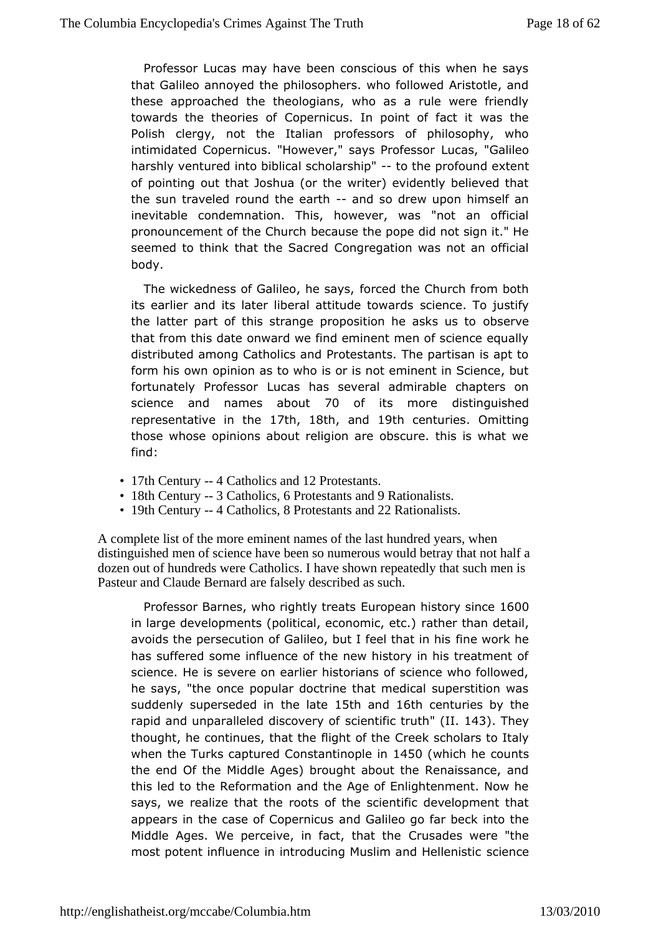[Professor Lucas may have](http://englishatheist.org/mccabe/Columbia.htmProfessor) been conscious of this when he that Galileo annoyed the philosophers. who followed Aristotle theseapproached the theologians, who as a rule were friend towards the theori Cospernicus. In point of fact it was the Polish clergy, not the prodesion and philosophy, who intimidated Copernicus. "However," slays a Pro" fo a bioteo harshly ventured into biblical s-cthoothes profoematdent of pointing out that Joshua (or the writer) evidently believed thesun traveled round the aemaditiso drew upon himself an inevitabloondemnation. This, however, was "not an official pronouncement of the belocuature the pope did not sign it." He seemed to think that the C Sangregulation was not an official body.

The wickedness of Galileofoheed atyhse, Church from both its earlier and its later liberal attsituid bectow Taord sustify the latter part of this strange proposition bhese raveles us to that from this date onward we find eminent men of science eq distributed among Catholics and Protestants. The partisan is form his oowpninion as to who is or is not eminent in Science, b fortunately Professas has several admirable chapters on science and names **about its mordeistinguished** representative in 7th e 18th, and 19th centuries mitting those whose opinions about religion are obscure. this is wh find:

 $\epsilon$  17th Century--4 Catholics and 2 Protestants € 18th Century-- 3 Catholics 6 Protestants an @ Rationalists € 19th Century-- 4 Catholics, 8 Protestants and22 Rationalists.

A complete list ofthe more eminent names of the last hundred years, when distinguished men of tience have been so numerous would betray that not half a dozen out of hundred sere Catholics. I have shown repeatedly that such men is Pasteur and Claude Bernard are falsely described as such.

Professor Barnes, who rightly opreexants history 1 \$100.00 e in large developments (political, ecanboerricthænt coletail, avoids the persecution of Galileo, but Ifinee work at him his has suffered some influence of the new history in his treatment science. He is severe on earlier historians of science who fo he saysthe once popular doctrine that medical superstition w suddenly superseded late5th and 6th centuries by the rapid and unparalleled diss $\overline{c}$  detimination  $43$ . They thought, he continues, that the Cliest stholars to Italy when the Turks captured Constain4t50 (wy philosophic bunds the end Of the Middle Ages) brought about the Renaissance, this leto the Reformation and the Age of Enlightenment. Now says, we realizethtehatoots of the scientific development that appears in the case of  $Capdir@i$ ixluiseo go far beck into the Middle Ages. We perceive, in fa $C$ rusthades the ere "the most potent influence in introducing Muslims can much ellenistic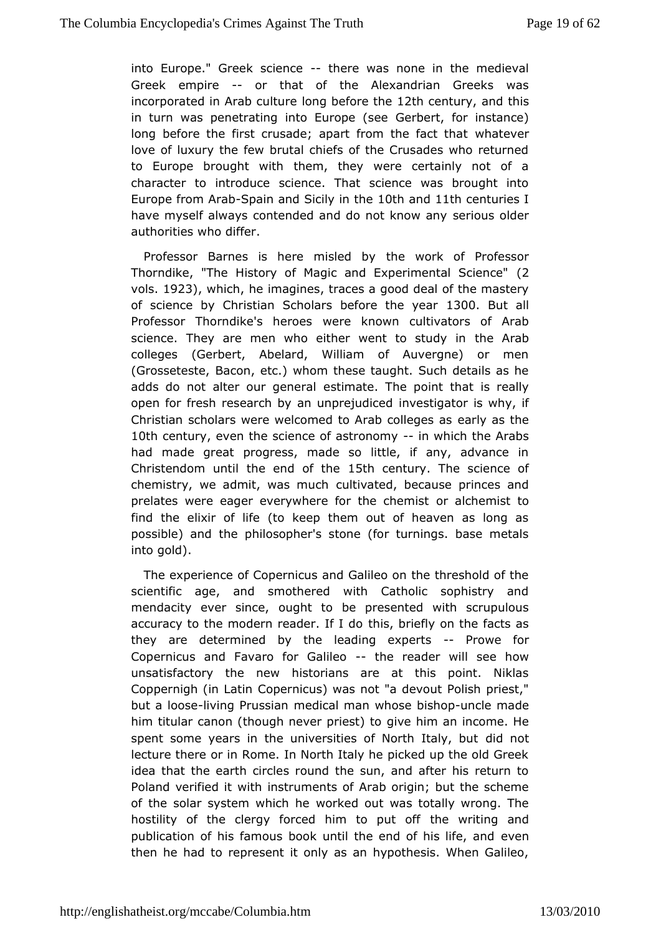into Europe." Greek scthece was none in the medieval Greekempire-- or that of the Alexandrian Greeks was incorporated in Arablongtubreefore 1t2th be centure ay nd this in turn was penetrating into  $E$  Greordoe rise feor instance) long before the first crusade; apart fromwhtatee whenct that love of luxury the few brutal chiefs of the Crusades who ret to Europe brought with them, they were certainly not of character to introsotuence. That science was brought into Europe from  $\sqrt{8}$  meabin and Sicily 1iontheory of 1th centuries I have myself always contended and do neticknsowlder authorities who differ.

Professor Barnes is here mthseled vobly of Professor Thorndike, "The History of Magic and Experi(2 antal Science  $vols1923$ , whic, hhe imagines a good deal of the mastery of scienbe Christian Scholars before 1300 Buetarall Professor Thorndike's wheeneoeknown cultivators of Arab science. They are men who either wentthteo Asitaulody in colleges (Gerbert, Abelard, William of Auvergne) or m (GrossetesBacon, etc.) whom these taught. Such details as h adds do not alter our generien reatle. The point that is really open for fresh research by an uimprees tuid acted is why, if Christian scholars were welcomed to Areabri $\nabla$  oaksedues as  $10$ th centure wen the science of astrom own hych the Arabs had made great progress, made so little, if any, advance Christendom unteilend of the entury he science of chemistry, we admit, was unhiuvanted, because princes and prelates were eager everywhere for oth alchemist to find the elixir of life (to keep them out of heaven as long possible) and the philosopher's stone (for turnings. base m intogold).

The experience of Copernicus and Galileo on the threshold scientific age, and smothered with Catholic sophistry mendacity ever somugent to be presented with scrupulous accuracy to the modern readteris, If blrid of y on the facts as they are determined by the leading Perxonweerts for Copernicus and Favaro for-Ghaelilre coader will see how unsatisfactory the new historians are at this point. Nil Coppernigh (in Capienrnicus) was not "a devout Polish priest," but a looksieing Prusmiandical man whose-binschepmade him titular canon (though nevegipeishim an income. He spent some years in the universities of Ndodtholttaly, but lecture there or in Rome. In North Italy he picked up the old ideathat the earth circles round the sun, and after his retur Poland verifiwdthitinstruments of Arab origin; but the scheme of the solar system whwiccrike hole out was totally wrong. The hostility of the clergy forced him the wruttinout and publication of his famous book until the end voefn his life, and then he had to represent it only as an hypothesis. When Ga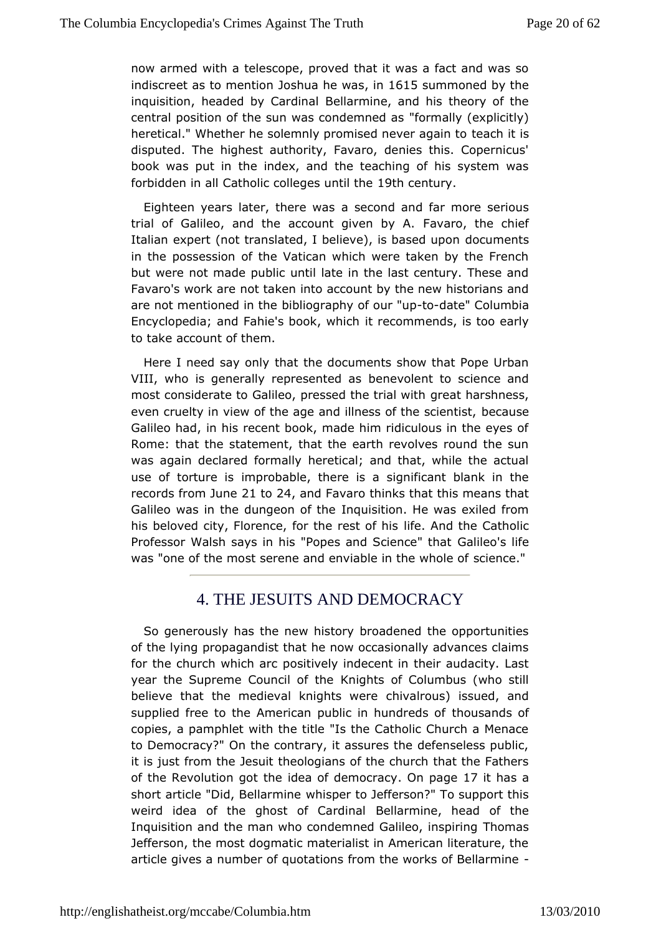now arme [with a telescope](http://englishatheist.org/mccabe/Columbia.htmnow), proved that it was a fact and was indiscreet as to muleansthinouma he, wina \$615 summoned by the inquisition, headed by EC ald dairmailne, and his theory of the central position of the sun was confindermeantleved ( $a$ explicitly) heretical." Whether he solemnly promised teneed he it algoain to disputed. The highest authority, Favaro, denies this. Coper book was put in the index, and the teaching of his system forbidden in Cantholic colleges unn Sthin the netury

Eighteen years later, theensee owo and and far more serious trial of Galileo, and the account Fgavano, by the chief Italian expert (not translated, I believe)doissub maesnede upon in the possession of the Vatican which were taken by the  $F_{\perp}$ butwere not made public until late in the last century. These Favaro's work attetaken into account by the new historians and are not mentioned binbiltihoegraphy of o-tuo-d"autpe" Columbia Encyclopedia; and Fahie's biotoke cw mime hends, is too early to take account of them.

Here I need say the documents show that Pope Urban VIII, who is generally reprebented ast to science and most considerate to Galileo, pressedgridencet threat blownerss, even cruelty in view of the age and illnes to endature scientist, Galileo had, in his recent book, made him ridiculous in the e Rome: that the statement, that the earth revolves round the was agadmeclared formally heretical; and that, while the actu use of torturempsobable, there is a significant blank in the records from 20 the 24, and Favaro thinks that this means that Galileo was in the dungebmq of sthion. He was exiled from his beloved city, Florence, for the fere sath of thes Catholic Professor Walsh says in his "Popes an GaSidieson's el'iftehat was "one of the most serene and enviables cnethose.whole of

## 4. THE JESUITS AND DEMOCRACY

Sogenerously has the new history broadened the opportunit of the lypropagandist that he now occasionally advances claim for the church whip bsatriovely indecent in their audacity. Last year the Supreme Council noght the of Columbus (who still believe that the medieval knights alweus) issued, and supplied free to the American public ith obusmachineesd so fof copies, a pamphlet with the title "Is the Catholic Church a M to Democracy?" On the contrary, it assures the defenseless public it is jufstom the Jesuit theologians of the church that the Fath of the Revolution hegoidea of demo@rnacpyag1e7 it has a short article "Did, Bewhlain supporter Jefferson?" To support this weird idea of the ghost of BGealradrimante, head of the Inquisition and the man who condemned Gahibero asinspiring Jefferson, the most dogmatic materialist in American literatur article gives a number of quotations from the works of Bellarr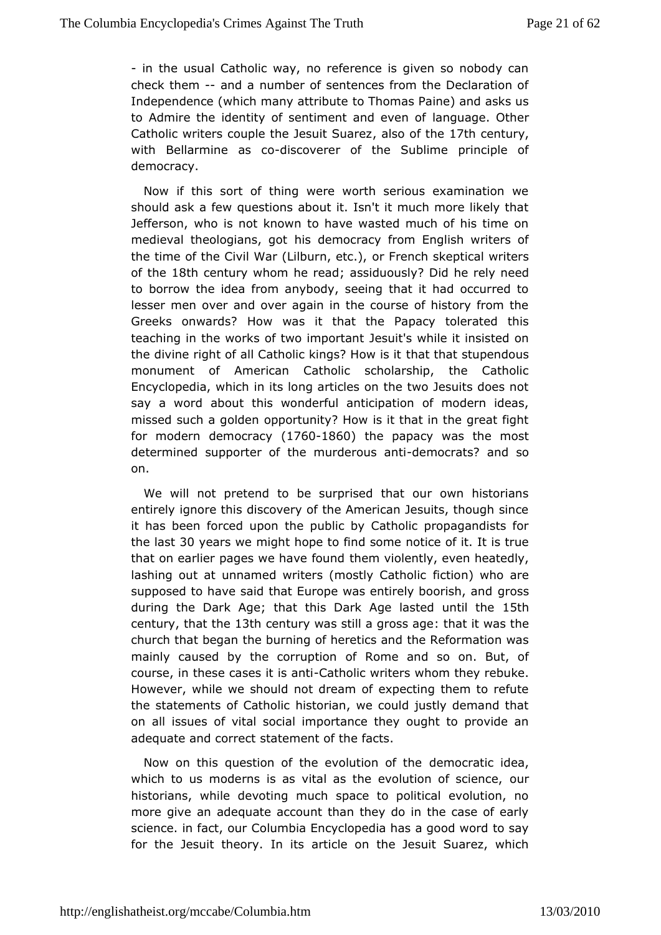- in the sual Catholic way, no reference is given so nobody a check themand anumber of sentences from the Declaration of Independence (which many tat firm to the Paine) and asks us to Admire the identity of sentiment landuagen Other Catholic writers couple the Jesusio  $\delta t$  at the neury, with Bellarmine adsiscooverer of the Sublime principle of democracy.

Now if this sort of thing were worth serious examination should ask a few questions about it. Isn't it much more likely Jeffersownho is not known to have wasted much of his time o medieval theologianhsis or theoracy from English writers of the time of the Civil War (Lilour Fingue to the skeptical writers of the 8th century whom hears esaiduou? s Dyidhe rely need to borrow the idea from anybody, seeing that it had occurre lesser men over and over again in the course of history fror Greeks onwards www was it that the Papacy tolerated this teaching in the works of two Jienspubt'ts a muthile it insisted on the divine right of all Catholic kinhanst? the aw sits uptendous monument of American Catholic scholarship, the Cathol Encyclopedia, which in its long articles on the two Jesuits do say a wordbout this wonderful anticipation of modern ideas missed such a  $q$  oppothe muturity? How is it that in the great fight for modern democ( $1a76001860$  the papacy was the most determined supporter of the murddernowsrætnamenid so on.

We will not pretend to be surprised that our own histori entirely ignore this discovery of the American Jesuits, though it has befeor ced upon the public by Catholic propagandists f the last upears we migoropte to find some notice of it. It is true that on earlier pages we hawe mfound the ntly, even heatedly, lashing out at unnamed writers (mositd wio Chatholdic are supposed to have said that Europe was entigeby sboorish, and during the Dark tAngae this Dark Age lasted 1u5thbil the centuryhat the3th century was still a gthas idgwas the church that began burning of heretics and the Reformation was mainly caused by the coofurcome and so on. But, of course, in these cases  $G$  a tilso ainctiwriw borown they rebuke. However, while we should not dream of expecting them to re the statements of Catholic historian, we could justly demand on all issuésvital social importance they ought to provide a adequate and cositractet ment of the facts.

Now on this question of the evolute moculation eidea, which to us moderns is as vital as the evolution of science historians, while devoting much space to political evolution more givan adequate account than they do in the case of ear science. in fac $\mathfrak{C}$ , obum bia Encyclopedia has a good word to say for the Jesuit theory artinclies on the Jesuit Suarez, which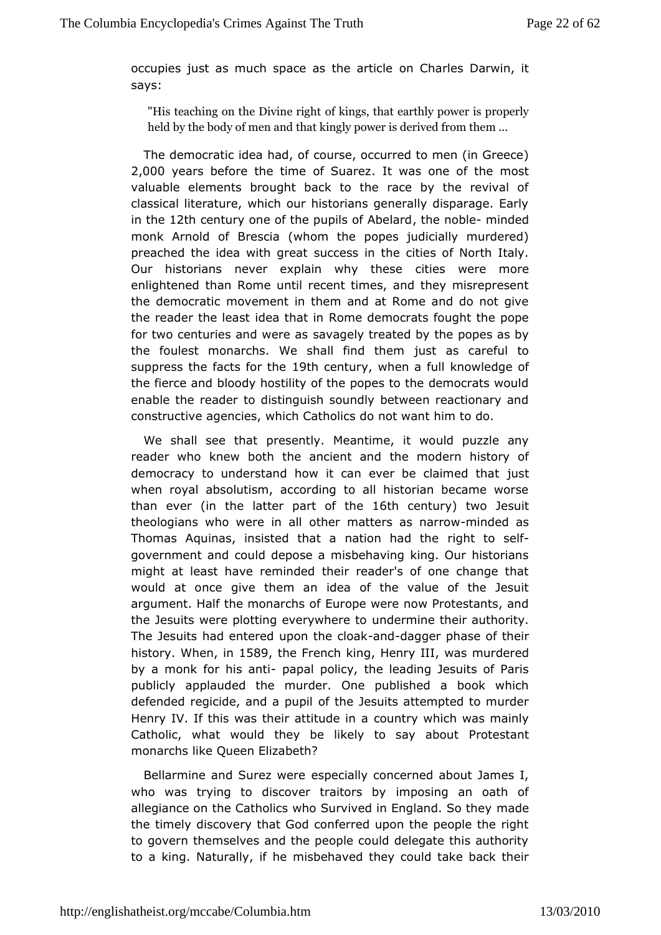[occupies just as much spac](http://englishatheist.org/mccabe/Columbia.htmoccupies)e asonth 6 haartlieds e Darwin, it says:

"His teaching on the  $\Phi$ fivkinneg sigthtat earthly power is properly held by the body of mkeem gay op ot where is derived from them  $\dots$ 

The democratic idea choauds only occurred to men (in Greece) 2,000 years before the time of It Sourage reached of the most valuable elements brought back to the race by the revival classical literature, which our historians generally disparage in th $e2$ th century one of the pupils, to **i**fe Antone blame dinded monk Arnold Boéscia (whom the popes judicially murdered) preached the idea with undereat in the cities of North Italy. Our historians never explain w hivieshewere more enlightened than Rome until recent times, and they misrepre the democratic movement in them and at Rome and do not give the reader the ildee ast that in Rome democrats fought the pope for two centuries and swae rangely treated by the popes as by the foulest monarchs. We shall just and the mareful to suppress the facts forth the nturwhen a full howledge of the fierce and bloody hostility of the popes to the democrats enable the reader to distinguish soundly between reactionary constructive agencies, which Catholics do not want him to do.

We shall see phasently. Meantime, it would puzzle any reader who knew both the an the modern history of democracy to understand how it can ever bjeusdlaimed that when royal absolutism, according to all historian became w than evern the latter part dfothheentury wo Jesuit theologians who wereotime ralmhatters as nearrond wed as Thomas Aquinas, insisted that a natriogrhth and stabel government and could depose a misbehaving king. Our historians might at least have reminded their reader's of one change would at oncoieve them an idea of the value of the Jesuit argument. Half the mon&ucrope of were now Protestants, and the Jesuits were plotting eveupwhere their authority. The Jesuits had entered uponant dideage bear hase of their historyWhenin1589the French , khihegnry II was murdered by a monk for hispaptal policy, the leading Jesuits of Paris publiclyapplauded the murder. One published a book which defended regicide, and fathepille suits attempted to murder Henry IV. If this was their atdottundter yinwhaich was mainly Catholic, what would they be likely  $t\bar{\theta}$  rostæystantbout monarchs like Queen Elizabeth?

Bellarmine and Sure especially concerned about James I, who was trying to discover triamipoorssing yan oath of allegiance on the Catholics who Survived in mEand get and. So they the timely discovery that God conferred upon the people the to govethemselves and the people could delegate this author to a king. Naturahley, misbehaved they could take back their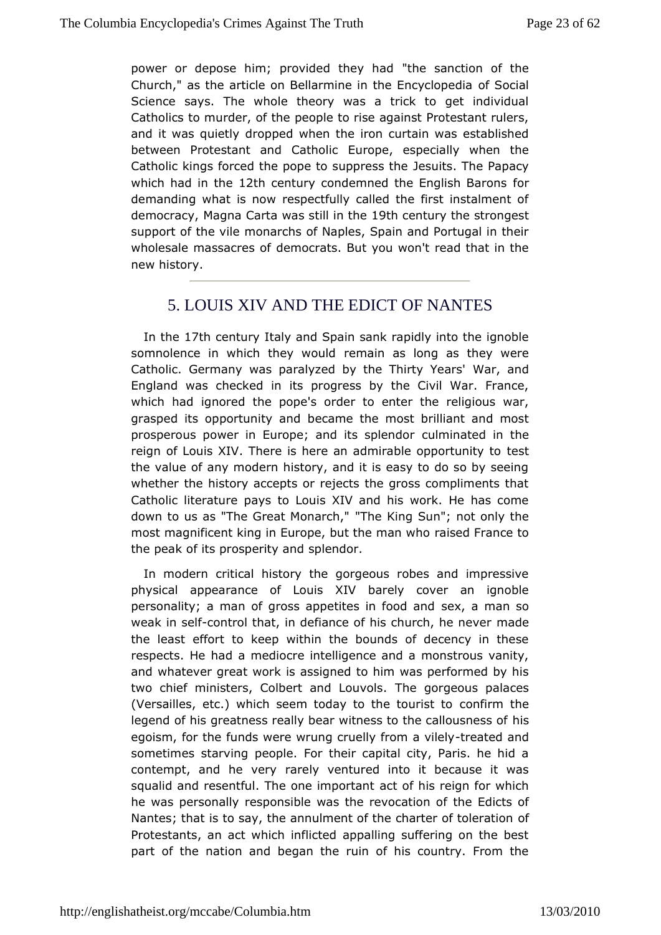[power or depose him; pr](http://englishatheist.org/mccabe/Columbia.htmpower)ovided "they shad tion of the Church," as the article on Bellarmine in tonfe SEonco at lopedia Science says. The whole theory was a trick to get indivi Catholitos murder, of the people to rise against Protestant rule and it was quderbly ped when the iron curtain was established between Protestant and Eatopeic especially when the Catholic kings forced the pope to Jeaspupites of the Papacy which had in 12th century condemned the English Barons demanding what is now respectfully called the first instalme democrad wagna Carta was still 9tilm deetury the strongest support of the monderchs of Naples, Spain and Portugal in their wholesale massacdemodrats. But you won't read that in the new history.

## 5. LOUIS XIV AND THE EDICT OF NANTES

In the 7th centulrty ald Spain sank rapidly into the ignoble somnolence in which the wound as long as they were Catholic. Germany was paralyzed by the Wah, iray of ears' England was checked in its progress by the Civil War. Fra which had nored the pope's order to enter the religious wa grasped its opportunbtocame the most brilliant and most prosperous power in Europe; and ctus msimulaetred dorin the reign of Louis XIV. There is here an admirable estopportunity to the value of any modern history, and it is easy to do so by s whethethe history accepts or rejects the gross compliments t Catholic literplayse to Louis XIV and his work. He has come down to us as "The Great Momeark hng Sun"; not only the most magnificent king in Europe, butrahiseen a France to the peak of its prosperity and splendor.

In moderonritical history the gorgeous robes and impressiv physical appearance of XIV oubsarely cover an ignoble personality; a man of gross appetites eixn, fao omdamansdo weak in sed fitrol that, in defiance of his chumalde he never the least effort to keep within the bounds of decency in t respects. Had a mediocre intelligence and a monstrous vanity and whatever great worsk ginsed to him was performed by his two chief ministers, Colbert and he couported be palaces (Versailles, etc.) which seem today to comefit mouthset to legend of his greatness really bear witness tohtise callousness egoism, for the funds were wrung cruel-lty efarbend a andlely sometimestarving people. For their capital city, Paris. he hid contempt, and he rae eyy ventured into it because it was squalid and resentful. The on**e** citm onfor this anteign for which he was personally responsible was the three vEodciacttisom fof Nantes; that is to say, the annulment of the charafriter of toleration Protestants, an act which inflicted appalling suffering on the part of the nation and began the ruin of his country. From the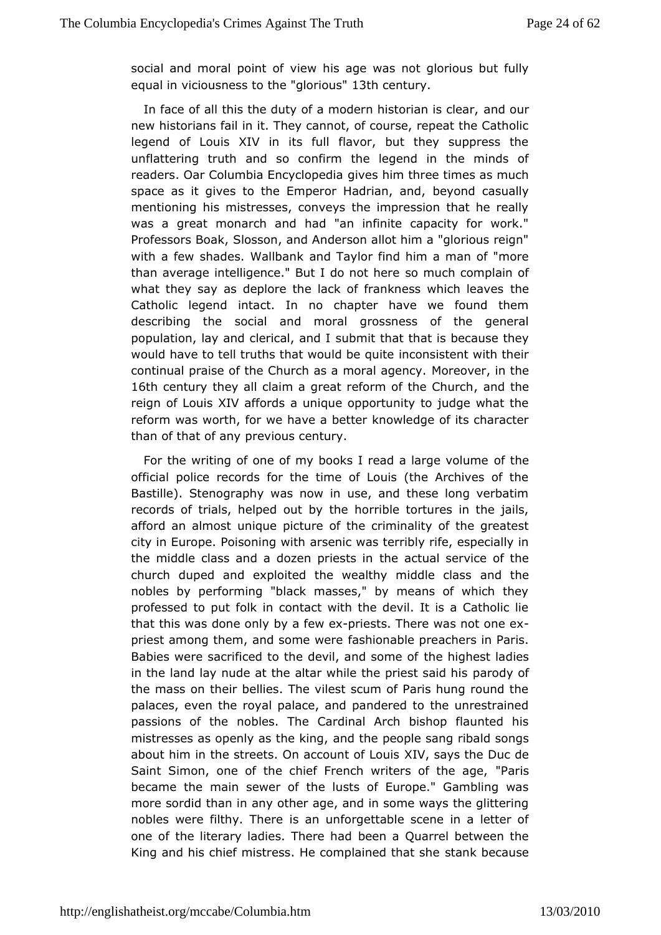[social and moral point of](http://englishatheist.org/mccabe/Columbia.htmsocial) is age was not glorious but fully equal in viciousness to the 13th core ous" y

In face of all this the duty of a modern has to boan is clear, new historians fail in it. They cannot, of course, repeat the C legend of Louis XIV in its full flavor, but they suppress unflattering taunto so confirm the legend in the minds of readers. Oar Columbia Encoyior leximathree times as much space as it gives to the Emperor Hagadyroinand, caansdu, ally mentioning his mistresses, conveys the impression that he really was a great monarch and had "an infinite capacity for wo Professors BSblæk, son, and Anderson allot him a "glorious reign" with a few shades. WanhlobaTrakylor find him a man of "more than average intelligence." But Isdomnuccth heorenplain of what they say as deplore the lack of frankneths which leave Catholic legend intact. In no chapter have we found the describing the cial and moral grossness of the general population, lay and clerisab, mandhlat that is because they would have to tell truths that wo unkdo besistent their continual praise of the Church as a Mhomenoi vægeningythe 16th century they all claim a great reform, aonfdtthe Church reign of Louis XIV affords a unique opportunity to judge wha reform was rth, for we have a better knowledge of its charact than of that opmeny jous century.

For the writing of one of my books I read of the ge volume official police records for the time of Louis (the Archives Bastille). Stenography was now in use, and these long verb records torfals, helped out by the horrible tortures in the jail afford an almumsique picture of the criminality of the greatest city in Europe. Poisonainsgenwicthwas terribly rife, especially in the middle class and a dozenthoeriasts ailn service of the church duped and exploited the wealthy a middline class nobles by performing "black masses," by means of which t professed pud folk in contact with the devil. It is a Catholic that this was donbyoalfew-pepiests. There was not one expriest among them, and sofmashwo erræble preachers in Paris. Babies were sacrificed to the devilthæn bligs benset baddies in the land lay nude at the altar while the apoidey sto fsaid his the mass on their bellies. The vilest scum of Paris hung round palaces, even the royal palace, and pandered to the unrestr passions of nobles. The Cardinal Arch bishop flaunted his mistresses as openly as at the the got appeople sang ribald songs about him in the streets. On accold out, osfay southse Duc de Saint Simon, one of the chief French write Psaros the age, became the main sewer of the lusts of Europe." Gambling more sord hoan in any other age, and in some ways the glittering nobles were filthy is hear eunforgettable scene in a letter of one of the literary ladies. Deneareah adarrel between the King and his chief mistress. He complsatianeld bleatausshee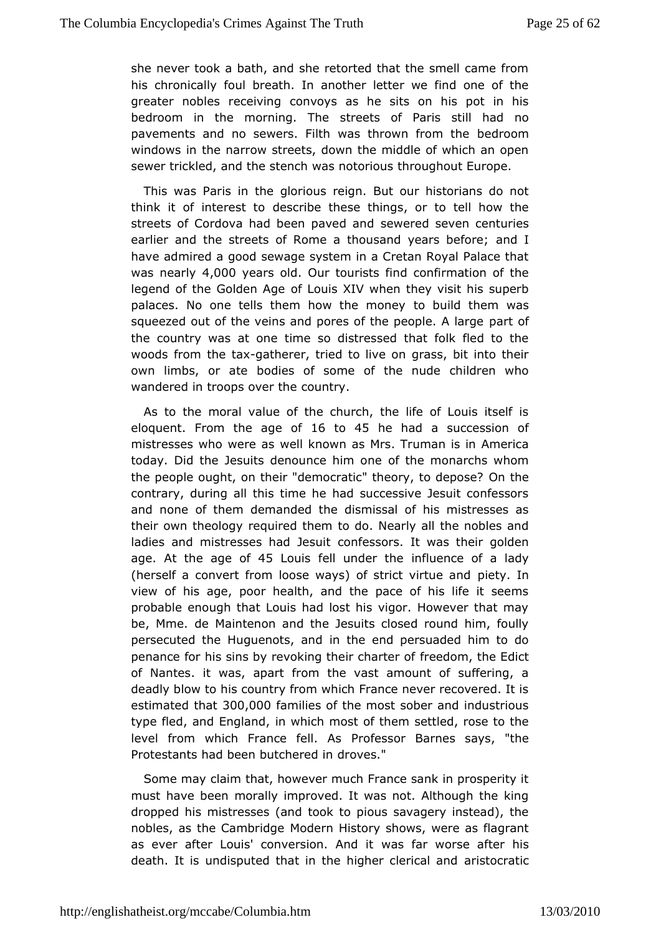[she never took a bath,](http://englishatheist.org/mccabe/Columbia.htmshe) and she retorted that the smell came his chronically foul breath. In another letter we find one o greater nobleseiving convoys as he sits on his pot in his bedroom in the mornings.treToltes of Paris still had no pavements and no sewers. Filth was thrbow hroform the windows in the narrow streets, down the middle of which an sewetrickled, and the stench was notorious throughout Europe

This was Parishe glorious reign. But our historians do not think it of interedsets to the these things, or to tell how the streets of Cordova had been paweded nsdeven centuries earlier and the streets of Rome a thousand not ars before; have admired a good sewage system in a Cretan Royal Palace was near4y 000 years oldur tourists find confirmation of the legend of the Goldem Ageis XIV when they visit his superb palaces. No one tells them how tto hebumiloon et whem was squeezed out of the veins and pores of the portion field and a the country was at one time so distressed that folk fled to woodsfrom the toaxtherer, tried to live on grass, bit into their own limbs, or baotobies of some of the nude children who wandered in troops ooveeuntthe.

As to the moral value of the church, the life of Louis its eloquenFrom the age 1 \to 45 he had a succession of mistresses who wewellaknown as Mrs. Truman is in America today. Did the Jesuits denounce thim monarchs whom the people ought, on their "democratic" the Ouryth to depose? contrary, during all this time he had successive Jesuit conf andnone of them demanded the dismissal of his mistresses their own theorlog guired them to do. Nearly all the nobles and ladies and mistresses hacomifies a otrs. It was their golden age At the age 45 f Louis fell undern fthe more of a lady (herself a convert from loose ways) of spriectty.vilmtue and view of his age, poor health, and the pace of his life it s probable enough that Louis had lost his vigor. However that be, Mme. Maintenon and the Jesuits closed round him, foull persecuted the Huguenoins, the end persuaded him to do penance for his sins by revoking the eredom, teheoffedict of Nantes. it was, apart from the vast amount of suffering deadly blow to his country from which France never recovered estimated at300,000 a milies of the most sober and industrious type fled, and Engriawholich most of them settled, rose to the level from which France Predfes Aser Barnes says, "the Protestants had been butdhoeves. In

Some may claim that, however much France sank in prosperi must have been morally improved. It was not. Although the dropped hmisstresses (and took to pious savagery instead), th nobles, as the CamModdegren History shows, were as flagrant as ever after Louis' conversi**ones And wich se** after his death. It is undisputed that in the highaer is a bearia bild and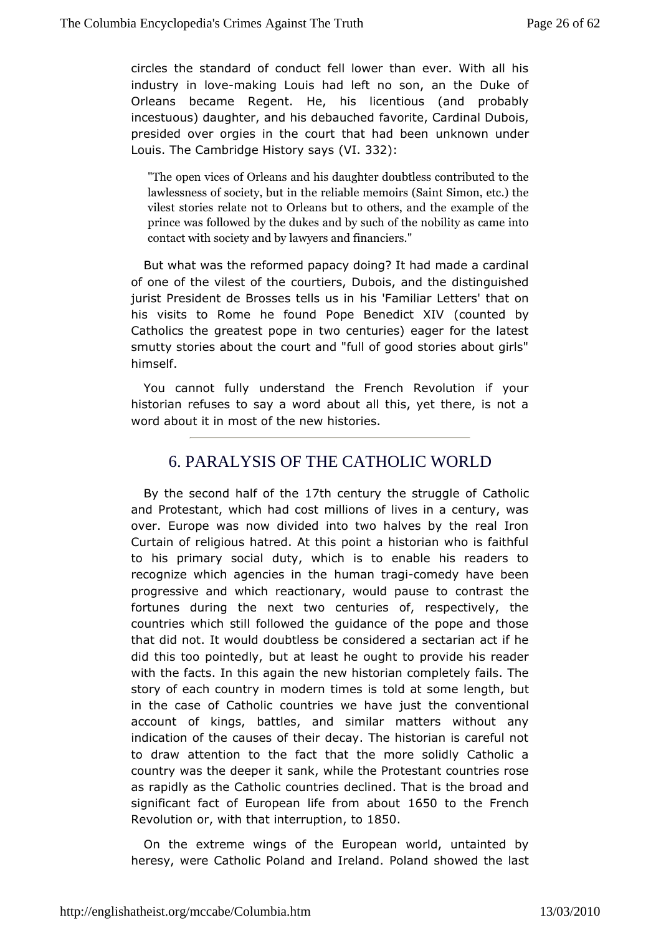[circles the standard of c](http://englishatheist.org/mccabe/Columbia.htmcircles)onduct fell lower than ever. With  $\varepsilon$ industry in - how being Louis had left no son, an the Duke of Orleans becaRegent. He, his licentious (and probably  $incestuous)$  daughter, and his favorited factor of pubois, presided over orgies in the court thant had who beeder LouisThe Cambridge Histo(Nyl \$323s

"Thepen vices of Orleans and his daughter doubtless contri lawlessness of society, but in the reliable memoirs (Saint & vilest stories relate not to Orleans but to others, and the prince was followed by the dukes and by such of the nobilit contact with society and by lawyers and financiers."

But what was reformed papacy doing? It had made a cardinal of one of the vilest courthers, Dubois, and the distinguished jurist President de Brosseshti**s**li<sup>s</sup> amsilimar Letters' that on his visits to Rome he found Pope B(comentative Xbl) W Catholics the greatest pope in two centuries) eager for the smutty stories about the court and "full of good stories about himself.

You cannot fully understand the French Revolution if y historian refuses to say a word about all this, yet there, is word about tin most of the new histories.

## 6. PARALYSIS OF THECATHOLIC WORLD

By the second half 1 $\sigma$ fhthcentury the strug Capal teh on line and Protestant, which had cost millions of lives in a century over. Europe was now divided into two halves by the real Curtain roefligious hatred. At this point a historian who is fait to his primapycial duty, which is to enable his readers to recognize which agencies umman the recommedy have been progressive and which reactionary, wocuolndtrpassusteheto fortunes during the next two centuries of, respectively, countries which still followed the guidance of the pope and that did nottwould doubtless be considered a sectarian act if did this too poinbulat least he ought to provide his reader with the facts. In this angeawinhits teorian completely fails. The story of each country in modetaldimatessaine length, but in the case of Catholic countries we choan ween tuisoth a he account of kings, battles, and similar matters without any indication of the causes of their decay. The historian is care to drawattention to the fact that the more solidly Catholic country was the despek, iwhile the Protestant countries rose as rapidly as the Catholic deolumer des That is the broad and significant fact of European life 16f500mto abhoeut French Revolution wath that interrupdion 50

On theextreme wings of the European world, untainted by heresy, were Catholica Problared and. Poland showed the last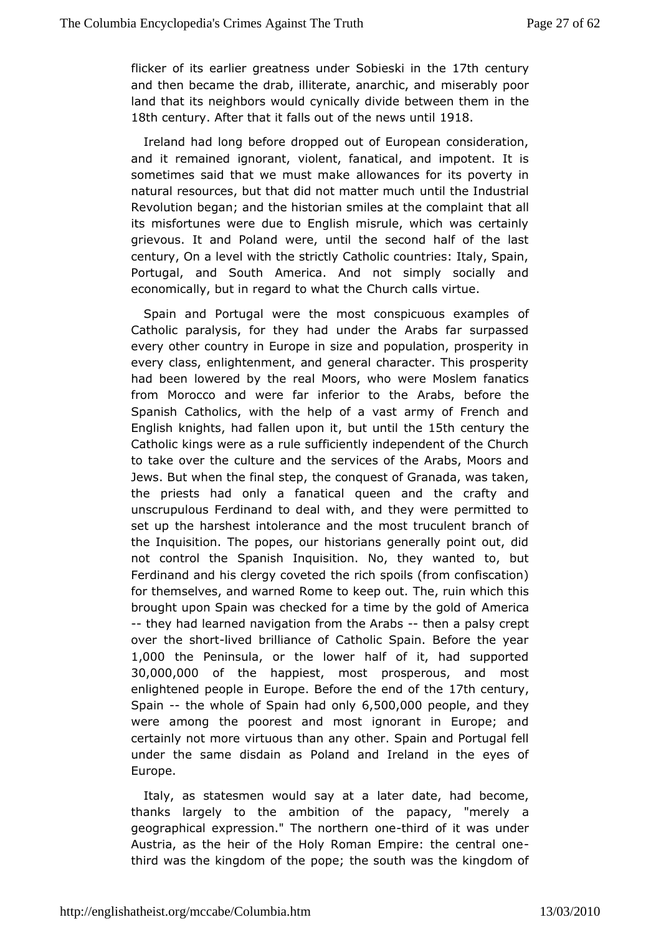[flicker of its earlier grea](http://englishatheist.org/mccabe/Columbia.htmflicker)tnSeosbsieusnkoleim 1the century and then became the drab, illiterate, maiseralbily, pagnodr land that its neighbors would cynically dividet beetween them in 18th centur enter that it falls out of the 10 0 W suntil

Irelandad long before dropped out of European consideratic and it remained ignoincalent, fanatical, and impotent. It is sometimes said that we mussItlowwances for its poverty in natural resources, but that did not um aithet hem luncchustrial Revolution began; and the historian smiles  $t$  and  $t$  had complaint its misfortunes were due to English misrule, which was cert grievous. It and Poland were, until the second half of the century, Ohevael with the strictly Catholic countries: Italy, Spa Portugal, and SAunterica. And not simply socially and economically, but in regard to hwhealt that Is virtue.

Spain and Portugal were the most conspicubus examples Catholic paralysis, for they had under the Arabs far surpa every othosoruntry in Europe in size and population, prosperity every classlightenment, and general character. This prosperi had been lowered breath Moors, who were Moslem fanatics from Morocco and were far inferAonabso bleefore the Spanish Catholics, with the help of a vast army of French English knightad fallen upobnutituntil the bentury the Catholkings were as a rule sufficiently independent of the Church to take over ctuhleure and the services of the Arabs, Moors and Jews. But when the final steep quest of Granada, was taken, the priests had only a fanatical to use eonratiny dand unscrupulous Ferdinand to deal with, and they were permitte set up the harshest intolerance and the most truculent brand theInquisition. The popes, our historians generally point out not control Shpeanish Inquisition. No, they wanted to, but Ferdinand and his clergy hoso viectle dspoils (from confiscation) for themselves, and warned Rome The exerging withich this brought upon Spain was checked for a time mby riba gold of --they had learned navigation from tithe an A arapbasisy crept overthe sholritved brilliance of Catholic Spain. Before the year 1,000 the Peninsula, or the lower half of it, had supported 30,000,000 the happiems ost prosperous, and most enlightened people in Europe. Before the enecent of ythe Spain-the whole of Spain h $6d500$ , 000 eopleand they were among the poorest and most ignorant in Europe; a certainly not miorteous than any other. Spain and Portugal fell under the same disdain and and Ireland in the eyes of Europe.

Italy, as statesmen woulda slater at date, had become, thanks largely to the ambition of the papacy, "merely geographical expression." The ntchritrhderonf otnewas under Austria, the heir of the Holy Roman Empire: the central one third was the kingdomp oppt; hethe south was the kingdom of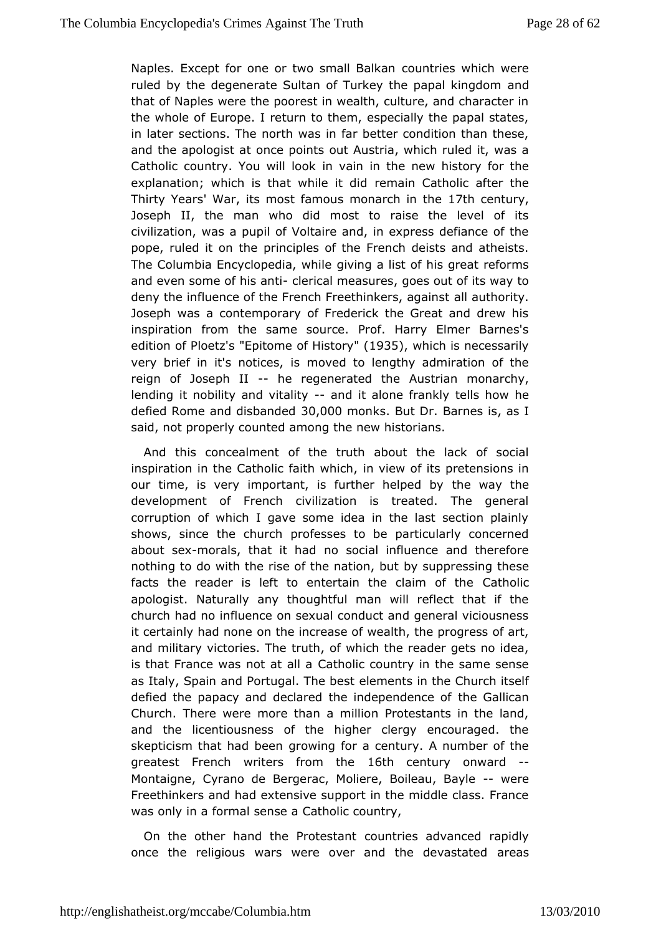[Naples. Except for one or](http://englishatheist.org/mccabe/Columbia.htmNaples) two scroaultht Biaelsk awn hich were ruled by the degenerate Sultan of Turkey the mpdapal kingdom that of Naples were the poorest in wealth, culture, and charat thewhole of Europe. I return to them, especially the papal states in lat $\epsilon$  ections. The north was in far better condition than the and the apologics tcat points out Austria, which ruled it, was a Catholic country. You inilled in the new history for the explanation; which is that whe meain Caltholic after the Thirty Yeal Varits most famous monarch 7th ctehnetury, Joseph II, the man who did most to raise the level of civilizatiwas a pupil of Voltaire and, in express defiance of  $t$ pope, ruled it operithe ples of the French deists and atheists. The Columbia Encyclopedgia, invghial elist of his great reforms and even some of hicsleamidial measures, out of its way to deny the influence of the French Freethailn kæuthoargtayinst Joseph was a contemporary of Frederick the Great and drew inspiration from the same source. Prof. Harry Elmer Barn edition of  $P$ lo'Estpzi'tsome of Hi's t(109 $\$ 5, which is necessarily very brief in it's notmocevse, disto lengthy admiration of the reign of Joseph- he regenerated Atthe arian monarchy, lending it nobility and -vaint allity alone frameniklisy how he defied Rome and dis **30,000 monks But DrBarnes**, ass I said, not properly counted among the new historians.

And this concealorfenthe truth about the lack of social inspiration in the Catholic fianithiewhich, its pretensions in our time, is very important, is furthethen ewlough the bey development of French civilization is treated. The gene corruption of which I gave some idea in the last section pl shows, sinthe church professes to be particularly concerne about seaworals, that it nbastocial influence and therefore nothing to do with the rise of the matippressing these facts the reader is left to entertain the Cathaomhic of the apologist. Naturally any thoughtful man will reflect that if churchad no influence on sexual conduct and general viciousr it certainly hadomothee increase of wealth, the progress of art, and military victoriesuth, hot which the reader gets no idea, is that France was not Canthaollica country in the same sense as Italy, Spain and Portugal. Thenbesin the Church itself defied the papacy and declared the ind the edd bling and f Church. There were more than a million Protestants in the and the licentiousness of the higher clergy encouraged. 1 skepticism that had thoweing for a century. A number of the greatest French writers from the the ury onward Montaigne, Cyrano de Bergerac, Moliere, Bovileeau, Bayle Freethinkers and had extensive support in the middle class. F was only if me ranal sense a Catholic country,

On the other hand the Prodentairets advanced rapidly once the religious wars were over and the eadsevastated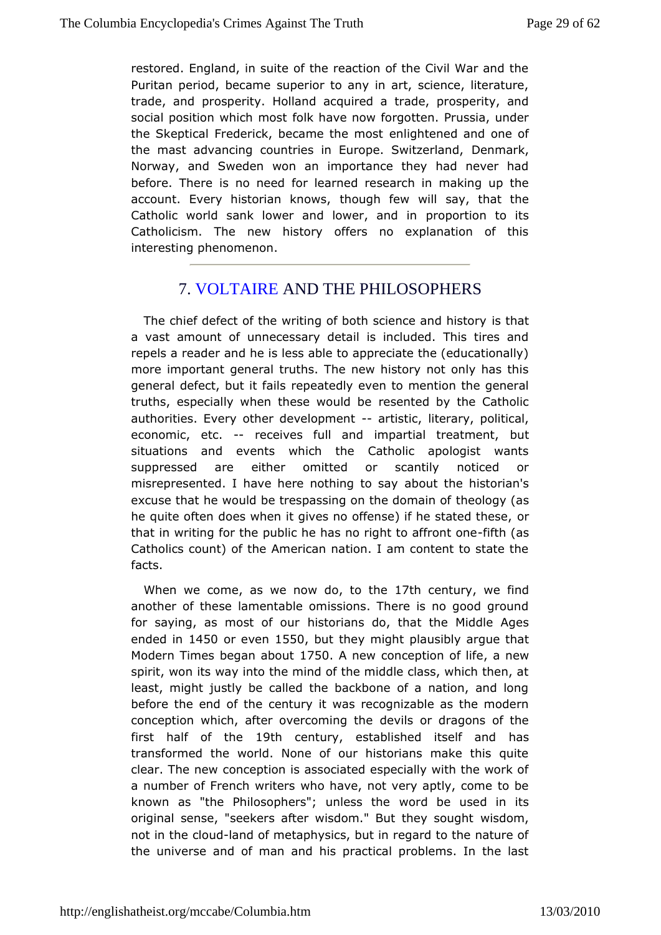[restored. England, in suite](http://englishatheist.org/mccabe/Columbia.htmrestored) of the reaction of the Civil War a Puritan period, became superior to any in art, science, liter trade, amodosperity. Holland acquired a trade, prosperity, and social position which bolk have now forgotten. Prussia, under the Skeptical Frederick, became in thing the most and one of the mast advancing countries in EuropeDeSsmidzke, rland, Norway, and Sweden won an importance they had never h before. The seno need for learned research in making up the account. Every historianth bonuo whis, few will say, that the Catholic world sank lower and lowe op oat hideninto its Catholicism. The new history offers no explanation of interesting phenomenon.

# 7. VOLTAIRE AND THE PHILOSOPHERS

The chief defect of the writing of both scient the and history a vast amount of unnecessary detail is included. This tires repelsraader and he is less able to appreciate the (educationally) more importgeneral truths. The new history not only has this general defect, butretpeaitles dly even to mention the general truths, especially when theserews combined book the Catholic authorities. Every other developime bintiterary, political,  $e$  conomic,  $e$  *a*  $e$ . receives full and impartial the atment, situations and events which the Catholic apologist wa suppressed a *e*ither omitted or scantily noticed or misrepresented. I have here nothe hoogut to the earth is mistorian's excuse that he would be trespassing onthe belogy math of he quite often does when it gives no offense) of he stated the that in writing for the public he has no right tho (as front one Catholics count) of the American nation. I am content to stat facts.

When we comes we now,  $d\omega$  the  $7t$ h century e find another to these lamentable omissions. There is no good groun for saying, as most hoifs towirans do, that the Middle Ages ended in450 or event550 but they mighausibly argue that Modern Times began1 a 50 At new conception, a fine bive spirit, won its way into the mind of the middle class, which th leastmight justly be called the backbone of a nation, and Ic before the end odenhery it was recognizable as the modern conception which, after overcobenviing obnedragons of the first half of 19th century established itselfhæsnd transformed the world. None of our historians make this q clear. The new ception is associated especially with the work a number of French wwhictehrave, not very aptly, come to be known as "the Philosophers"; word redssbetheased in its original sense, "seekers after wisdom." Bouitsdbeny sought not in the claud of metaphysics, but in regard to the nature o theuniverse and of man and his practical problems. In the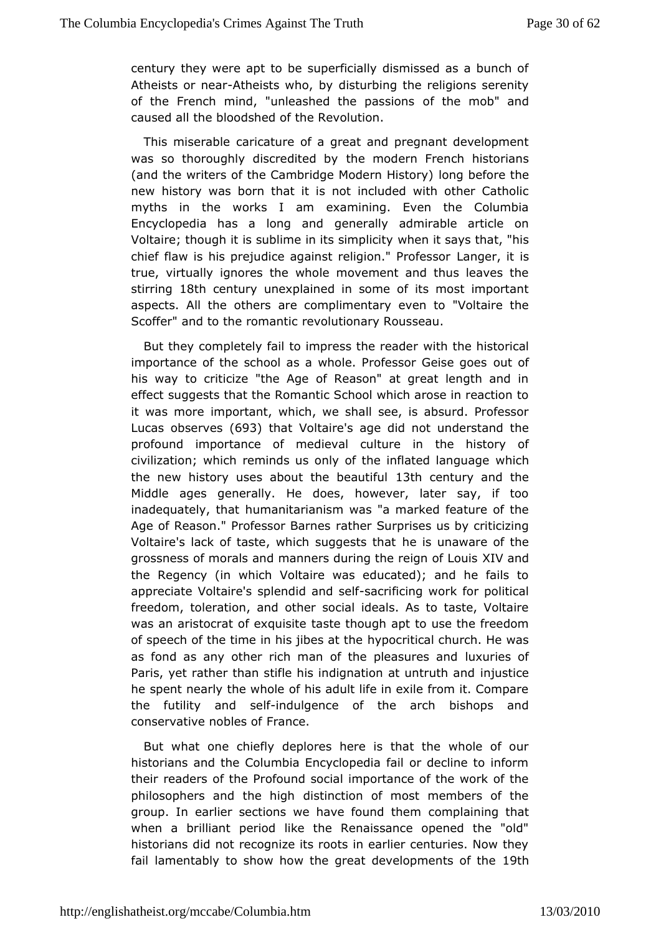century they wapteto be superficially dismissed as a bunch of Atheists or -  $A$  debeists who, disturbing the religions serenity of the French mind, "unleashed tho the phass smoon bs" and caused all the bloodshed of the Revolution.

This miseradale cature of a great and pregnant development was so thoroughly discrethieed moddern French historians (and the writers of the Cambridge Moldbeagn bhet for the  $($ new history was born that it is not included with other Catholic myths in the works I am examining. Even the Columbi Encyclopedia has a longophenadlly admirable article on Voltaire; though it is sublime in  $\ddot{\textbf{w}}$  interpreticulary when  $\ddot{\textbf{s}}$  when  $\ddot{\textbf{s}}$ chief flaw is his prejudice against religion. Professsor true, virtually ignores the whole movement and thus leaves stirring8th century unexplained in some of its most importan aspects. Allottheers are complimentary even to "Voltaire the Scoffer" and to the roenvanituitionary Rousseau.

But they completely fail to impresweith the three and strorical importance of the school as a whole. Profecsusto of Geise goes his way to criticize "the Age of Reason" at great length and effecstuggests that the Romantic School which arose in reaction it was moimeportant, which, we shall see, is absurd. Profess Lucas obser(6es thatVoltaire's age did not understand the profound importance of medieval tchueltuhriestoiny of civilization; which reminds us only of the iw hliathed language the new history uses about the 3th eacet in fluory and the Middle aggenerally. He does, however, later say, if too inadequately, htumatanitarianism was "a marked feature of the Age of Reason." Professoat Barn Susrprises us by criticizing Voltaire's lack of taste, which shung giosstus at he are of the grossness of morals and manners during the Veagd of Louis the Regency (in which Voltaire was educated); and he fail apprecial oltaire's splendid -sacrificing work for political freedom, toleraation, other social ideals. As to taste, Voltaire was an aristocrat of etxaqsulesitheough apt to use the freedom of speech of the time in his hippenscaittitcheel church. He was as fond as any other rich man of the pulexasiuerse sofand Paris, yet rather than stifle his indignation jastumeruth and he spent nearly the whole of his adult life in exile from it. Com the futility and-instelligence of the arch bishops and conservative nobHessnote.

But what one chiefly deplores here is that the whole of historians and the Columbia Encyclopedia fail or decline to their readefsthe Profound social importance of the work of th philosophers and the listing the tion of most members of the group. In earlier sections we have comupiloai hinem that when a brilliant period like the Renaissance opened the historians did not recognize its roots in earlier centuries. No faillamentably to show how the great develop Sthe is of the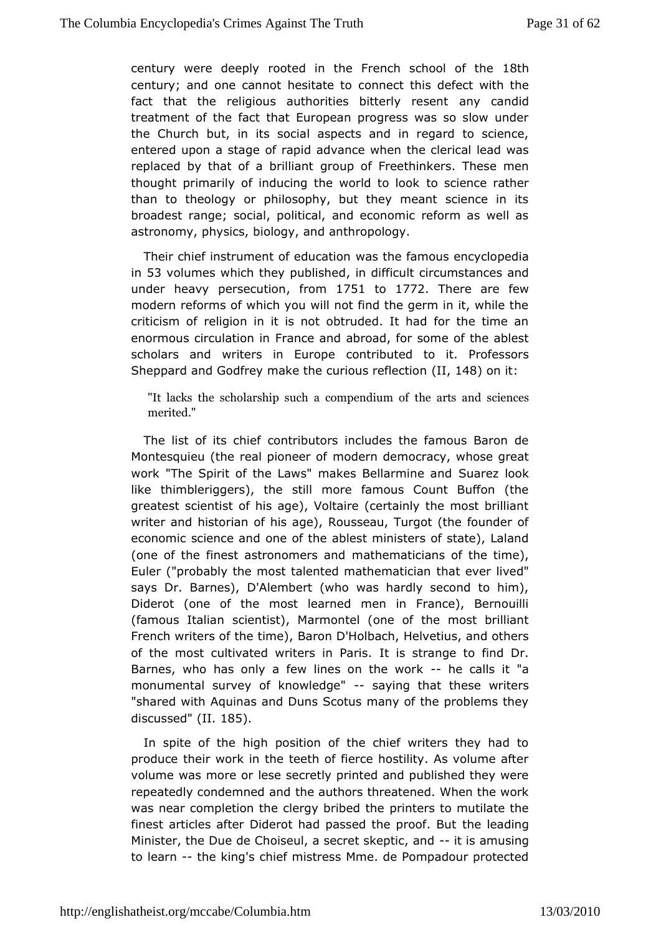century were dereopoliyed in the French schooll&thof the century; and one cannot hesointate ecttothis defect with the fact that the religious authorities biatheyricanedset ant treatment of the fact that European progress was so slow u the Church but, in its social aspects and in regard to scie entered upon a sfagæpid advance when the clerical lead was replaced by that of a dorrolul panoff Freethinkers. These men thought primarily of inducing the wtorlsdciteon deokather than to theology or philosophy, but they meant science in broadest range; social, political, and economic reform as w astronomyhysics, biology, and anthropology.

Their chief instrument of weductation mous encyclopedia in53 volumes which they puiblied hie ideouilntcumstances and under heavy persecutrion 1751 to 1772 There are few modern reforms of which you will not find the germ in it, whil criticism refigion in it is not obtruded. It had for the time a enormous circulat Foance and abroad, for some of the ablest scholars and writers in chatpion and to it. Professors Sheppard and Godfrey make the curious  $40$  fon ecttion

"It lacks the scholarship such  $an$   $\theta$  and  $d$  ms  $\omega$  fences merited."

The list of its coomiter fibutors includes the famous Baron de Montesquieu (the real pion deernodemocracy, whose great work "The Spirit of the Laws" makes B& Ulaarrenzinle oaknd like thimbleriggers), the still more famous Count Buffon greatest scientist of his age), Voltaire (certainly the most b writeand historian of his age), Rousseau, Turgot (the founde economic sciencenændf the ablest ministers of state), Laland (one of the finest astronomethematicians of the time), Euler ("probably the most talented mtanthematiclianed" says Dr. Barnes), D'Alembert (who was hardly second to h Diderot (one of the most learned men in France), Bernot (famous Italsanentist), Marmontel (one of the most brilliant French writers of the Baron D'Holbach, Helvetius, and others of the most cultivated writerst ins Bariange to find Dr. Barnes, who has only a few lines onhebceal wsonk "a monumental survey of knowleadygien"g that these writers "sharewdith Aquinas and Duns Scotus many of the problems th discussed"  $1(85)$ .

In spite of the high position of the chief writers they ha produce their work in the teeth of fierce hostility. As volume volume wans re or lese secretly printed and published they we repeatedly condemnende and thors threatened. When the work was near completion the clergy p bimide to the mutilate the finest articles after Diderot had passed thten elepardoionfg But Minister, the Due de Choiseul, a secretits keep tiscing nd to learnthe king's chief mistress Mme. de Pompadour protecte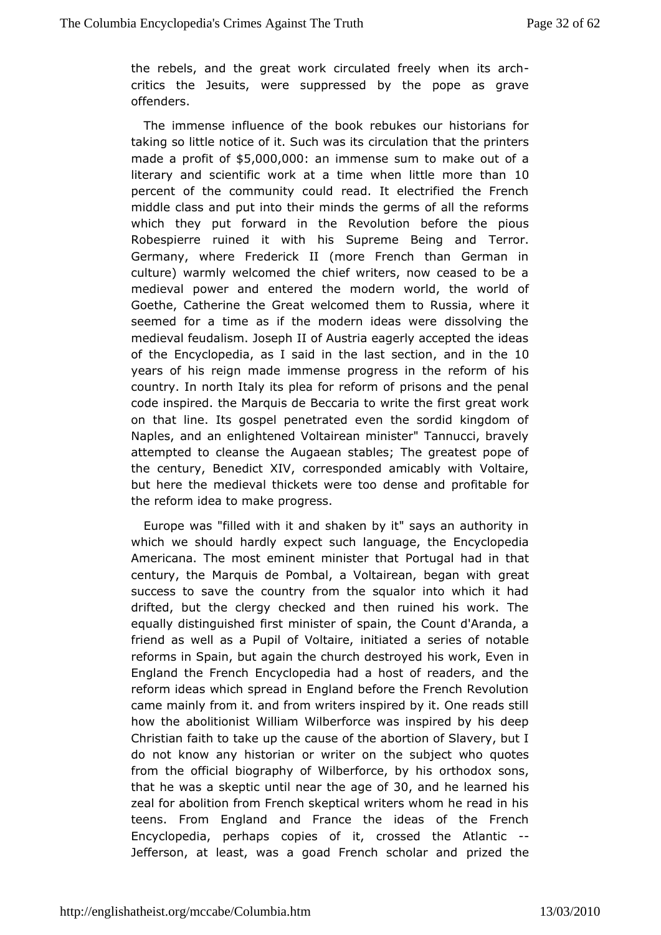[therebels, and the grea](http://englishatheist.org/mccabe/Columbia.htmthe)t work circulated freely when its ar critics the Jeswietrse, suppressed by the pope as grave offenders.

The immense influence book rebukes our historians for taking so little notice of it. Ssuncchul wa a iso mits hat the printers made a profi $$5,000,0.00$  immense summato e out of a literary and scientific work at a time when  $\textsf{I}$  interary and scientific work at a time when  $\textsf{I}$  interal percent of the community could read. It electrified the French middle class paint dinto their minds the germs of all the reforms which they put forward Rrevolhetion before the pious Robespierre ruined it with his SupremeTeBreaing and Germany, where Frederick II (more French than German culture) warmey comed the chief writers, now ceased to be a medieval power and entemeddethine world, the world of Goethe, Catherine the Great welcomed the entert in Russia, seemed for a time as if the modern ideas were dissolving medievaludalism. Joseph II of Austria eagerly accepted the id of the Encyclopæsdia, said in the last  $\mathbf{a}$  and the  $\mathbf{b}$ years of his reign made pomoncernesses in the reform of his country. In north Italy its plea fporisenfos raandfthe penal code inspired. the Marquis de Beccaria to rewartit we or the first on that line. Its gospel penetrated even the sordid kingdom Naples, and an enlightened Voltairean minister" Tannucci, bravely attempted dleanse the Augaean stables; The greatest pope o the century, Benedicctor Yte be ponded amicably with Voltaire, but here the medieval thickets ewnese at to profitable for the reform idea to make progress.

Europe was illed with it and shaken by it" says an authority which we should heard pole such language, the Encyclopedia Americana. The most eminent miPhostegath antad in that century, the Marquis de Pombal, a Voltairecerne, atbegan with success to save the country from the squalor into which it drifted, ut the clergy checked and then ruined his work. Th equally distinguishend nisteetr of spain, the Count d'Aranda, a friend as well as a Pupil oifni Vicaltteadirea, series of notable reforms in Spain, but again the chuhds weskroged in England the French Encyclopedia had a host of readers, an reform ideas which spread in England before the French Revo came maintym it. and from writers inspired by it. One reads s how the aboliti Whilstam Wilberforce was inspired by his deep Christian faith to take a upset hoef the abortion of Slavery, but I do not know any historian or thwe itseub penct who quotes from the official biography of Wilber of the odd, oby soming, that he was a skeptic until nea $BQ$  haen da ghee dearneed zeal for abolition from French skeptical writers whom he read teens.From England and France the ideas of the French Encyclopedia, perhaps copies roossed the Atlantic Jefferson, at least, was a goad French riszoehdoltahre and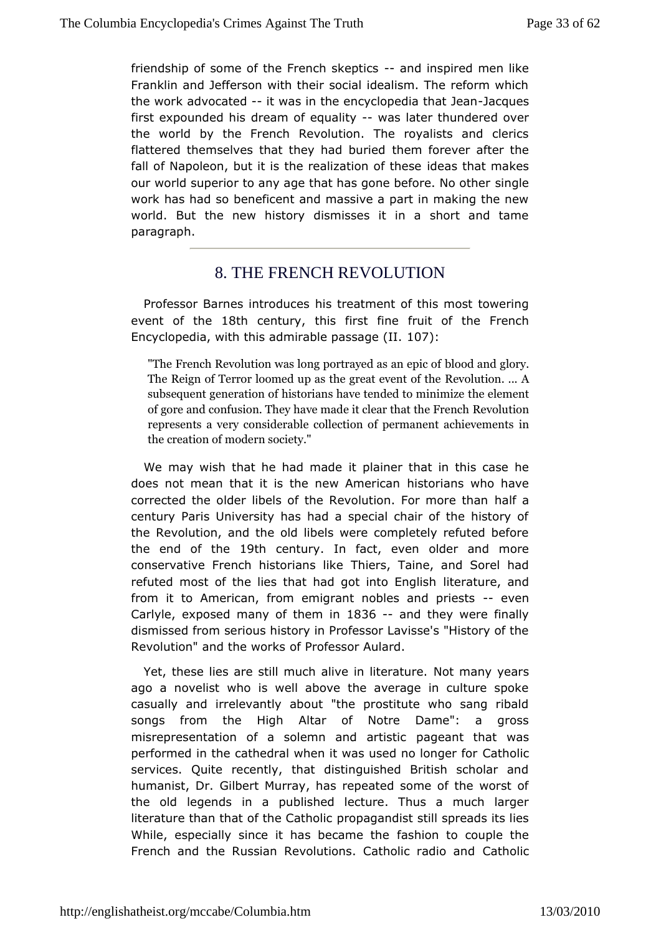[friendship of some of the Fr](http://englishatheist.org/mccabe/Columbia.htmfriendship)en-chansokein bilisioned men like Franklin and Jefferson with their social idealism. The reform the worakd vocated it was in the encyclopedia Jtahcaqtuesan first expounded rheam of equality as later thundered over the world by the FRewohution. The royalists and clerics flattered themselves that they the admotituring derivation the fall of Napoleon, but it is the realizate izon to fatt heasures our world superior to any age that has gonesbenghee. No other work has had so beneficent and massive a part in making the world But the new history dismisses it in a short and tam paragraph.

## 8. THE FRENCH REVOLUTION

Professor Barnes inthosduceatment of this most towering event of the the centur whis first ffinueit of the French Encyclopedia, with this admirable  $10\overline{a}$ ssage (II.

"The French Revolution was long pobtoanded nads adorepic of The Reign of Terror loomed up as the voorleuato event Af the subsequent generation of historians hat whe teel need he to minimize of gore and confusion. They have made Rievod buatriot that the French Revolution represents a very considerable collection of inpermanent ac the creation of modern society."

We may wish that he had moted er that in this case he does not mean that it is the newhisAtmoeirains anwho have corrected the older libels of the Revolutiom.alffoa more than century Paris University has had a special chair of the hist theRevolution, and the old libels were completely refuted be the end of the the centurin facteven older and more conservative French historiianies slik Teaine, and Sorel had refuted most of the lies that had golitient at LET reglias that from it to American, from emigrant nobles eared priests Carly, lexposed many of the 8036-n and they were finally dismissed fsemious history in Professor Lavisse's "History of t Revolution" and the of w Professor Aulard.

Yet, these lies are still much aliveN ont mitaenyatyueraers ago a novelist who is well above the average in culture s casually and irrelevantly about "the prostitute who sang r songs from the gheat Altar of Notre Dame": a gross misrepresentation of a solemn approachant at was performed in the cathedral when it was us $\mathfrak E$  dat the lionger for services. Quite recently, that distinguished British scholar humanist, Dr. Gilbert Murray, has repeated some of the wor the old legendsa published lecture. Thus a much larger literature than that of the roat algoring dist still spreads its lies While, especially since it has bees chain to the couple the French and the Russian Revolutions. Cat Gathcoliadio and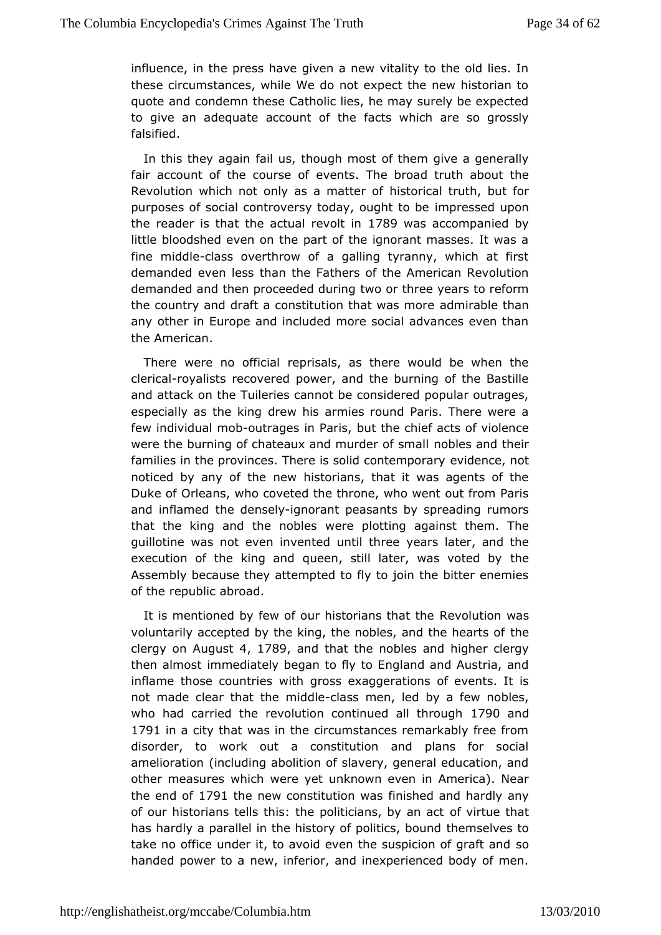[influence, in the press have](http://englishatheist.org/mccabe/Columbia.htminfluence) given a new vitality to the old I these circumstances, while We do not expect the new histori quote and ndemn these Catholic lies, he may surely be expect to give an adegauga depent of the facts which are so grossly falsified.

In this they afgailnus, though most of them give a generally fair account of the coawssets af The broad truth about the Revolution which not only as a historation and firuth, but for purposes of social controversy today impuned the upon the reader is that the actual 7reegwords in accompanied by little bloodshed even on the part of the ignorant masses. It finemiddlelass overthrow of a galling tyranny, which at first demanded even the ass the Fathers of the American Revolution demanded and then proceed tew dodour in type e years to reform the country and draft a constitution tahdam invaabslem bhr**a**n any other in Europe and included more social advances even the American.

There were no official reprisals, as there would be when clericad yalists recovered power, and the burning of the Bast and attack the Tuileries cannot be considered popular outrag especially as the the imphis armies round Paris. There were a few individual-omot broke ges in Phauts the chief acts of violence were the burning of chateaux and murrod belies fassind at their families in the provinces. There is solied cobentemproporty noticed by any of the new historians, that it was agents of Duke of Orleans, who coveted the throne, who went out from and inflamt the densely norant peasants by spreading rumors that the king and the wheorhele pslotting against them. The guillotine was not even inventedy emantsil taht neere and the execution of the king and queen, still latert, hewas voted by Assembly because they attempted to fly to join the bitter ene of theepublic abroad.

It is mentioned by few of our historRaenvoluhtiadnthweas voluntarily accepted by the king, the nobles, tahmed the hearts clergy on August 89 and that the nobles and higher clergy then almost mediately began to fly to England and Austria, an inflame those countimes gross exaggerations of events. It is not made clear that the clmas solude  $\mathbf{e}_1$ , led by a few nobles, who had carried the revolution continued of 9a0l antchrough 1791 in a city that was in the circumstances remarkably free 1 disorder, to work out a constitution and plans for soc amelioratiom cluding abolition of slavery, general education, a other measures wheirceh yet unknown even in America). Near the end b791 the new constitution was and hardly any of our historians tells this: the politicians the annation has hardly a parallel in the history of the misicals, ebot cond take no office under it, to avoid even the suspsiccion of graft  $\overline{a}$ handed power to a new, inferior, and inexperienced body of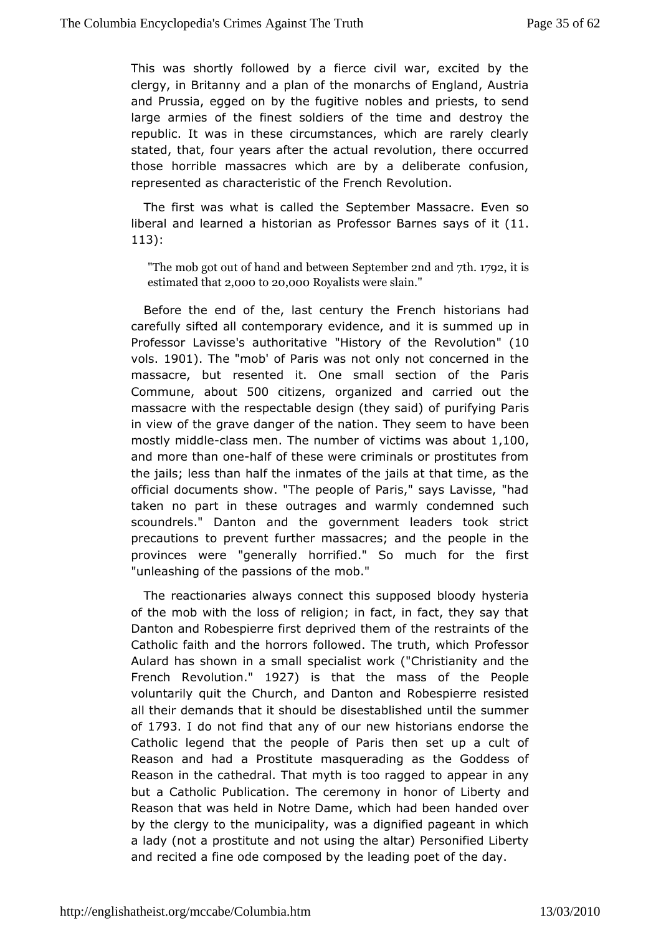This was [shortly followed](http://englishatheist.org/mccabe/Columbia.htmThis) by a fierce civil war, excited by the clergy, in Britanny plann of the monarchs of England, Austria and Prussia, egged on by the oblue gost awad priests, to send large armies of the finest soldiers of dteheet rowm the and republic. It was in these circumstances, which are rarely c stated, that, four years after the actual revolution, there oce thosehorrible massacres which are by a deliberate confusion represented has racteristic of the French Revolution.

The first was what is  $c$  aldendeuth the September Massacre. Even so liberal and learned a historian as Profayssof (Btarnes 113):

"The mob got out of hand**S and the independent and 1792** tis  $e$ stimated  $2$ that  $Q$ 0,000  $Q$ oyalists esiain."

Before the end of the, last centuryhishteriFamesn othad carefully sifted all contemporary evidence, and nit is summed Professor La's is sauethoritat" in Viestory of the Rev'' ol (400 ion vols1901. The mobof Paris was not only not concerned in the massacre, bruetsented it. One small section of the Paris Communeabout500 citizens rganized and carried out the massacre with the respectable design f pulling in paristic massacre with the respectable design function in view of the grave danger of the nation. The exerseem to have mostly middlass meThe number of victims was 180out and morthan onhealf of these were criminals or prostitutes from the jails; lesshalanthe inmates of the jails at that time, as the official documents shopwe.op Teheof Paris," says Lavisse, "had taken no part in these outrages acrowhologrammeddy such scoundrels." Danton and the government leaders took st precautions to prevent further massacres; and the people ir provinces we generally horrified." So much for the first "unleashing of the passiom osbo"f the

The reactionaries always connect this supposed bloody hys ofthe mob with the loss of religion; in fact, in fact, they say Danton aRobespierre first deprived them of the restraints of t Catholic faith anhobith horrors followed. The truth, which Professor Aulard has shown in sapemiaalllist work ("Christianity and the French Revolution  $27$  is that the ass of the People voluntarily quit the Church, and Danton amedsire bebote spierre all their demands that it should be disestablished until the sum of17931 do not find that any of our new historians endorse t Catholic legtehred the people of Paris then set up a cult of Reason and had a Promsastquute rading as the Goddess of Reason in the cathedral. That myth tiss alopper angine dany but a Catholic Publication. The ceremony in almodhor of Libert Reason that was held in Notre Dame, which had been handed by the cletay the municipality, was a dignified pageant in which a lady (not a prosatridution using the altar) Personified Liberty and recited a fine ode comboslee ado ing poet of the day.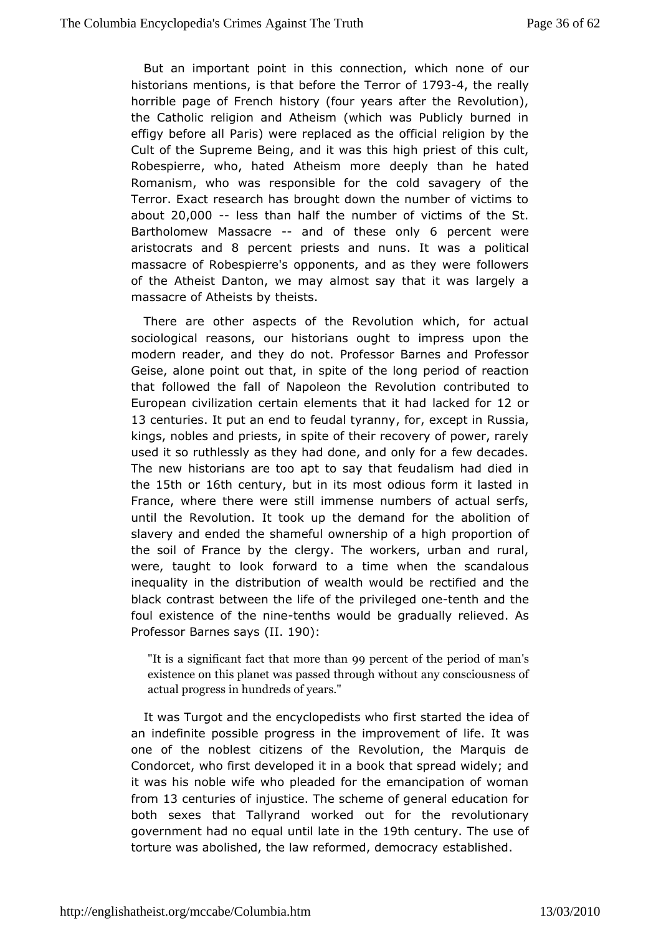[But an important poin](http://englishatheist.org/mccabe/Columbia.htmBut)t in this wonninbechiome of our historians mentison that before the  $T4$   $\bar{r}$  s  $34$ , other eally horrible page of French history (four years after the Revolu the Catholic religion and Atheism (which was Publicly burned effigy befor $\mathbf e$  and  $\mathbf e$  and  $\mathbf e$  is replaced as the official religion by the Cult of the SupremeaBeding, was this high priest of this cult, Robespierre, who, hated Athedsemephy onthan he hated Romanism, who was responsible for the cold savagery of Terror. Exact research has brought down the number of victir about 20,000-less than half the number of victims of the St. Bartholomew Massacared othese only percent were aristocrats **8**ndercent priests and Itnumass political massacre of Robespierre's opponents, and as they were follow of theAtheist Danton, we may almost say that it was largely  $m$  assacre of  $A$ theitshtesistys.

There are other aspects of the Revolution which, for ac sociological reasons, our historians ought to impress upor modern readærd they do not. Professor Barnes and Professo Geise, alone point outsphiae, oifn the long period of reaction that followed the fall of NapRodeohutibe contributed to European civilization certain elements the dat for bad 13 centuries put an end to feudal flow ran angel Rrussia, kings, nobles and priests, in spite of their recovery of power, used it so ruthlessly as they had done, and only for a few de The newistorians are too apt to say that feudalism had died the15th on Gthcentury, but in its most odious form it lasted in France, where there we menes this numbers of actual serfs, until the Revolution. It took up the the eman aboodition of slavery and ended the shameful ownership of afhigh proporti the soil of France by the clergy. The workers, urban and r were, taugthot look forward to a time when the scandalous inequality in the distriboutiabith owfould be rectified and the black contrast between the differicefgehde-benneth and the foul existence of the numble would g bæd ually relieved. As Professor Barne \$I Is  $a$  9 0:

"It is significant fact tha 9 9 per eethtan f the perisod of man existenaethis planet was passed through without any consci actual proign thausn dreds of years."

It was Turgot and the encycloperobits betawhend the idea of an indefinite possible progress in the ilmifperovement of one of the noblest citizens of the Revolution, the Marqui Condorcet, who first developed it in a book that spread widely it was his ble wife who pleaded for the emancipation of woma from13 centuries not ustice. The scheme of general education for both sexes that Tallyrand owtorked the revolutionary government had no equal until 19the eintury. The use of torture was abolished, the law reformed; tabel insubmenda.cy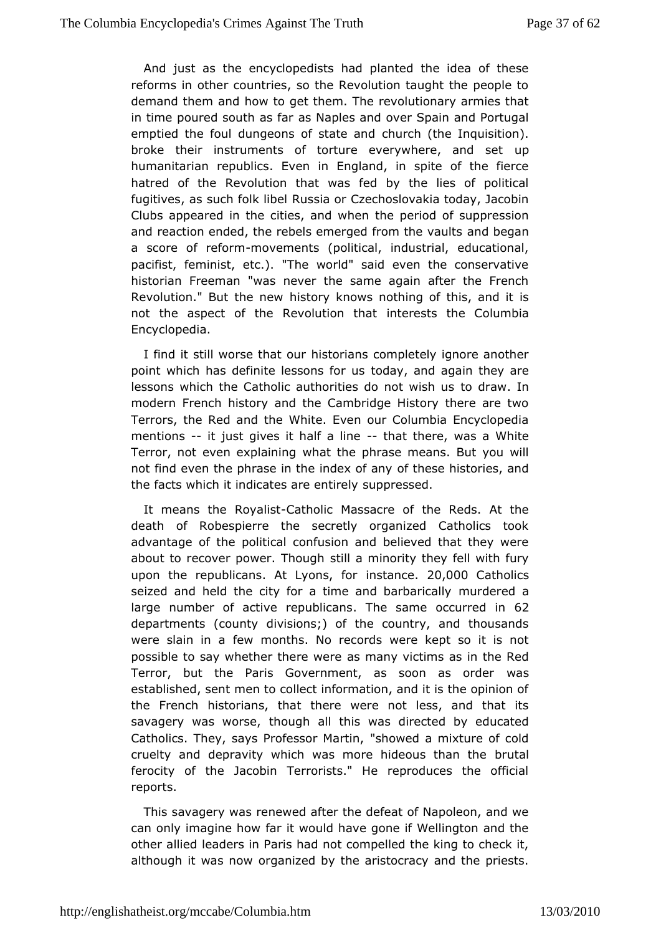[And just as the encyc](http://englishatheist.org/mccabe/Columbia.htmAnd)lopedists had planted the idea of  $t$ reforms in other countries, so the Revolution taught the people demand themad how to get them. The revolutionary armies that in time poured southas and and same and over Spain and Portugal emptied the foul dungeons of cshtuartoch a(ntile Inquisition). broke their instruments of torture everywhepe, and set humanitarian republics. Even in England, in spite of the f hatred of the volution that was fed by the lies of political fugitives, as such f&luks siibae or Czechoslovakia today, Jacobin Clubs appeared in the cities, the modew hoech of suppression and reaction ended, the rebels emerged annochn behoreanvaults a score of refroormements (political, industrial, educational, pacifist, feminist, etc.). "The world" said even the conserv historia<sup>E</sup>n reeman "was never the same again after the Frenc Revolution." But the eistowy knows nothing of this, and it is not the aspect of the Revoluthiter eshat the Columbia Encyclopedia.

I find it still worse thistooiuarns completely ignore another point which has definite lesstods yfo and again they are lessons which the Catholic authorities to bo draw wish us modern French history and the Cambridge History there are Terrors, the Red and the White. Even our Columbia Encyclo mentions it just gives it half-athiante there, was a White Terror, not even expw a iantintone phrase means. But you will not find even the phrase in the bridtehxe sof any tories, and the facts which it indicates anoppermetsise by.

It means the RoCaltistolic Massacre of the Reds. At the death of Robespierre the secretly organized Catholics advantage of ptohletical confusion and believed that they were about to recover power.stihlo aghinority they fell with fury upon the republicans. At Liymosnts, n.d@0,000Catholics seized and held the city for a time annolubolaerbeadioaally large number of active replumbeicsanse occurre6d2 in departments (county divisions;) of the country, and thousa were slain ifrewa months. No records were kept so it is not possible to say whether than sawrey evictims as in the Red Terror, but the Paris Government, as soweas as order established, sent men to collect information, and it is the opi the French historians, that there were not less, and that savagery was wothsologh all this was directed by educated Catholics. They, says Profes"sschro Whead tian, mixture of cold cruelty and depravity which was more hidboutsalthan the ferocity of the Jacobin Terrorists." He reproduces the of reports.

This savagery was renewed after the defeat of Napoleon, an can only imagine how far it would have gone if Wellington an other allied ders in Paris had not compelled the king to check although it was ongo a by the aristocracy and the priests.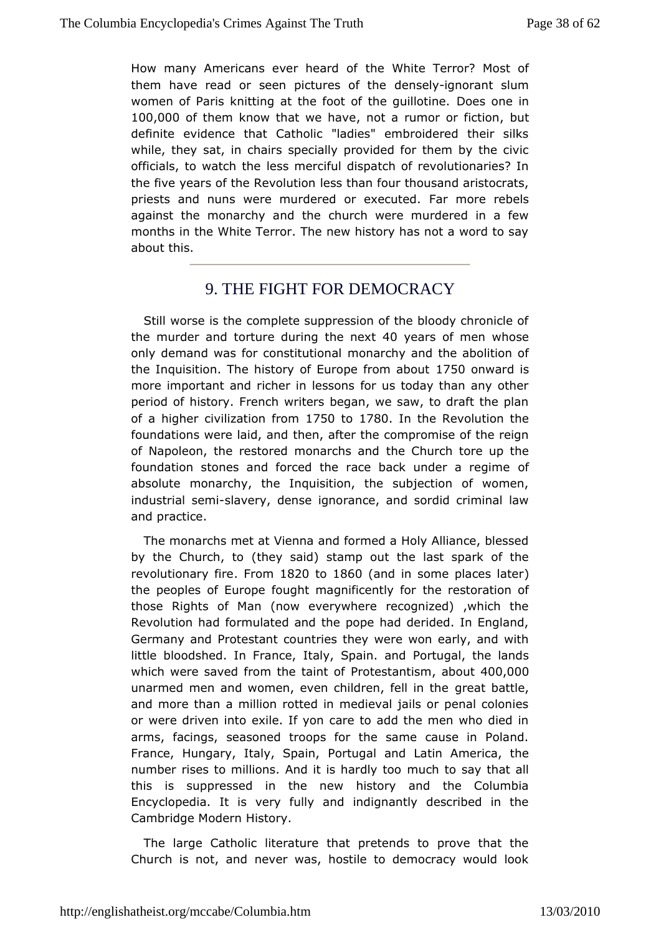[How many Americans ev](http://englishatheist.org/mccabe/Columbia.htmHow)er heard Wholte Terror? Most of them have read or seen picturdes nsof-ligtherant slum women of Paris knitting at the foot of Dibes quile otinne. 100,000 f them know that wen that we rumor or fibution definite evidence that Catholic "ladies" embroidered their while, theyt, in chairs specially provided for them by the ciofficials, to wat the she erciful dispatch of revolutionaries? In the five years of the Reews sutthian four thous and aristocrats, priests and nuns were murdered oFaexencourteedrebels against the monarchy and the church were murdered in a months in the White Terror. The new history has not a word t abouthis.

# 9. THE FIGHT FOR DEMOCRACY

Stilworse is the complete suppression of the bloody chronicl the murder and ture during the 40 wetars of men whose only demand was for constribuntaion hay and the abolition of the Inquisition. The history of Europle 500 mwabouits more important and richer in lessons for us today than any  $\sqrt{ }$ period of history. French writers began, we saw, to draft the of a higher wilization firos to 1780 In the Revolution the foundations were laidem, natter the compromise of the reign of Napoleon, the restored montannechOsh and tore up the foundation stones and forced the race back  $\omega$  finder a regiment absolute monarchy, the Inquisition, the subjection of wom industrised m-islavery, dense ignorance, and sordid criminal lay and practice.

Themonarchs met at Vienna and formed a Holy Alliance, bles by the Church(they said) stamp out the last spark of the revolutionary Ffrom 1820 to 1860 (and in some place)s later the peoples of Europe fought magnifiece ensit praction of those Rights of Man (now everywhere recognized) , which Revolution had formulated and the pope had derided. In Eng Germany and dotestant countries they were won early, and with little bloodshed. In Ftradyce Spain. and Portugal, the lands which were saved from the relationstantial mouth00,000 unarmed men and women, even childreon, eat lib antitene and more than a million rotted in medieval jails or penal col or were driven into exile. If yon care to add the men who di arms, facingeasoned troops for the same cause in Poland. France, Hungary, Italy, P Sortagra, I and Latin America, the number rises to millions. And it insubarddy stayo that all this is suppressed in the new history and the Columb Encyclopedia. It is very fully and indignantly described ir Cambridge Motless hory.

The large Catholic literature that pretends to prove that Church is not, and never was, hostile to democracy would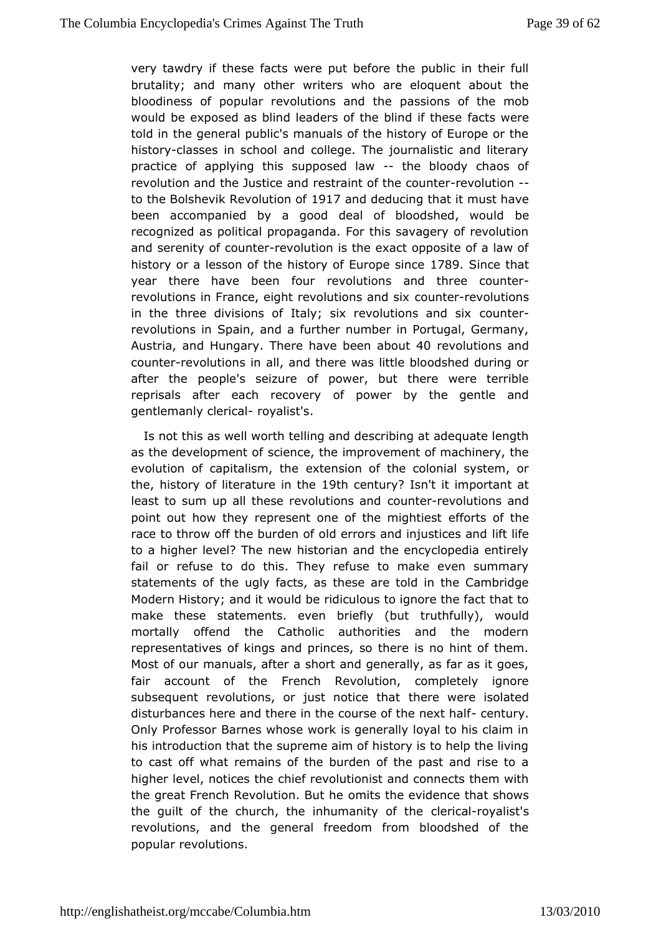very tawdry hiefse facts were put before the public in their full brutality; and many wortihers who are eloquent about the bloodiness of popular revolutio**passinch** sthoef the mob would be exposed as blind leaders of the addising leife these told in the general public's manuals of the history of Europe historglasses in school and college. The journalistic and lite practice applying this supposed the wbloody chaos of revolution and the Justes er and of the coundeution to the Bolshevik Revolution and teducing that it must have been accompanied by a good deal of bloobdeshed, would recognized as political propaganda. For this savagery of revo andserenity of cownevelution is the exact opposite of a law of history of eason of the history of Euto  $\theta$  e Ssimcose that year there have been reforductions and three counter revolutions in France, eight revoluctoion ser envolutions in the three divisions of Italy; six revolant in and six revolutions in Spain, and a further number in Portugal. Gern Austriand Hungalhere have been about olutions and counter evolutions in all, and there was little bloodshed durin after theeople's seizure of power, but there were terribl reprisals after each roectowe are by the gentle and gentlemanly clerrogalist's.

Is not thais well worth telling and describing at adequate leng as the developmsteomice, the improvement of machinery, the evolution of capitalisem tehseon of the colonial system, or the history of literature 1 Stth dentury? Isn't it important at least to sum up all these revolutions and least to sum up all these revolutions and point out how they represent one of the misg bide he race to throw off the burden of old errors alnit linifustices and to a higher level? The new historian and the encyclopedia entirely fail or refuse to do this. They refuse to make even summ statements of uther facts, as these are told in the Cambridge Modern History; and it wirduit ullowers to ignore the fact that to make these statements. even brieutthfullbut, would mortally offend the Catholic authorities and the mode representatives of kings and princes, so there is no hint of Most of omuanuals, after a short and generally, as far as it go fair account of Fthe ench Revolution, completely ignore subsequent revolutions, or just the the theorest isolated disturbances here and there in the course coefnit beynext half Only Professor Barnes whose work is generally loyal to his c hisintroduction that the supreme aim of history is to help the to cast ow fifiat remains of the burden of the past and rise to higher level, notice his ethne evolutionist and connects them with the great French Revoluticom iBsuthee evidence that shows the guilt of the church, the inhumatheity canoly at hist's revolutions, and the general freedom from bloodshed of popular revolutions.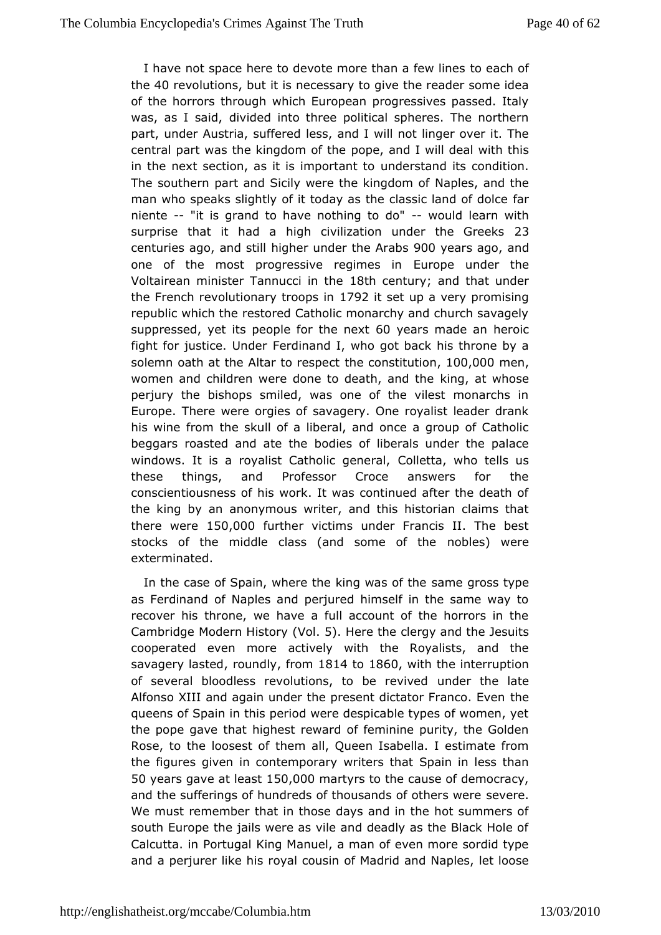[I have not space her](http://englishatheist.org/mccabe/Columbia.htmI)e to devote more thane a chew flines the40 revolutiomst it is necessary to give the reader some idea of the horrors through which European progressives passed. was, as I said ided into three political spheres. The norther part, under Austria, sesfseredd I will not linger over it. The central part was the kingdpmpef amed I will deal with this in the next section, as it is impobetand nto its condition. The southern part and Sicily were the ables down do the man who speaks slightly of it today as the classic land of do niente-"it is grand to have nothing wto uld do " learn with surpristhat it had a high civilization under 23 he Greeks centuries ago, and gshter under the SAC absears againd one of the most progressive reEquinnoepse inn nder the Voltairean minister Tannud Stihincethte urand that nder the French revolutionary throups in the avery promising republic which the restored Catholic monarchy and church sav suppresse det its people for the owner ats made an heroic fight for justice. Fuller funder and I, who got back his throne by a solemn oath at the Altar to the example stitution,  $000$  en women and children were done to delaithing, aantd with ease perjury the bishops smiled, was one of the vilest monarch Europe. There were orgies of savagery. One royalist leader his wine frtchme skull of a liberal, and once a group of Cathol beggars roasted and **b**oodieshed of liberals under the palace windows. It is a royalist Catho**Colletine**, raw ho tells us these things, and Professor Croce answers for the conscientiousness of his work. It was continued after the de the king by anonymous writer, and this historian claims that there went 60,000 urthewictims under Francis II. The best stocks of the middle class (and somoblecsf) twhere exterminated.

In the case of Spain, where the kinson moweasy roofs they pe as Ferdinand of Naples and perjured himself in the same way recover his throne, we have a full account of the horrors in  $C$  ambrid  $M$ e dern  $H$  is  $N(M)$  . Here the clergy and the Jesuits cooperated even manotrievely with the Royalists, and the savagery la, sit end nd, from 1814 to 1860 with the interruption of several bloodless revolutions, tounderreweveldate Alfonso XIII and again under the present dictaher Franco. Eve queens of Spain in this period were despicable types of wome the poppeave that highest reward of feminine purity, the Gold Rose, to the loost the stimate from  $R$  all, Queen Isabella. I estimate from the figures given in contewniterarthat Spain in less than  $50$  years gave at  $1150,500$  martyrs to daese of democracy, and the sufferings of hundreds of thousand severe were We must remember that in those days and in the hot summer sout Europe the jails were as vile and deadly as the Black Ho Calcutta. Portugal King Manuel, a man of even more sordid type and a perjurer likoey his cousin of Madrid and Naples, let loose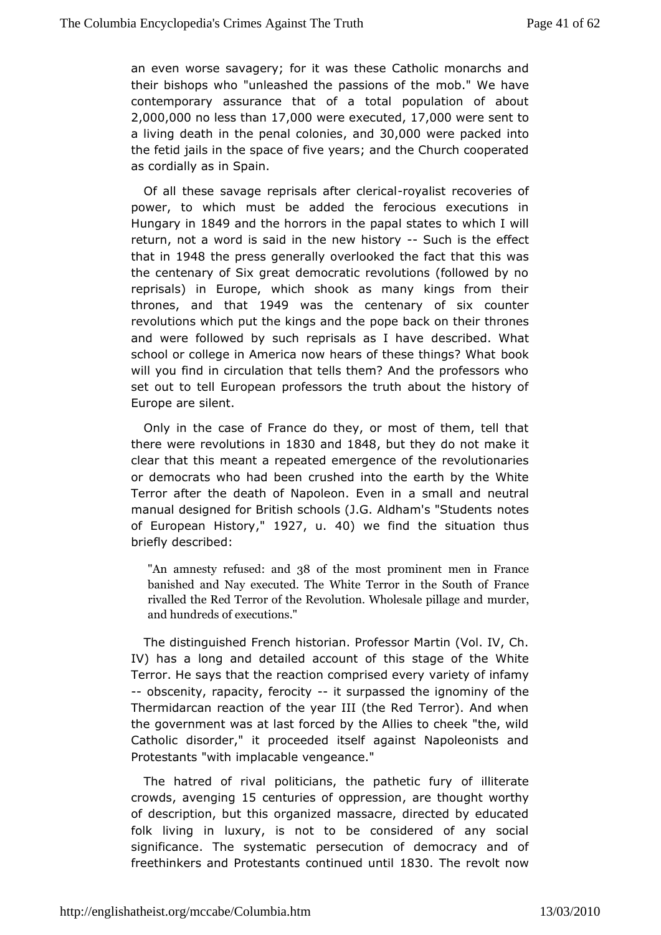[an even worse savager](http://englishatheist.org/mccabe/Columbia.htman)y: forrestewCasatholic monarchs and their bishops who "unleashed the pams bio." SWo f have contemporary assurance that of a total population of ab  $2.000.00$   $000$  less than  $000$  were executed  $000$  were sent to a living deianthe penal colonides , 000 were packed into the fetid jails in the fstpe eyears; and the Church cooperated as cordially as in Spain.

Of althese savage reprisals aftegry alestic red coveries of power, to whimcuhst be added the ferocious executions in Hungary 1849 and the horrors paptable states to which I will return, not a word is said in the-n&wchissothe effect that in948 the press generally overlooked the sfacts that the centenary of Six great democratic revolutions (followed by reprisals) in Europe, which shook as many kings from the thrones, and the 49 was the centenary of six counter revolutions which put the kings spændark theon their thrones and were followed by such reprisaldsessacsribehdav&What school or college in America now hears of the essentings? What will you find in circulation that tells them? And the professo setout to tell European professors the truth about the histor Europe asrident.

Only in the case of France do they, or most of them, tell there were revolutions 30 and 1848 but they do not make it clear that the ant a repeated emergence of the revolutionaries or democrats who had rbebed into the earth by the White Terror after the death of Napole**a**nsmEave mand neutral manual designed for British schools (J.G. Alndohtæns's "Students of European Histors  $x$  and  $y$  we find the situation thus briefldyescribed:

"An amnesty reafnund3e8d of the most promnement France banished and Nay executed. The White TFerano rein the Sout rivalled the Red Terror of the Revolution mult chesale pillage and hundreds of executions."

The distinguished *ffirset roothan*. Professor Martin (Vol. IV, Ch.  $IV$ ) has a long and detailed alboicsousn tage of the White Terror. He says that the reaction componiest we weak amy --obscenity, rapacity, feinto sultypassed the ignolom hney Thermidarcan reaction of the year III (the Red Terror). And thegovernment was at last forced by the Allies to cheek "the, Catholichisorder," it proceeded itself against Napoleonists and Protestants "iwniphacable vengeance."

The hatred of rival politicians, the opfatih bitiecraftuery crowdsavengin1g5 centuries of oppreasreicthought worthy ofdescription, but this organized massacre, directed by educ folk living luxury, is not to be considered of any social significance. The syspemsection of democracy and of freethinkers and Protestants com t $8.0$  The eumenvolt now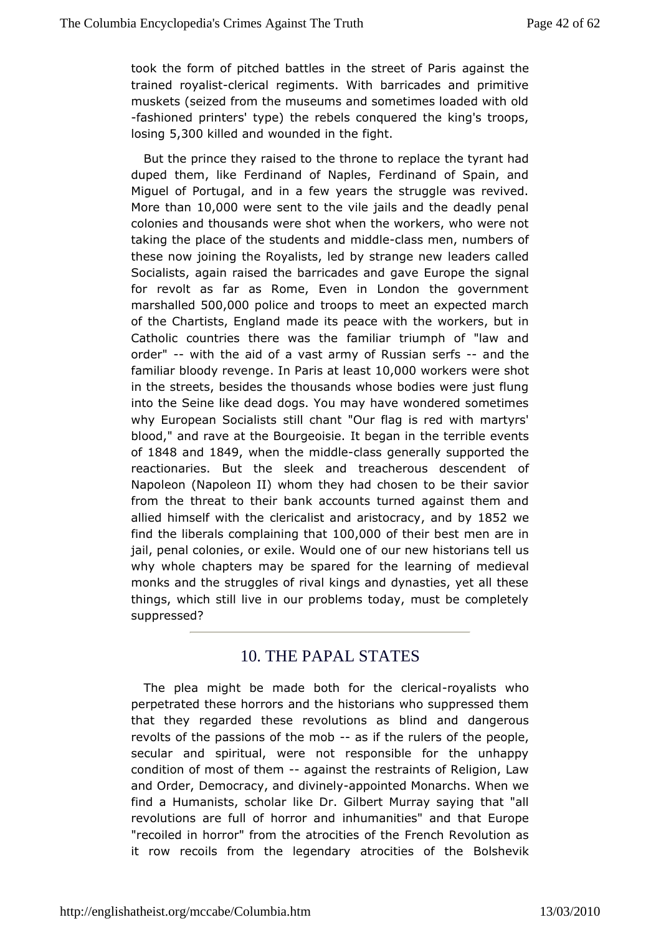[took the form of pitched](http://englishatheist.org/mccabe/Columbia.htmtook) battles in the as daenest of the Paris  $trained$  roy- $celli$ stical regiments. With barricades and primitive muskets (seized from the museums and sometimes loaded with -fashion podinters' type) the rebels conquered the king's troop losin5,300 killed awnodunded in the fight.

But the prince they raised to the throme thoranet has de duped them, like Ferdinand of Naples, Ferdinand of Spain, Miguel of Portugal, and in a few years the struggle was rev More than 0,000 were sent to the vile jails and the deadly pena colonies and thouwseamed sshot when the workers, who were not taking the place of the stumded the bansds men, numbers of these now joining the Royalists, led blye as deans goeal head Socialists, again raised the barricades and signal Europe the for revolt as far as Rome, Even in London the government marshall<sup>5</sup>00,000 olice and troops to meet an expected march of the Chartists, Emg been dits peace with the workers, but in Catholic countries there fwamiliare triumph of "law and order"-with the aid of a vast army  $s$  for R s  $-s$  and the familiar bloody revnen Pgaeris at l1e0a, s0t0 Ow orkers w**she**t in the streets, besides the thousands whose bodies were just into the eine like dead dogs. You may have wondered sometim why European Socsaillists hant "Our flag is red with martyrs' blood," and rave at the Bolutropeogiasniein the terrible events  $of 1848$  and  $1849$  when the midd  $\frac{1}{2}$  and  $\frac{1}{2}$  supported the reactionaries. But the sleek and treacherous descendent Napoleon (Napoleon II) whom they had chosen to be their sa from the hreat to their bank accounts turned against them an allied himself with the alist and aristocoracy 852 we find the liberals complain  $0.000$   $0.000$  for their best men are in jail, penal colonies, or exile. Wounu hob wonheisotforians tell us why whole chapters may be spared for the edie earnaling of monks and the struggles of rival kings and dynasties, yet all things, which still live in our problems today, must be comp suppressed?

## 10. THE PAPAL STATES

The plea might be made both for thoey adliest is caw ho perpetrated these haond othee historians who suppressed them that they regarded these revolulined sameds dangerous revolts of the passions of- $\frac{1}{2}$  the mobile ruler has opteople, secular and spiritual, were not responsible for the unha condition of most of-algeminst the restraints of Religion, Law and OrdeDremocracy, and diavipipeliynted Monarchs. When we find a Humanists, scholDr. Gilbert Murray saying that "all revolutions are full of honnhourmanidties" and that Europe "recoiled in horror" from the atroForiethecsh oRfet whoelution as it row recoils from the legendary atroleothishevoik the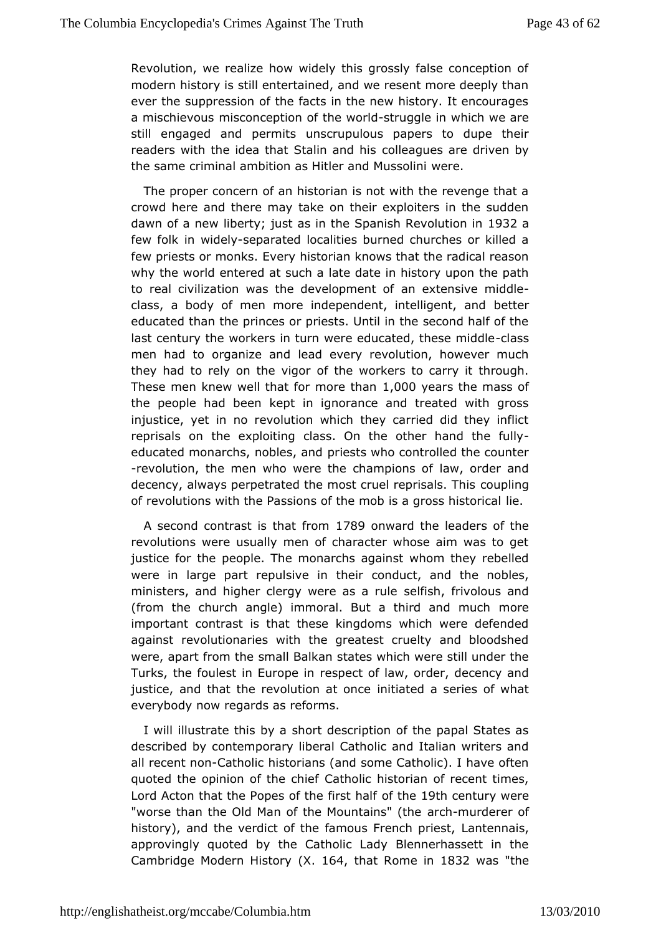[Revolution, we realize how w](http://englishatheist.org/mccabe/Columbia.htmRevolution)idely this grossly false concept modern history is still entertained, and we resent more deeply ever the uppression of the facts in the new history. It encoura a mischievonui**s** conception of the stww orlde in which we are still engaged and pensoitsupulous papers to dupe their readers with the idea that Stad onleanguessare driven by the same criminal ambition as Hitler warre. Mussolini

The proper concern of an historian is not with the revenge t crowd here and there may take on their exploiters in the su dawn of a new erty ust as in the Spanish Reviolal paon in few folk windel separated localities burned churches or killed  $\alpha$ few priests or mE whistorian knows that the radical reason why the world entered alta seu odhatee in history upon the path to real civilization was the devahopemetent stovie middle class, a body of men more independent, ibnet et leirgent, and educated than the princes or priests. Until in the second half last century the workers in turn were educateda, sthese middle men had borganize and lead every revolution, however much they had to rely on thoef vthoson workers to carry it through. These men knew well that for  $m$  00 $\omega$  than the mass of the people had been kept in ignorance and treated with g injustice, yet in no revolution which they carried did they reprisals tohne exploiting class. On the other hand the fully educated monarchs, nobdeise, s as dwho controlled the counter -revolution, the men who were the chaawmp or descoland decency, always perpetrated the most crucloupplinissals. This of revolutions with the Passions of the mob isia.gross historic

A second contrast is  $t$   $\frac{1}{2}$   $\frac{1}{2}$   $\frac{1}{2}$   $\frac{1}{2}$   $\frac{1}{2}$   $\frac{1}{2}$   $\frac{1}{2}$   $\frac{1}{2}$   $\frac{1}{2}$   $\frac{1}{2}$   $\frac{1}{2}$   $\frac{1}{2}$   $\frac{1}{2}$   $\frac{1}{2}$   $\frac{1}{2}$   $\frac{1}{2}$   $\frac{1}{2}$   $\frac{1}{2}$   $\frac{1}{2}$   $\frac{1}{$ revolutions were usually men of character whose aim was to justice for pthe ple. The monarchs against whom they rebelled were in large part reputsive conduct, and the nobles, ministers, and higher clergy werseelas ba, ruleolous and (from the church angle) immoral. But a thm rodreand much important contrast is that these kingdoms which were defer agains tevolutionaries with the greatest cruelty and bloodsh were, apart from mtable Balkan states which were still under the Turks, the foulest in Enersoppeectinof law, order, decency and justice, and that the revolutiom it at tech cae series of what everybody now regards as reforms.

I wililllustrate this by a short description of the papal State described chy temporary liberal Catholic and Italian writers and all recent - Canhol historians (and some Catholic). I have often quoted the opinion of the atholied historian of recent times, Lord Acton that the Popes of tohfethiot Stth hoad fitury were "worse than the Old Man of the Mouam taminus "defthe of history), and the verdict of the famous LFamet peomapisiest, approvingly quoted by the Catholic Lady Blennerhassett in Cambridge Modern  $H$ Xstoot $4$  that Rome 1ion32 was"the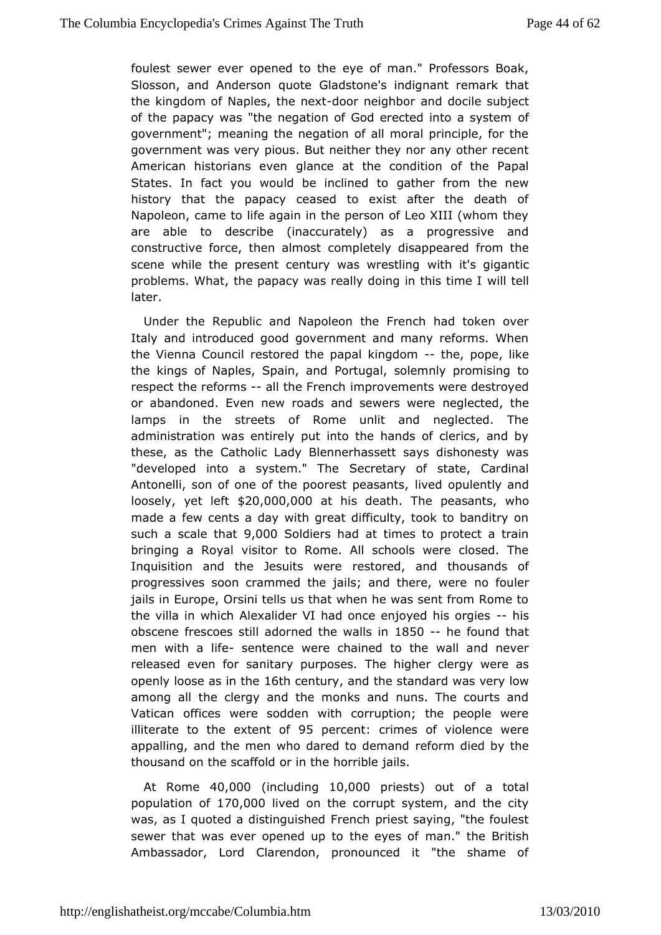foulest sewer cenveemed to the eye of man." Professors Boak, Slosson, and AndersonGloustone's indignant remark that the kingdom of Naples, -d hornest ghbod docile subject of the papacy was "the negation of God erected into a system government"; meaning the negation of all moral principle, for governmewas very pious. But neither they nor any other recent American historiansglene at the condition of the Papal States. In fact you would be ignactline rediricom the new history that the papacy ceased to exist after the death Napoleon, came to life again in the person of Leo XIII (whom are able todescribe (inaccurately) as a progressive and constructive force, then cominum lonest periodisappeared from the scene while the present century wwsthwne's stignig antic problems. What, the papacy was really doimogllintethis time I later.

Under the Republic and Napoleon the French had token o Italy and introduced good government and many reforms. WI the Vienna Coumstionred the papal kinghom pope, like the kings of Naples, Spanituagrad, solemnly promising to respect the ref-oranhisthe Freinnch rovements were destroyed or abandoned. Even new roads and sewerstewder the lamps in the streets of Rome unlit and neglected. The administration was entirely put into the hands of clerics, and these, as Chaetholic Lady Blennerhassett says dishonesty wa "developed into a system.S.ecrEhtery of state, Cardinal Antonelli, son of one of the poord stepeapahestly and loose, ly et left 20,000,00a0t his dealthe peasanwhous made a few cents a day with great difficulty, took to bandit such acale th &,to 00 Soldiers had at times to protect a train bringing a Royssiltor to Rome. All schools were closed. The Inquisition and the Jesuints stweed, and thousands of progressives soon crammed the jails; anndo the eurlee, r were jails in Europe, Orsini tells us that when he was sent from Ro the villa in which Alexalider VI had once enjoyed his orgies obscenferescoes still adorned the 865 844 sheinfound that men with a-lsfeentence were chained to the wall and never released even for sanitary phuephisophser clergy were as openly loose as **16th ceentury aynd the standwaarsd very low** among all the clergy and the monks and nuns. The courts Vaticanffices were sodden with corruption; the people were illiterate to the ext $9.5$  performer imes of violence were appalling, and the men who dared reform on the the thousand on the scaffold or in the horrible jails.

At Rome40,000 (including 0,000 pries) tsout of a total population 170,000 ved on the corrupt system, and the city was, as I quoted a distifigeunishepiriest saying, "the foulest sewer that was ever opened up to milae. & ytehse oBiritish Ambassador, Lord Clarendon, pronounced it "the shame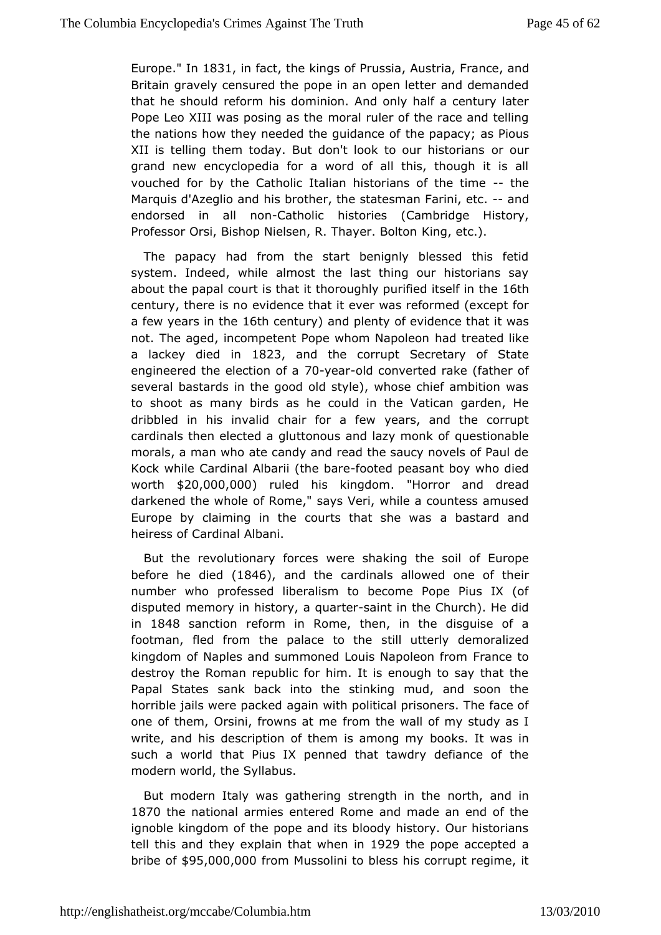Europe In1831 in fact the kings of Pressuria  $\bar{a}$  rance nd Britaighravely censured the pope in an open letter and demand that he should rehis roto minion. And only half a century later Pope Leo XIII was posimocon as the more find race and telling the nations how they needed the tonue idearpoace yo; fas Pious XII is telling them today. But don't look to rowurhistorians grand new encyclopedia for a word of all this, though it is vouchetor by the Catholic Italian historians-to the time Marquis d'Azeglio is abdother, the statesman Faandi, etc. endorsed in all-Catholichistories (Cambridge History, Professor Orsi, Bishop Nielsen, R. KTimagyeetcBp. Iton

The papacy had from the start benignly blessed this fe system. Indeed, while almost the last thing our historians about the pacpoaulrt is that it thoroughly purified othinself in the century, there  $\dot{e}$  sidence that it ever was reformed (except for a few years in dthe century and plenty of evidence that it was not. The aged, incompetent Pope whband Napaded nlike a lackey died 1823 and the corrupt Secretary of State engineered the election of a *i*dent converted rake (father of severablastards in the good old style), whose chief ambition v to shoot as many absirds could in the Vatican garden, He dribbled in his invalid chair yfooarsa, faenwd the corrupt cardinals then elected a gluttonous and uleaszty om able of morals, a man who ate candy and read the saucy novels of Pa Kock while Cardinal Albariif (othe dbate as ant boy who died worth \$20,000,000 uled his kingdothorror and dread darkened the whole of slags exteri, while a countess amused Europe by claiming in the courts thaat bashtear was nd heiress of Cardinal Albani.

But the revolutionary wfeorrecesshaking the soil of Europe before he die $\otimes$ 46, and the cardinals admoaved their number who professed liberalism to become Pope Pius IX disputende mory in history, a -saint in the Church). He did in 1848 sanctionreform in Rome, then, in the disguise of a footman, fled from the palacsetiltlouttherly demoralized kingdom of Naples and summoned Louis Naporodeon from destroy the Roman republic for him. It is enough to say tha Papaßtates sank back into the stinking mud, and soon th horrible jails were apgaacikne out ith political prisoners. The face of one of them, Orsini, frow firs matt he wall of my study as I write, and his description of them boso oaknosonigt movas in such a world that Pius IX penned that tawdry defiance of modern world, the Syllabus.

But modern Italy was gathering strenporth, imantchein 1870 the national armies entered Rome and made an end of the ignoble kingdom of the pope and its bloody history. Our histo tell this ahdy explain that when Dihe pope accepted a bribe \$195,000,0010 mMussolini to bless his corrupt regime, it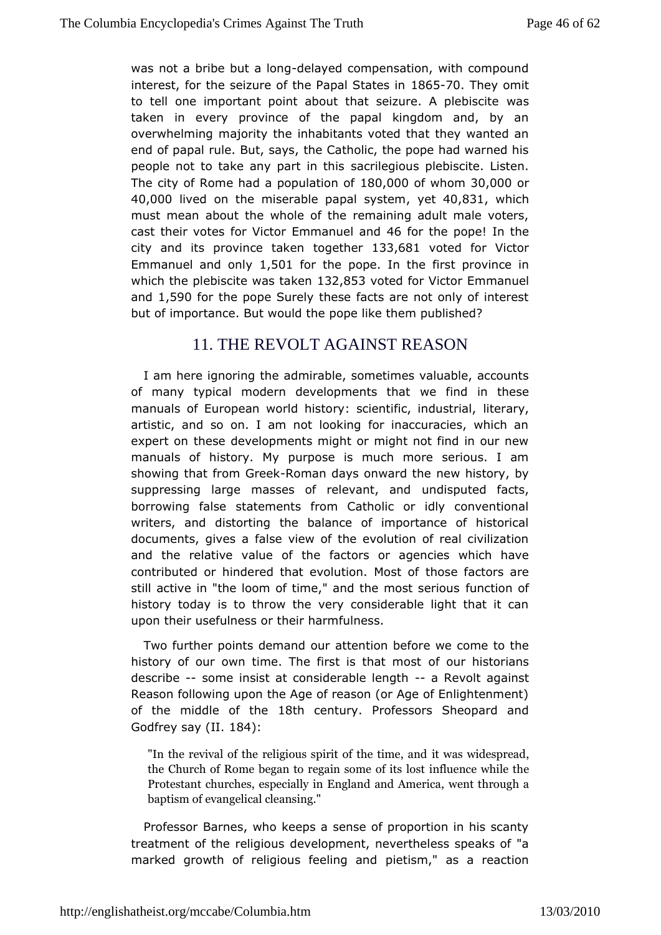was not a bribe but-dælloom endompensation, with compound interest, for the seizure of the Pal $\beta$  as 157SO tall the sying mit to tell one important point about that seizuwes A plebiscite taken in every province of the papal kingdom and, overwhelmimg jority the inhabitants voted that they wanted an end of papal rule. Butthes & patholic, the pope had warned his people not to take any pastadnilegious plebiscite. Listen. The city of Rome had a pop1u8 at 000r0 fow thom30,000 or 40,000 lived on the miserable papaylets 4y0s, to 301 which must mean about the whole of the remaining adult male vot cast their votes Victor Emmanuel 6 and the ploine the city and its province to togake telme 133,681 voted for Victor Emmanuel and  $\phi$ n 501 for the poper the irst province in which the plebiscite was 2t, as K5e3 moted for ViEct momanuel and1,590 for the pope Surely these facts are not only of inter butof importance. But would the pope like them published?

### 11. THE REVOLT AGAINST REASON

I am here ignorinand the able, sometimes valuable, accounts of many typical modern developmweent sintchaith these manuals of European world history: scientiitfecarindustrial, artistic, and so on. I am not looking for inaccuracies, which expert on these developments might or might not find in our manuals bistory. My purpose is much more serious. I am showing that from  $R\sigma$  eneaked ays onward the new history, by suppressing large masses of relevaminispute and facts, borrowing false statements from Catholic or idly conventi writers, and distorting the balance of importance of histo documents, gaves also view of the evolution of real civilization and the relative value factions or agencies which have contributed or hindered that evoluttibonse Mfoast toors are still active in "the loom of time," and the nontrion scefrious history today is to throw the very considerable light that it upon their usefulness or their harmfulness.

Two further points demantention before we come to the history of our own time. The first os bluat hmsotsptrians describe some insist at considerableal Recordatgainst Reason following upon the Age of reason (or Age of Enlighten of themiddle of th&th centur Professors Sheopard and Godfrey say  $1(84)$ :

"In the revival of the religious spiitritwandsf whieletsiphree, a dand the Church of Rome began to reganifilus es movinite that Protestant churches, especially in Ewneght anto through hAmerica, baptism of evangelical cleansing."

Profess Baarnes, who keeps a sense of proportion in his scan treatment of the redienvielus pment, nevertheless speaks of "a marked growth of religious fepeileinigsmanidas a reaction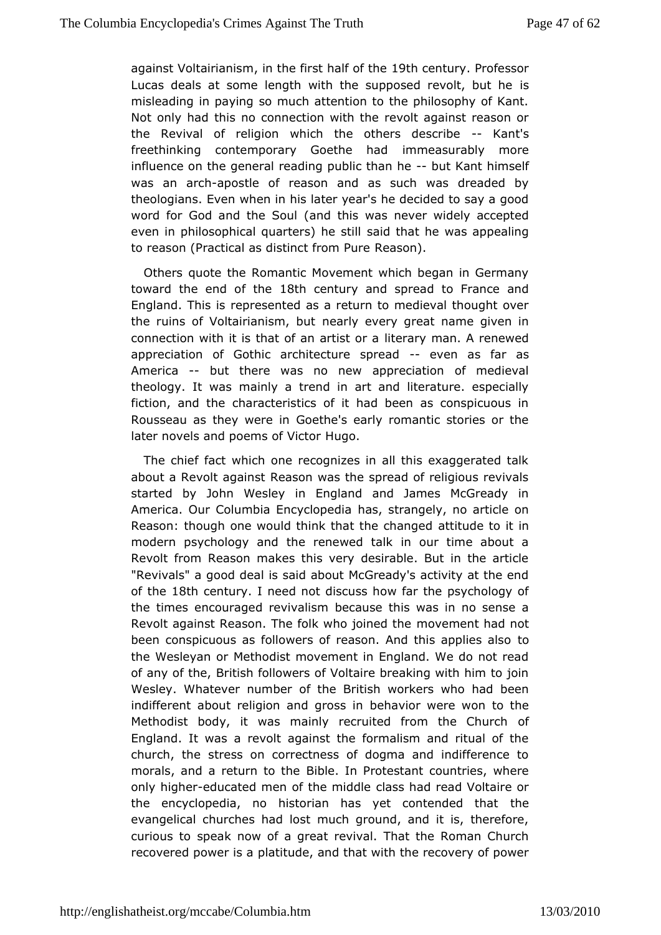against Voltairianishme first half 109 thtcheentury. Professor Lucas deals at some length with the supposeids revolt, but he misleading in paying so much attention to the philosophy of Not onlived this no connection with the revolt against reason the Revival of rewinion the others describet's freethinking contemporary Goeitmhene ahsaudrably more influence on the general reading public Khaahnimhseelf was an aracthostle of reason and as such was dreaded by theologiahsen when in his later year's he decided to say a go word for God and the ansoluthis was never widely accepted even in philosophical quartes $a$ ) dhthat ihe was appealing to reason (Practical as distin Rte arson m) Pure

Others quote the Romantic Movement which began in Germany towardhe end of the 18th century and spread to France and England. This pise sented as a return to medieval thought over the ruins of Voltairianisemarl but very great name given in connection with it is that of a hit a ratist or a literary man. A renewed appreciation of Gothic architecturevspreads as America-- but there was no new appreciation of medieval theology. It masnly a trend in art and literature. especially fiction, and cthe racteristics of it had been as conspicuous i Rousseau as they weonethe's early romantic stories or the later novels and poems Houghbictor

The chief fact which one recognizes in all this exaggerate about a Revolt against Reason was the spread of religious re started byohn Wesley in England and James McGready in America. Our Columbia Enchyacsopset dia ngely, no article on Reason: though one would think that atthit tundheaning eid in modern psychology and the renewed talk in our time abou Revolt from Reason makes this very desirable. But in the a "Revivalsgo ad deal is said about McGready's activity at the e of the 8th centurly need not discuss how far the psychology of the times encouraged rebecaluse this was in no sense a Revolt against Reason. The folk who wie imeend theed not been conspicuous as followers of reason. And to this applies a the Wesleyan or Methodist movement in England. We do not of any of the eitish followers of Voltaire breaking with him to jo Wesley. Whatever nomble British workers who had been indifferent about religion and behavior invere won to the Methodist body, it was mainly recruited from the Church England. It was a revolt against the formalism and ritual of church, theress on correctness of dogma and indifference t morals, and a return Btiotleheln Protestant countries, where only higheedrucated men of the chhadsdlehad read Voltaire or the encyclopedia, no historian has yet commeended that evangelical churches had lost much ground, and it is, there curious speak now of a great revival. That the Roman Churc recovered poweplestiaude, and that with the recovery of power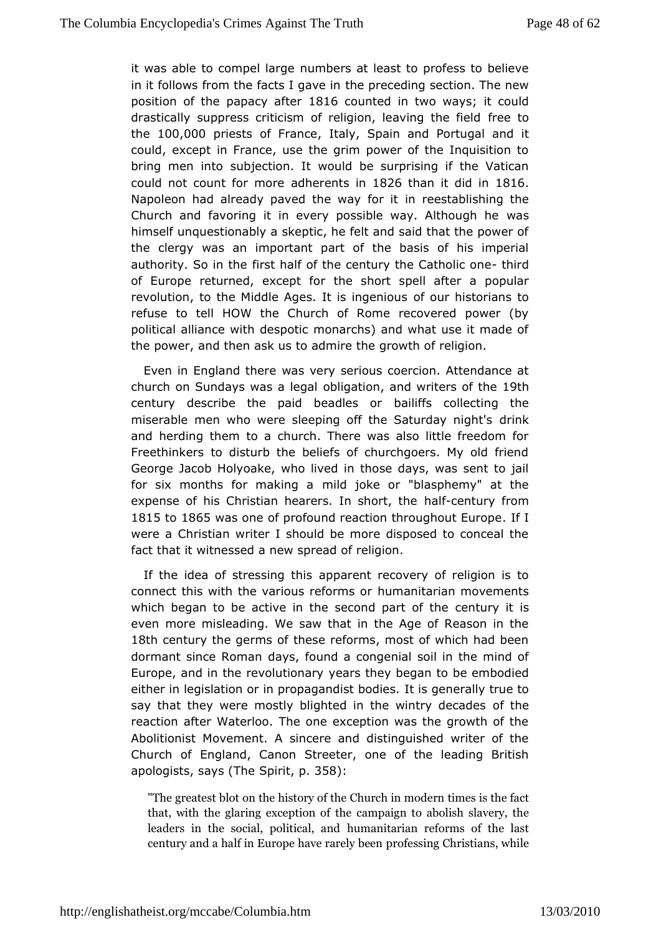it was able to compenlumabre es at least to profess to believe in it follows from the factshle gpareeceiding section. The new position of the papacly81a6fteounted in wwags; it could drastically suppress criticism of religion, free avitrog the field the 100,000 priests of France algoring and Portugal and it couldexcept in France, use the grim power of the Inquisition bring men intubjection. It would be surprising if the Vaticar could not count for a other ents 1i8h 26 than it did 18 nh 6 Napoleon had already paved the inware efsatabiltishing the Church and favoring it in every possible wawas Although he himself unquestionably a skeptic, he felt and said that the po the clergy was an important part of the basis of his imper authority. So inirtshtehalf of the century the Cahthrodlic one of Europe returned, exdept shoort spell after a popular revolution, to the Middle Ages. It of soung the is our sians to refuse to tell HOW the Church of Rome recovered power political alliance with despotic monarchs) and what use it made  $\alpha$ the powearnd then ask us to admire the growth of religion.

Even in England whereery serious coercion. Attendance at church on Sundays was oblilge and writers of the century describe the paid bebaadillents sorcollecting the miserable men who were sleeping off the Scartiunnkday night's and herding them to a church. There was also little freedor Freethinkers to disturb the beliefs of churchgoers. My old George Jatob yoake, who lived in those days, was sent to ja for six months for marking poke or "blasphemy" at the expense of his Christian hearers. half shoutury the om 1815 to1865 was one of profound reaction through but Europe were a Christian writer I should be more disposed to conceal fact that witnessed a new spread of religion.

If the idea of stressampop atheint recovery of religion is to connect this with the various hetmogramitarian movements which began to be active in the seconcent arty of the even more misleading. We saw that in the Age of Reason in 18th century the germs of these reforms, most of which had be dormant since Rdanyas, found a congenial soil in the mind of Europe, and in the revoly uetaios at they began to be embodied either in legislation or in propagalndissigebooedriælsly true to say that they were mostly blighted in the owfint they decades reaction after Waterloo. The one exception was the growth o Abolitionist Movement. A sincere and distinguished writer o Church Emgland, Canon Streeter, one of the leading Britis apologists, say  $\mathcal S$   $\phi$  Trh  $\phi$ . 358:

"The greatest blot on the Chhuistohry no find the finder is the fact that, with the glaring excamt panguit the bolish slavery, the leaders in the social, **bothtanother and reforms** of the last century and a half in Europe phravies sangly Chreissmians, while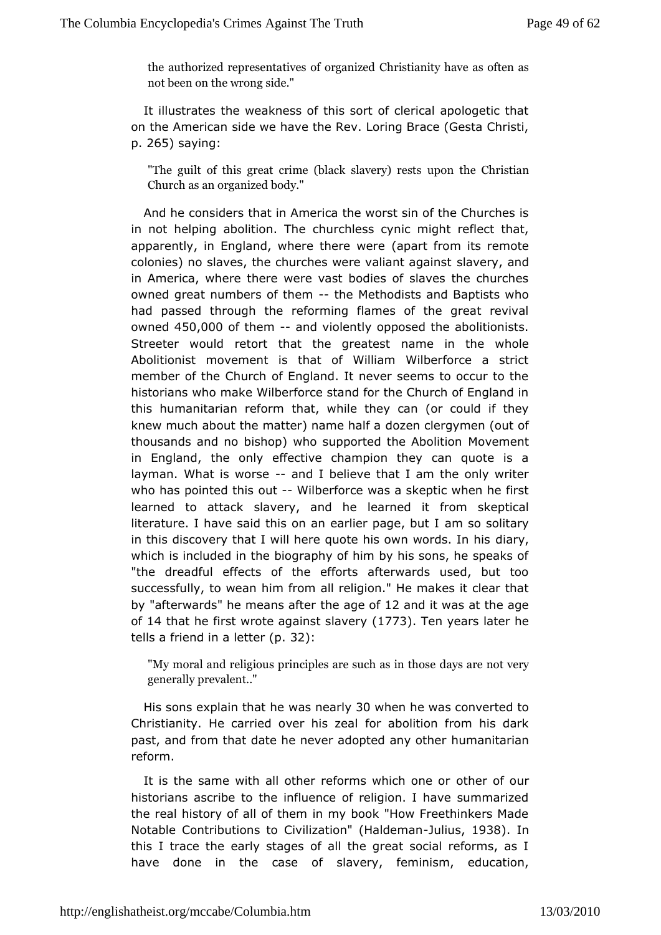[the authorized repres](http://englishatheist.org/mccabe/Columbia.htmthe)entatives in stiangtay in the as often as not been on the wrong side."

Itillustrates the weakness of this sort of clerical apologeti on thAmerican side we have the Rev. Loring Brace (Gesta Chr  $p. 265$  saying:

"The guilt of this great crime (bulapookh sthaeve City) is bisatns Church as an organized body."

And he consit hearts in America the worst sin of the Churches is in not helping abolitiohur $\bar{x}$ hkess cynic might reflect that, apparently, in England, where the east wearen its remote colonies) no slaves, the churches were svalviearryt, aagnadinst in America, where there were vast bodies of slaves the chu owned great numbers of tthe mMethodists and Baptists who had passetorough the reforming flames of the great revival owned50,000f them andviolently opposed the abolitionists. Streeter would retort that thenammeationstihe whole Abolitionist movement is that of William Wilberforce a s member of the Church of England. It never seems to occur to historians make Wilberforce stand for the Church of England in this humanitarian rtehfaotr, mwhile they can (or could if they knew much about the matter) nd maehad feagymen (out of thousands and no bishop) who supported Mobile man expected the  $\alpha$ in England, the only effective champion they can quote i laymanWhat is worsand I believe that I am the only writer who has pointe  $\phi$  uthis Nilberforce was a skeptic when he first learned to attack slavery, leand helde it from skeptical literature. I have said this on an earlaien spoagseo, libounty I in this discovery that I will here quote his odwan wyords. In his which is included in the biography of him by his sons, he spe "thedreadful effects of the efforts afterwards used, but t successfully, to hwme afmom all religion." He makes it clear that by "afterwards" he meathee  $\alpha$  afger 10 $\alpha$  and it was at the age of 14 that he first wrote again  $f$ t  $7\frac{3}{2}$ . Then years later he tells a friend in a  $182$ er (p.

"My moral and religious principles daagssaceh mastinethyose generally prevalent.."

His sons explain that heaßly when he was converted to Christianity. He carried oveforhiasbozlei ailon from his dark past, and from that date he never adophtuend aanitya bitahner reform.

It is the same with all other reforms ow the or hose or historians ascribe to the influence of religion. I have summary the real history of all of them in my book "How Freethinkers Notabl@ontributions to Civilization" - J (uHi iaul st @ on & nl n this I trace et and y stages of all the great social reforms, as have done in the casselavoefry, feminism, education,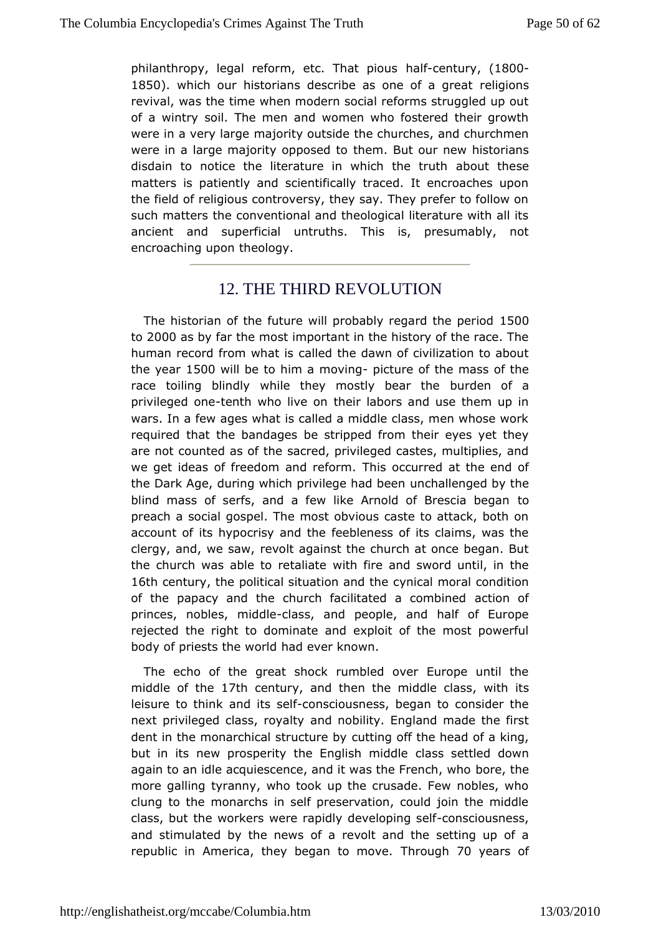[philanthropy, legal reform, et](http://englishatheist.org/mccabe/Columbia.htmphilanthropy)c. hTanhia enplug w(s1800-1850 which our historians describe as orreligatioan sqreat revival, was the time when modern social reforms struggled u of awintry soil. The men and women who fostered their grow were in a very mha perity outside the churches, and churchmen were in a large majority oppessed Bud our new historians disdain to notice the literature in whabbuth the testh matters is patiently and scientifically traced. It encroaches the field of religious controversy, they say. They prefer to fo suchmatters the conventional and theological literature with a ancient ansduperficial untruths. This is, presumably, not encroaching uponlogy.

# 12. THE THIRD REVOLUTION

Thehistorian of the future will probably red $\delta$ 0d the period to2000 as by ftahre most important in the history of the race. The human record from wchaalteids the dawn of civilization to about the yeal 500 will be to him a monicitrug e of the mass of the race toiling blindly while they mostbyurdbear of hea privileged-beneth who live on their labors and use them up ir wars. In a few ages what is called a middle class, men whose required that bandages be stripped from their eyes yet they are not counted assatched, privileged castes, multiplies, and we get ideas of freedom andhisformurred at the end of the Dark Age, during which privileugnechhaaldlebnogeend by the blind mass of serfs, and a few like Arnold db Brescia bega preach a social gospel. The most obvious caste to attack, bo account ios hypocrisy and the feebleness of its claims, was t clergy, and, wereawlt against the church at once began. But the church was able to wethaliate and sword until, in the 16th centuthe political situation condition and the condition of the papacy and the church facilitateactaocomfbined princes, nobles, moliadsde and people, and half of Europe rejectetche right to dominate and exploit of the most powerf body of priests the have belower known.

The echo of the great shock rumbled over Europe until middle of tho <sup>7</sup>the 17th centura and then the middle waths its leisure to thainnok its soed fisciousness, began to consider the next privileged class, and y abthyility. England made the first dent in the monarchical stround tuing by the head of a king, but in its new prosperity the Engollias show its down again to an idle acquiescence, and it wasbtohree Fite ach, who more galling tyranny, who took up the crusade. Few nobles, clungo the monarchs in self preservation, could join the mic class, but who ekers were rapidly developins on the ss, and stimulated by theofnews evolt and the setting up of a republic in America, they beganThtrooung. Move. ars of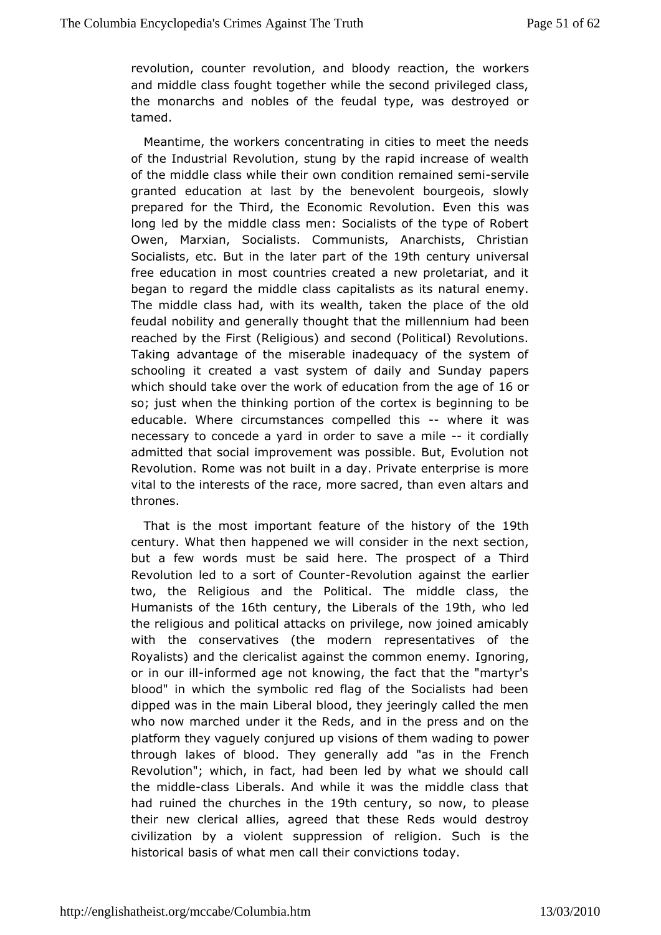[revolution, counter revolutio](http://englishatheist.org/mccabe/Columbia.htmrevolution)n, and bloodwork action, the and middle class fought together while the second privileged themonarchs and nobles of the feudal type, was destroyed tamed.

Meantime he workers concentrating in cities to meet the need of the Indus Reablution, stung by the rapid increase of wealth of the middle classhwhiloewn condition remainent isemi granted education at lastbebnye wolleent bourgeois, slowly prepared for the Third, the EconomiEvRevolution. long led by the middle class men: Socialists of the type of F Owen, Marxian, Socialists. Communists, Anarchists, Christ Socialists, Beut in the later part 18th the ntury universal free education inconuonsttries created a new proletariat, and it began to regard the middle conditional as its natural enemy. The middle class had, with its wiehadthplatcaekeonf the old feudal nobility and generally thought thath and beneinhennium reached by the First (Religious) and second (Political) Revol Taking advantage of the miserable inadequacy of the system schooling created a vast system of daily and Sunday papers which should take over blie education from the lage of so; just when the thinking pordior new fishbeginning to be educable. Where circumstances com-pwehleende tthwisas necessary to concede a yard in order to its a ved aa mile admitted that social improvement was possible. But, Evolutio RevolutioRno. me was not built in a day. Private enterprise is mo vital to the intemethe race, more sacred, than even altars and thrones.

That is the mimosptortant feature of the histol SWh of the century. What then happenex dowsid we rillin the next section, but a few words must be said here. The pTrhoisplect of Revolution led to a sort  $\theta \mathbb{R}$  e  $\mathbb{Q}$  outural than against the earlier two, the Religious and the Political. The middle class, i Humanists of 1th the century he Liberals of Sth, ewho led the religious and politicah aptrtiavoikesge, now joined amicably with the conservatives (the rempore semitatives of the Royalists) and the clericalist against the Igmamog, enemy. or in ourinformed age not knowing, the fact that the "martyr' blood" in which the symbolic red flag of the Socialists had dipped was him main Liberal blood, they jeeringly called the me who now marched under Reds, and in the press and on the platform they vaguely conjured of up hemision randing to power through lakes of blood. They generally ard to has in the Revolution"; which, in fact, had been led by what we should themiddlelass Liberals. And while it was the middle class that had ruined the rches in 1t the century o no, wto please their new clerical agailles and these Reds would destroy civilization by a violent suppresigion of  $\mathbf S$ uch is the historical basis of what men call theodayonvictions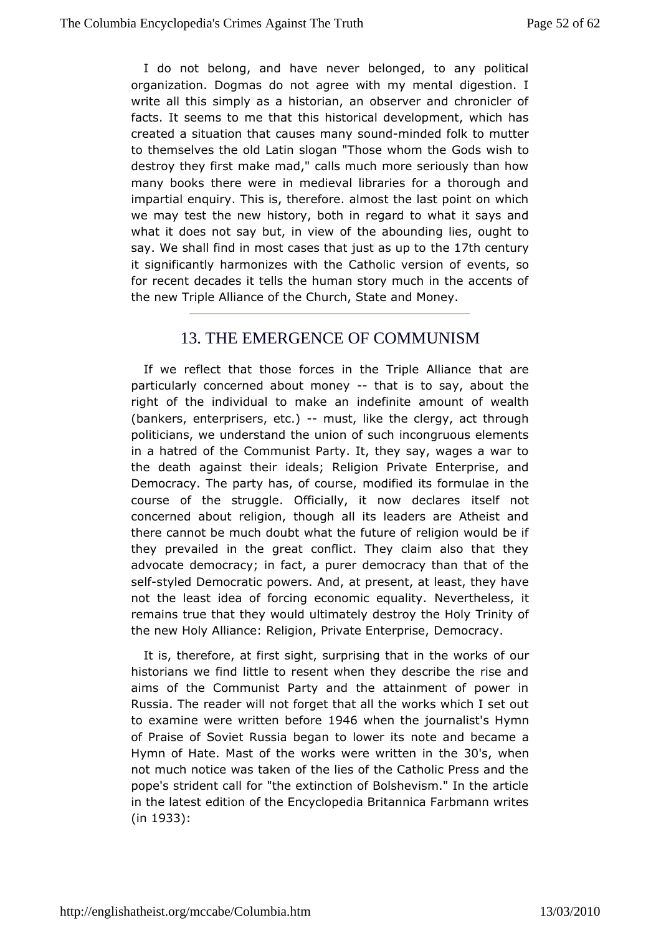[I do not belong, an](http://englishatheist.org/mccabe/Columbia.htmI)d have never belonged, to any politi organization. Dogmas do not agree with my mental digestio write all thims ply as a historian, an observer and chronicler facts. It seems to mthaish atstorical development, which has created a situation that caussous medianna hed folk to mutter to themselves the old Latin slogan "Thosos which the destroy they first make mad," calls much more seriously than many books there were in medieval libraries for a thorough impartiah quiry. This is, therefore. almost the last point on wh we may test the him whistory, both in regard to what it says and what it does not say but, ithe ia woon fiding lies, ought to say. We shall find in most cases thatthed stthase uputy it significantly harmonizes with the Catholicts, erssoion of for recent decades it tells the human story much in the acce the new Triple Alliance of the Church, State and Money.

### 13. THE EMERGENCE OF COMMUNISM

If we reflect that for the sess in the Triple Alliance that are particularly concerned about the axinesy to say, about the right of the individual to make an indedfinite alatimount (bankers, enterprisers, metst.) like the clergy, act through politicians, we understand the union of such incongruous ele in a hatred thoef Communist Party. It, they say, wages a war to the death againstidbals; Religion Private Enterprise, and Democracy. The party has, onfo dioful esslepties formulae in the course of the struggle. Officially, it interalf deotares concerned about religion, though all its leaders are Atheis there cannot be much doubt what the future of religion would theyprevailed in the great conflict. They claim also that t advocate demociacivact, a purer democracy than that of the sel-styled Democratic poweas.pAensdent, at least, they have not the least idea of forcing economic eet the less, it remains true that they would ultimately desitmoty to fe Holy the new Holy Alliance: Religion, Privatem Enterprise,

It is, therefore, at first sight, surprising bifad uim the works historians we find little to resent when they describe the ris aimsof the Communist Party and the attainment of power in Russia. The read neot which get that all the works which I set out to examine were writtem Sb4effwhen the jourhsa Hymn of Praise of Soviet Russia begann botel awad r biotsame a Hymn of HaMeast of the works were writt3e0's, wheteme not much notice was taken of the lies of the Catholic Press a pope'sstrident call for "the extinction of Bolshevism." In the ar in the latestittion of the Encyclopedia Britannica Farbmann writ (in1933):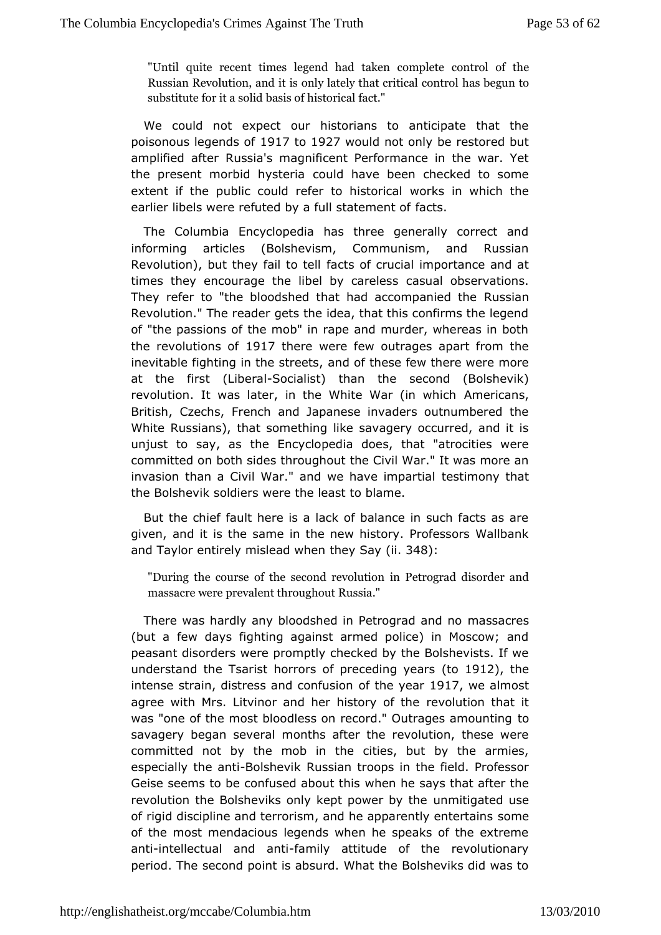["Until quite recent](http://englishatheist.org/mccabe/Columbia.htm) times legend hacontaaken of cotmoplete Russian Revolution, and it is only late and the adjuntitional control substitute for it a solid bases bf historical

We could not expect our historians to anticipate that poisonous legendes 1 otto1927 would not only be restored but amplified aRtessia's magnificent Performance in the war. Ye the present morbid hostediahave been checked to some extent if the public could refer woorks in iwahlich the earlier libels were refuted by a fulflastatement of

The Columbia Encyclopedia has three generally correct informingarticles (Bolshevism, Communism, and Russian Revolution), but they fail alto belicrucial importance and at times they encourage the libel basual ebesservations. They refer to "the bloodshed that had ac $\&$  a may imaginated the Revolution." The reader gets the idea, that this confirms the of"the passions of the mob" in rape and murder, whereas in I the revolution ts  $\delta$ 7 there were few outrages apart from the inevitable fighting in thensot roefetbese few there were more at the first (L-iSocoereiallist) than steh coend (Bolshevik) revolution. It was later, in the White Wanner (icranwshich British, Czechs, French and Japanese invaders outnumbered WhiteRussians), that something like savagery occurred, and i unjust to say, thas Encyclopedia does, that "atrocities were committed on both sides ththoeu Chivoult War." It was more an invasion than a Civil War." and we has been importhealt the Bolshevik soldiers were the least to blame.

But the hief fault here is a lack of balance in such facts as given, and it is at the new history. Professors Wallbank and Taylor entirely misleband y when  $348$ :

"During the course of the seignonPettroeyor audtion in and massacre were prevalenRtutshsnionut

There was hardly any bloodshed in Petmanssand raensd no (but a few days fighting against armed police) in Moscow; peasandtisorders were promptly checked by the Bolshevists. If understand the Tharists of preceding to 0 and 7, the intense strain, distress andofcotheusedant7we almost agree with Mrs. Litvinor and her histoorlyutoonthat it was "one of the most bloodless on record." Outtoages amounti savagery began several months after the revolution, these committed nooyt the mob in the cities, but by the armies, especially the Bahsthev Rkussian troops in the field. Professor Geise seems to be confused warbenuthe his ays that after the revolution the Bolsheviks only kept upronwietiglay etherse of rigid discipline and terrorism, and he appsaometly entertains of the most mendacious legends when he speaks of the extr antintellectual and family attitude of the revolutionary period. The scond point is absurd. What the Bolsheviks did was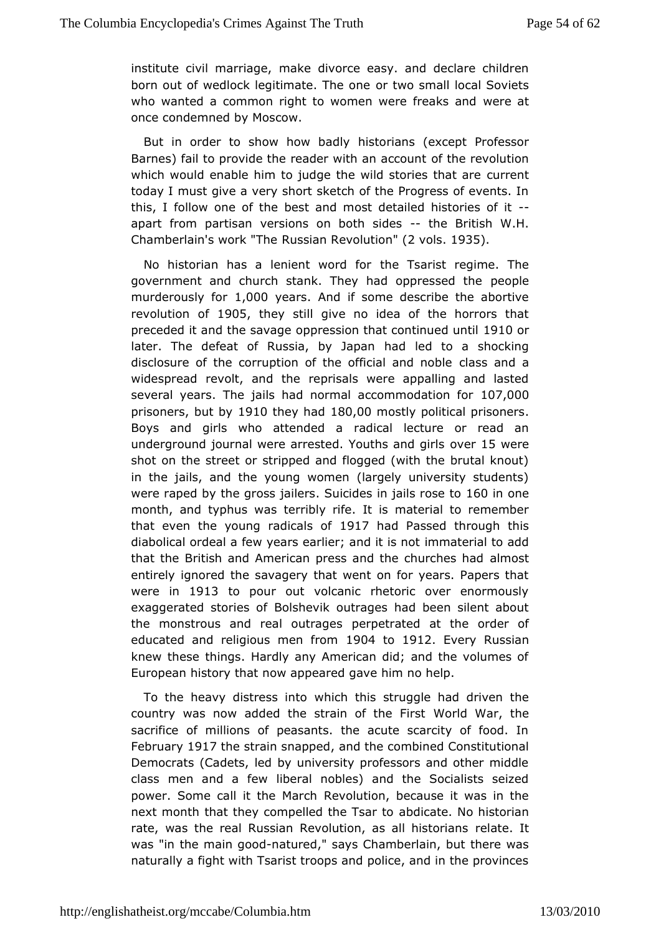institute civil mammia excee, divorce easy. and declare children born out of wedlock legitimater Twe small local Soviets who wanted a common right to women we wee freeaks and once condemned by Moscow.

But in order to show how istadlans (except Professor Barnes) fail to provide the reader with the accoluntion which would enable him to judge the wild storienst that are today I must give a very short sketch of the Progress of event this, I follow one of the best and most detail-ed histories of apart fromartisan versions on both thsed eB sritish W.H. Chamberlain's work d'sTshien Revolu (2 i on 1.st 935.

No historian has a lenient tweerd starist regime. The government and church stank. They had oppepopelsesed the murderously 1f, OrO Oyears And if some describe the abortive revolution f1905 they still give no idea of the horrors that preceded it and the ospapy racepses ion that continued O contil later. The defeat of Russia, hand Jadano a shocking disclosure of the corruption of the offcd aasls aandd naoble widespread revolt, and the reprisals were appalling and  $1\epsilon$ several yeaTrise jails had normal accommod@ation ofor prisoners, but 9b othey had 80,00 mostly political prisoners Boys and girls who attenad de idea lecture or read an underground journal were arrested. You the 5 awdresirls shot on the street or stripped and flogged (with the brutal k in the jails, and the young women (largely university stude were raped they gross jaisauristides in jails flosoentoone month, and typhustewaishly rife. It is material to remember that even the young rad1@d<sub>17sh</sub> and Passed through this diabolical ordeal a few years earliering mander tails to oadd that the British and American press and the elmon surches had entirely ignored the savagery that went on for years. Papers were in1913 to pour out volcanic rhetoric over enormously exaggerated storiBeosIschfevik outrages had been silent about the monstrous and real opuetran egitersated at the order of educated and religious m<sup>t</sup>e \$004 to the 12 Every Russian knew these things. Hardly any American did; and the volume European history that now appeared gave him no help.

To the heavy distres wshim this struggle had driven the country was now added the strain W forth the WF arst the sacrifice of millions of peasants. the acute scarcity of for Februan 017 the strain snapped the combined Constitutional Democrat Gadets, led by university professors and other midd class men and alibewal nobles) and the Socialists seized power. Some call it the ewatution, because it was in the  $next$  month that they compelled  $ab$ medicates. the historian rate, was the real Russian Revolution, aslate. historians was "in the main-ngaduded," says Chamberlain, but there was naturally a fight with Tsarist troops and police, and in the pro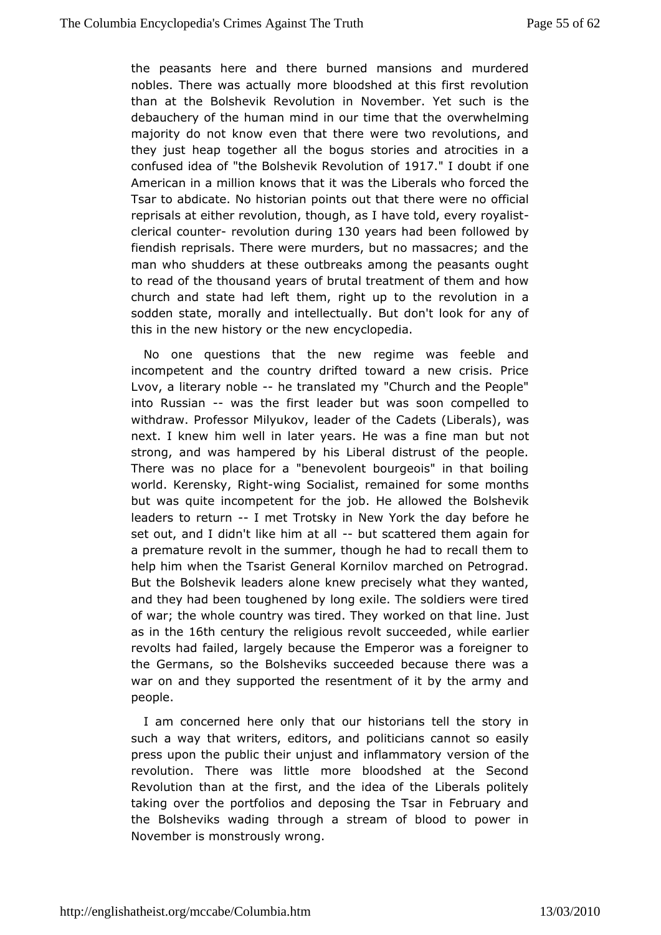the [peasants here and](http://englishatheist.org/mccabe/Columbia.htmthe) there burned mansions and murdere nobles. There was anotourally loodshed at this first revolution than at the Bolshevik RevoN utime hear. Yet such is the debauchery of the human mind in our own ewthealt mind majority do not know even that there were two revolutions, theyjust heap together all the bogus stories and atrocities confused ide"ah of Bolshevik Revolution" lotioubt if one American in a million heartown swas the Liberals who forced the Tsar to abdicate. No historoinan that there were no official reprisals at either revolution, have gtho, da, selvery royalist clerical countee rolution during ears had breed by fiendish reprisals. There were murders, but no massacres; an man who shudders at these outbreaks among the peasants or to read of tthe usand years of brutal treatment of them and how church and state hade he, ftright up to the revolution in a sodden state, morally and inteulite odtouralltly look for any of this in the new history oenthe chee we dia.

No one questions that the new regime was feeble an incompetent and the country drifted toward a new crisis. F Lvov, a litenaby e-he translated my "Church and the People" into Russian as the filmestder but was soon compelled to withdraw. Professor Milyukov, leCaddeerts of (Lihbeerals), was next. I knew him well in later years. He was maofine man strong, and was hampered by his Liberal distrust of the pe Therewas no place for a "benevolent bourgeois" in that boil world. Keren Rkighwing Socialist, remained for some months but was quite incompetentobar He eallowed the Bolshevik leaders to retulrmet Trotsky in New Yobark bleefore he set out, and I didn't like hibmutatscaalttered them foargain a premature revolt in the summer, though he had to recall the help himhen the Tsarist General Kornilov marched on Petrogra But the Bolsh leaduckers alone knew precisely what they wanted, and they had been tough menede by le. The soldiers were tired of war; the whole country was wicrelded Toney that line. Just as in the the century the religious revolt wahuide eeeddred der revolts had failed, largely because the Emperor was a foreig the Germans, so the Bolsheviks succeeded because there w war on and the poorted the resentment of it by the army and people.

I am concerned dimelive that our historians tell the story in such a way that writers, edptoolnisiciæmds cannot so easily press upon the public their unjust and veinslammonatohrey  $revolution$ . There was little more bloodshed at the Second Revolution than at the first, and the idea of the Liberals  $p_1$ taking ovtehre portfolios and deposing the Tsar in February ar the Bolsheviks ward ioning the a stream of blood to power in November is monstrously wrong.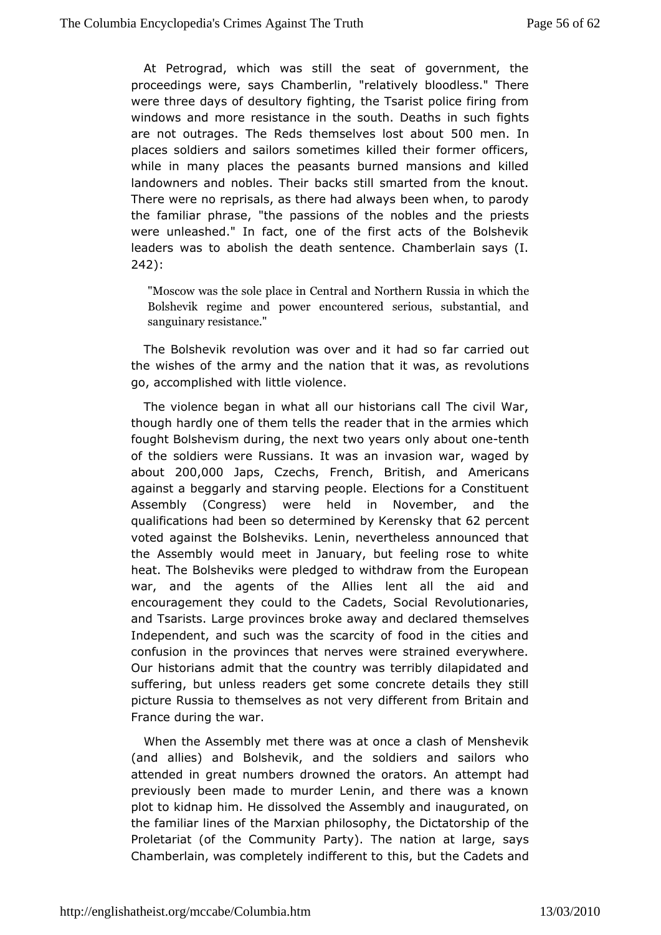At [Petrograd, which](http://englishatheist.org/mccabe/Columbia.htmAt) was still the seat of government,  $t$ proceedings were, Chamberlin, "relatively bloodless." There were three days of desultortyh  $\epsilon$ ig Thistanigs, the Dice firing from windows and more resistance in the  $s$  south  $\alpha$  in such fights. are not outra $\bar{d}$  as Reds themselves lo $\mathfrak{so}$  Cambentin places soldiers and sailors sometimes killed their former of while imany places the peasants burned mansions and kille landowners and noble sad The signal is marted from the knout. There were no reprisals, as ther**b** eheand wall  $\mathbf{w}$  may sto parody the familiar phrase, "the passions of the probles and the were unleashed." In fact, one of the first acts of the Bols leaderwas to abolish the death sentence. Chamberlain says 242):

"Moscow was the sole place in Centralnaw di Nortthern Russia Bolshevik regime and power encountered serious, subst sanguinary resistance."

The Bolshevik revolution was badrsandait carried out the wishes of the army and the nation the volutions, as go, accomplished with little violence.

The violence begwah a tinall our historians call The civil War, though hardly one of them retables the at in the armies which fought Bolshevism during, the next thy a byoard r-benneth of the soldiers were Russians. It was anwaged sboyn war, about200,000Japs Czechs French British and Americans againstbæggarly and starving people. Elections for a Constitu Assembly (Congreweesr)e held in November, and the qualifications had been so determine the by Sa peer necessarkty voted against the Bolsheviks. Lenin, nevertheless announced the Assembly would meet in January, but feeling rose to w heat. The Disheviks were pledged to withdraw from the European war, and the agents o Allite be lent all the aid and encouragement they could to the Cardevistur Social ries, and Tsarists. Large provinces broke away earms de lowered them and the med Independent, and such was the scarcity of food in the cities confusion in the provinces that nerves were strained everyw Our historiad sit that the country was terribly dilapidated and suffering, but umdaders get some concrete details they still picture Russia to themselweesyaslihfeetrent from Britain and France during the war.

When the Assembty there was at once a clash of Menshevik (and allies) and Bolshevik, sahddet seand sailors who attended in great numbers drowned th**atter attended** in a previously been made to murder Lenin, and there was a know plot to idnap him. He dissolved the Assembly and inaugurated, the familiar lintes Marxian philosophy, the Dictatorship of the Proletariat (of the ComPmanty)ty The nation at large, says Chamberlain, was completely into this the cadets and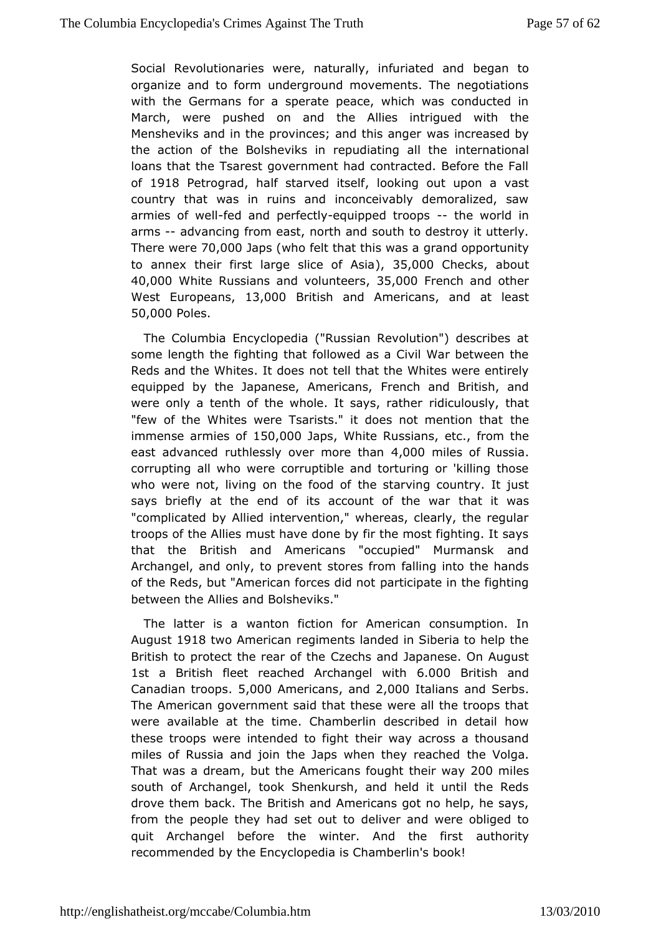[Social Revolutionaries w](http://englishatheist.org/mccabe/Columbia.htmSocial)ere, naturally, bian at and and organize and to form underground movements. The negotiati with the ermans for a sperate peace, which was conducted March, were pushed on hean allies intrigued with the Mensheviks and in the provinces; a woodsthing reenage end by the action of the Bolsheviks in repudinatteing and binahe loans that the Tsarest government had contracted. Before the of 1918 Petrograndalf starved , its elking out upon a vast country that was ruins and inconceivably demoralized, saw armies of wed anderfect expuipped troopt she world in arms-advancing from east, nosotuht hand destroy it utterly. There were, 000 aps who felt that this gwas daopportunity to annex their first large sl), c 85,000 Checks bout 40,000 White Russians and volust, the OBO Franch and other WestEuropean\$3,000 British and Americananisat least 50,000 Poles .

TheColumbia Encyclopedia ("Russian Revolution") describes some length fighting that followed as a Civil War between the Reds and the Whites.nldt dtoeds that the Whites were entirely equipped by the Japanese, AFmenich ansud British, and were only a tenth of the whole. It radivesulor as that "few of the Whites were Tsarists." it does nto the mention that immense armie\$ $50f000$  aps White Russ, i and of from the east advance thlessly over more, Ob amiles of Russia corrupting all who cow requestible and torturing or 'killing those who were not, living on the heosdan of ing country. It just says briefly at the end of its accountth aotf itthewaws ar "complicated by Allied intervention," whereas, clearly, the re troops of the Allies must have done by fir the most fighting. I that theBritish and Americans "occupied" Murmansk and Archangel, and only, to spore we mirom falling into the hands of the Reds, but "American force eratidiplant other fighting between the Allies and Bolsheviks."

The lattes a wanton fiction for American consumption. In August 1918 two Americagiments landed in Siberia to help the British to protect the reazeochshand Japanese. On August 1st a British fleet reached Arch & nOgOeOlBrwititshh and Canadian tro 5 p 060 0 Americans nd 2,000 Italians and Serbs TheAmerican government said that these were all the troops were availableh attime. Chamberlin described in detail how these troops were intended hedring that across a thousand miles of Russia and join the Japs when the Nyolrgean.ched That was a drebam the Americans fought 2h0e0 miweasy southof Archangel, took Shenkursh, and held it until the Re drove them back Brithish and Americans got no help, he says, from the people they had sdeeliovet to and were obliged to quit Archangel before the winter. And uthority irst recommended by the Encyclopedia is Chamberlin's book!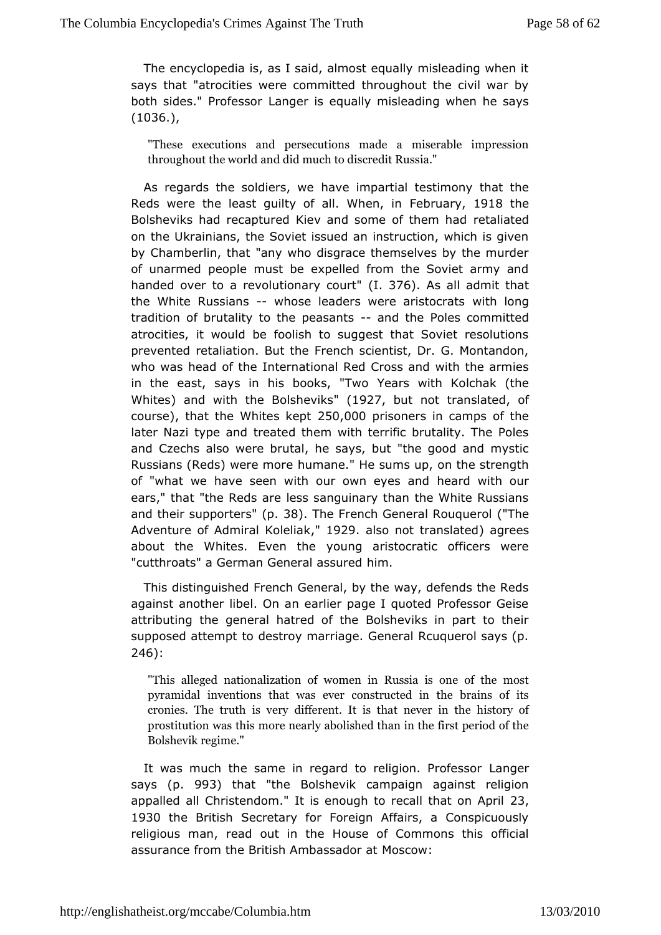[Theencyclopedia is, as](http://englishatheist.org/mccabe/Columbia.htmThe) I said, almost equally misleading wh says thäatrocities were committed throughout the civil war k both sides." Professoper is equally misleading when he says  $(1036)$ .

"Thesexecutions and persecutions made a miserable  $im_{\perp}$ throughout the and odlidd much to discredit Russia."

As regards the soldidens, e with partial testimony that the Reds were the least quilty of all-ebl/butthe Reds were the least quilty of all-Bolsheviks had recaptured Kiev and someetcaflitahtem had on the Ukrainians, the Soviet issued an instruction, which is by Chamberlin, that "any who disgrace themselves by the mu of unarmed pempulset be expelled from the Soviet army and handed over to a revolution airy 376 Quasts" all admit that the White Russia whose leaders were ariwator had and tradition of brutality to the-peenads at thes Poles committed atrocities, it would be foolish to suggest that Soviet resol prevented taliation. But the French scientist, Dr. G. Montand who was head of nthe enational Red Cross and with the armies in the east, says in his boo Wesars "Two idh Kolchak (the Whitesand with the Bols"he(1927 but not ranslated, of cours at hat the Whites 2660<sub>0</sub>, 000 prisoners in camps of the later Nazi type and treated them with terrific brutality. The and Czecalso were brutal, he says, but "the good and mysti Russians (Reds) werheumane." He sums up, on the strength of "what we have seen with our owhne as we been heard our ears," that "the Reds are less sanguinary than the White Rus and their suppor $\beta \otimes$ .The French General Ro(UTchueerol Adventure Aodfmiral Kolelina & Palso not translated es about the Whites. Evey muth ge aristocratic officers were "cutthroats" a German Generbalmassured

This distinguished French General, by the way, defends the against another libel. On an earlier page I quoted Professor attributinge general hatred of the Bolsheviks in part to the supposed attemotesttoroy marriage. General Rcuquerol says (p. 246):

"Thialleged nationalization of women in Russia is one of pyramidal bentions that was ever constructed in the brain cronies. Theistruehy different. It is that never in the hist prostitution wmas rehinse arly abolished than in the first period Bolsheweigime."

It was much the same in regard to religliangeProfessor says(p. 993) that"the Bolshevik campaign against religion appalled Cahlristendom is enough to recall tha 23 on April 1930 the British Cretary for Foreign Affairs, a Conspicuously religious man, read out Howsteheof Commons this official assurance from the British AmbMacssscaodwo:r at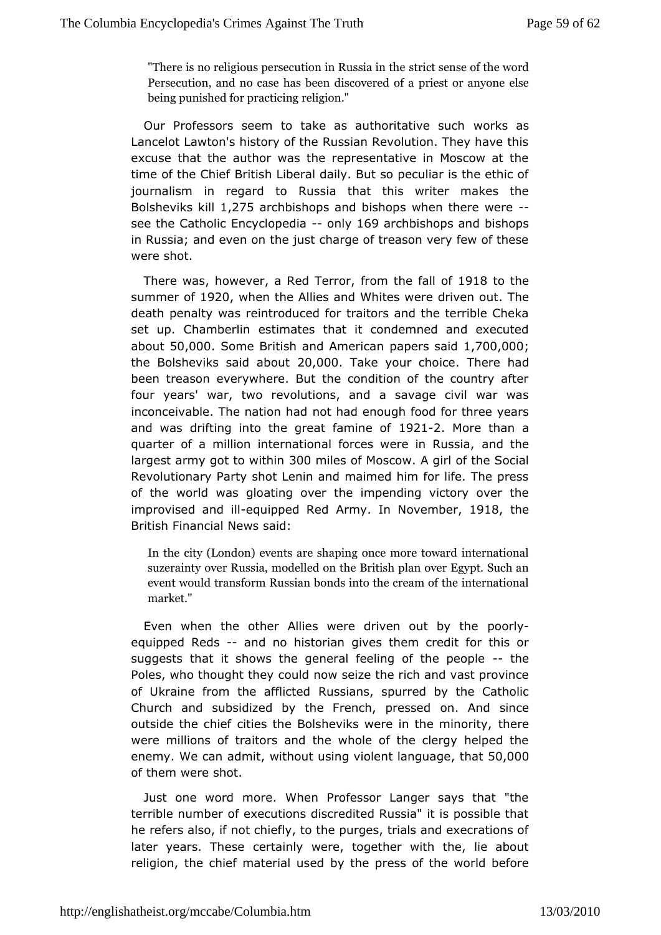["There is no religio](http://englishatheist.org/mccabe/Columbia.htm)us persecutisotmich Reuns sea of in the eword Persecution, and no case has beperiest is octor wearvered in enfease being punished forreliagcitaining

Our Professors seem to take as authow others and professuch Lancelot Lawton's history of the Russian Revolution. They have excuse that the author was the representative in Moscow at time of the CBhriid fsh Liberal daily. But so peculiar is the ethic journalism in regarRdustsoia that this writer makes the Bolsheviks 1k $\mathbb{Z}$  7 5 archbishops and bwish emportment were see the Catholic Ency-**-oped62** archbishops bang dops in Russia; and even on the just charge of treason very few of wereshot.

There warsowevea Red Terror the fall 9df8to the summer  $0.920$  when the Allies and Whites were Theiven out death penawtays reintroduced for traitors and the terrible Chek set up. Chambeslim ates that it condemned and executed abou $50,00.0$ Some British and Ampearpie as said  $700,000$ the Bolsheviks said 2 & bCoQutTake your choTiberehad been treason everywhere. But the condition of the country four yearwsar, two revolutions, and a savage civil war was inconceivable. The nationthis had denough food for three years and was drifting into the great  $\sqrt{2\pi}$  and was drifting into the great  $1\sqrt{2\pi}$ quarter of a million international forces awredethe Russia, largest army got to 300 Othin ines of Mos & ogwirl of the Social Revolutionary Party shot Lenin and maimed him for life. The of the wowdds gloating over the impending victory over the improvised anedquilipped RAerdny In Novembel 918 the British Financial News said:

Inthe city (London) events are shaping once more toward i suzeraionter Russia, modelled on the British plan over Egyp event would as form Russian bonds into the cream of the inte market."

Even when the other Allies were drive poouty by the equipped Redand no historian gives them credit for this or suggesthat it shows the general feeling of- the people Poles, who thoughdound dynow seize the rich and vast province of Ukraine from the a Rfuis stime of spurred by the Catholic Church and subsidized by the Frenoch, Apneds sseidce outside the chief cities the Bolsheviks werethienrethe minority, were millions of traitors and the whole of the clergy helped enemy. We an admit thout using violent  $\frac{1}{4}$  and  $\frac{6}{9}$  and  $\frac{60}{9}$ of them westheot.

Just one word more. When Professor Langer says that terribheumber of executions discredited Russia" it is possible he refers alson, tichiefly, to the purges, trials and execrations later years. The steainly were, together with the, lie about religion, the chief matebiyal thus epotess of the world before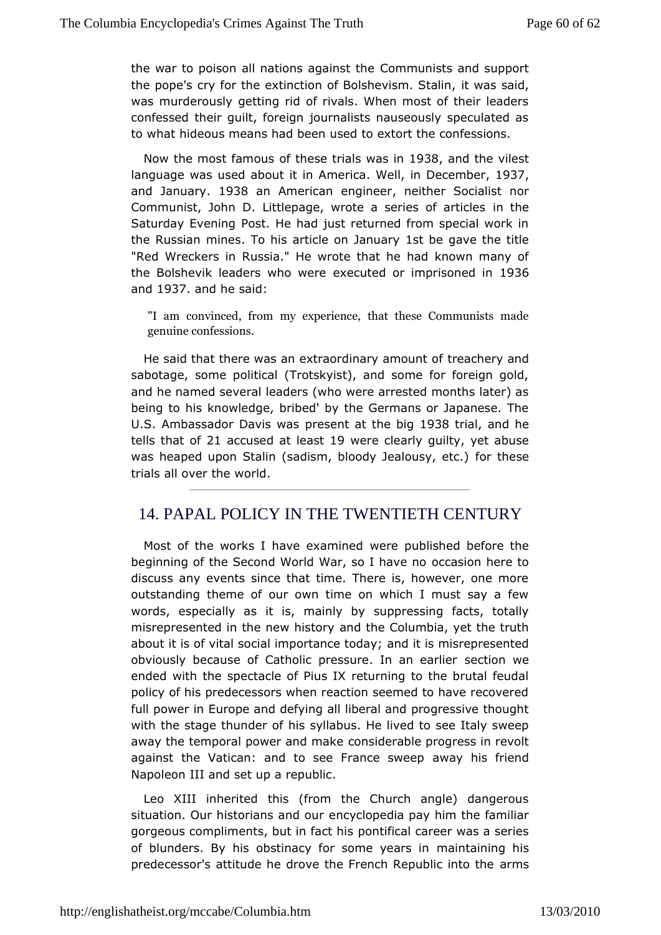[the war to poison all na](http://englishatheist.org/mccabe/Columbia.htmthe)tions Gominst the and support the pope's cry for the extinction of Bolsthewas ms.aissut, alin, was murderously getting rid of rivals. When most of their lead confessed their quilt, foreign journalists nauseously specula to what ideous means had been used to extort the confessions.

Now the most famotothsese trials was Simand the vilest language was used aboAumteinticialVellin Decemb \$937 and Januan938 an American engimeei ther Socialist nor Communist, John D. Littlepage, wrote a senietsheof articles Saturday Evening Post. He had just returned from special wo the Russian minTexs his article on Jastuba  $e$  y qave the title "Red Wrecker Ruisnsia." He wrote that he had known many of the Bolshevik leaders web power reed or imprison @ 316 in and 1937 and he said

"I amconvinced, from my experience, that these Communis genuicenfessions.

He said that there was an extraordinarrey a amenuy nanod sabotage, some political (Trotskyist), and some for foreign and he named several leaders (who were arrested months late being to his wledge, bribed' by the Germans or Japanese. The  $U.S.$  Ambassador Daypinse swearst at the 1  $\mathfrak{B}3\mathfrak{g}$ trial and he tells that 2 of faccused at lie the water oclearly quilty, yet abuse was heaped upon Stalin (sadism, bloody for at besup, etc.) trials all over the world.

## 14. PAPAL POLICY IN THE TWENTIETH CENTURY

Most of the works I have exeed and mead bished before the beginning of the Second World War, oscocals hoan the more to discuss any events since that time. There is, however, one outstanding theme of our own time on which I must say a  $\pm$ words, especiallity iss, mainly by suppressing facts, totally misrepresented in the new not is the Columbia, yet the truth about it is of vital social impordadiced to draig grepresented obviously because of Catholic pressuresebticam wearlier ended with the spectacle of Pius IX returning to the brutal 1 policy of his predecessors when reaction seemed to have recc full power Europe and defying all liberal and progressive thought with the stage thunhdist soy filabus. He lived to see Italy sweep away the temporal power acnochsmidleeable progress in revolt against the Vatican: and to see Fraawnace boiwse of piend Napoleon III and set up a republic.

Leo XIII inherihesd (from the Church angle) dangerous situation. Our historianse manyol loop redia pay him the familiar gorgeous compliments, but prontaid to hais career was a series of blunders. By his obstinacy for somanenty a eina ingimis predecessor's attitude he drove the French &Rempsublic into the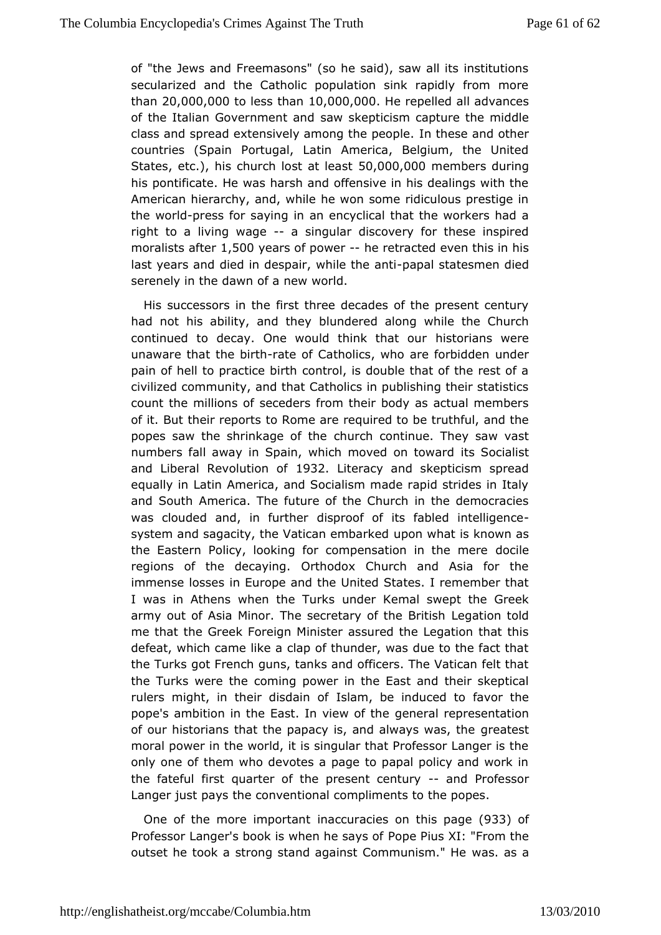[of "the Jews and Freem](http://englishatheist.org/mccabe/Columbia.htmof)asons" (so he said), saw all its instit secularized and the Catholic population sink rapidly from than 20,000,000 less than 000,0000e repelled all advances of the Italian Governm**saw** as the sticism capture the middle class and spread extensively amongnithe eperceported.other countries (Spain Portugal, Latin America, Belgium, the Ur Statesetc), his church lost  $a \delta \theta$ e $a \delta \theta$ ,0000 embers during hispontificate. He was harsh and offensive in his dealings wit Americanierarchy, and, while he won some ridiculous prestige the worpdess foaying in an encyclical that the workers had a right to a living -wagsdingular discovery for these inspired moralists aft $600$  years of poweer etracted even this in his last years and died in despair, wohaip east that eas miten died serenely in the dawn of a new world.

His successors first the hree decades of the present century had not his ability, abdundeyed along while the Church continued to decay. One would thinks tto has uwere unaware that the rate the Catholics, who are ufrod bidden pain of hell to practice birth control, is double that of the re civilized community, and that Catholics in publishing their statistic count the eillions of seceders from their body as actual membe of it. But their recorrectors are required to be truthful, and the popes saw the shrinkagehoof rcthe continue. They saw vast numbers fall away in Spain, which movied Sociawatd and Liberal Revoluti**082** differacy and skepticism spread equally in Latin America, and Socialism made rapid strides in and South erica. The future of the Church in the democracie was clouded and, in duspheof of its fabled intelligence system and sagacity, the Vaticampem buah a beds known as the Eastern Policy, looking for compensatioboncille the mere regions of the decaying. Orthodox Church and Asia for immense losisne Europe and the United States. I remember that I was in Athens when theen Teark Kemal swept the Greek army out of Asia Minor. The secretary Legathen Brotlich me that the Greek Foreign Minister assured the Legation tha defeat, which came like a clap of thunder, was due to the fac the Turgs tFrench guns, tanks and officers. The Vatican felt  $t$ the Turks were commeing power in the East and their skeptical rulers might, in their dilssdamm, dofe induced to favor the pope's ambition in the East. In gyeine war and it retuge resentation of our historians that the papacy is, and gulwe any essiwas, the moral power in the world, it is singular that Professor Langer only one of them who devotes a page to papal policy and wo the fateffultst quarter of the present and tura fessor Langer just paycso the entional compliments to the popes.

One of the more impionate and racies on thi $\mathcal{S}$  33a  $\mathbf{9}$   $\mathbf{\hat{e}}$ Professor Langer's book is whe holpe spays  $x$ fi: "From the outset he took a strong stand against Cowman numaissma." He